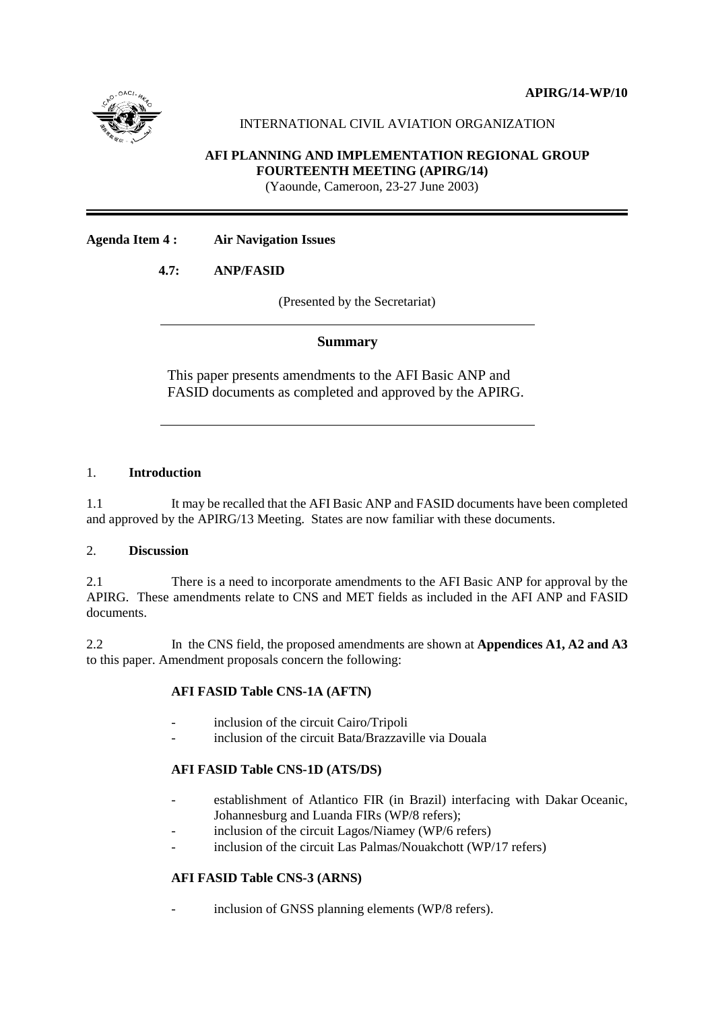



# INTERNATIONAL CIVIL AVIATION ORGANIZATION

## **AFI PLANNING AND IMPLEMENTATION REGIONAL GROUP FOURTEENTH MEETING (APIRG/14)**

(Yaounde, Cameroon, 23-27 June 2003)

## **Agenda Item 4 : Air Navigation Issues**

# **4.7: ANP/FASID**

(Presented by the Secretariat)

## **Summary**

This paper presents amendments to the AFI Basic ANP and FASID documents as completed and approved by the APIRG.

## 1. **Introduction**

1.1 It may be recalled that the AFI Basic ANP and FASID documents have been completed and approved by the APIRG/13 Meeting. States are now familiar with these documents.

#### 2. **Discussion**

2.1 There is a need to incorporate amendments to the AFI Basic ANP for approval by the APIRG. These amendments relate to CNS and MET fields as included in the AFI ANP and FASID documents.

2.2 In the CNS field, the proposed amendments are shown at **Appendices A1, A2 and A3** to this paper. Amendment proposals concern the following:

## **AFI FASID Table CNS-1A (AFTN)**

- inclusion of the circuit Cairo/Tripoli
- inclusion of the circuit Bata/Brazzaville via Douala

## **AFI FASID Table CNS-1D (ATS/DS)**

- establishment of Atlantico FIR (in Brazil) interfacing with Dakar Oceanic, Johannesburg and Luanda FIRs (WP/8 refers);
- inclusion of the circuit Lagos/Niamey (WP/6 refers)
- inclusion of the circuit Las Palmas/Nouakchott (WP/17 refers)

# **AFI FASID Table CNS-3 (ARNS)**

inclusion of GNSS planning elements (WP/8 refers).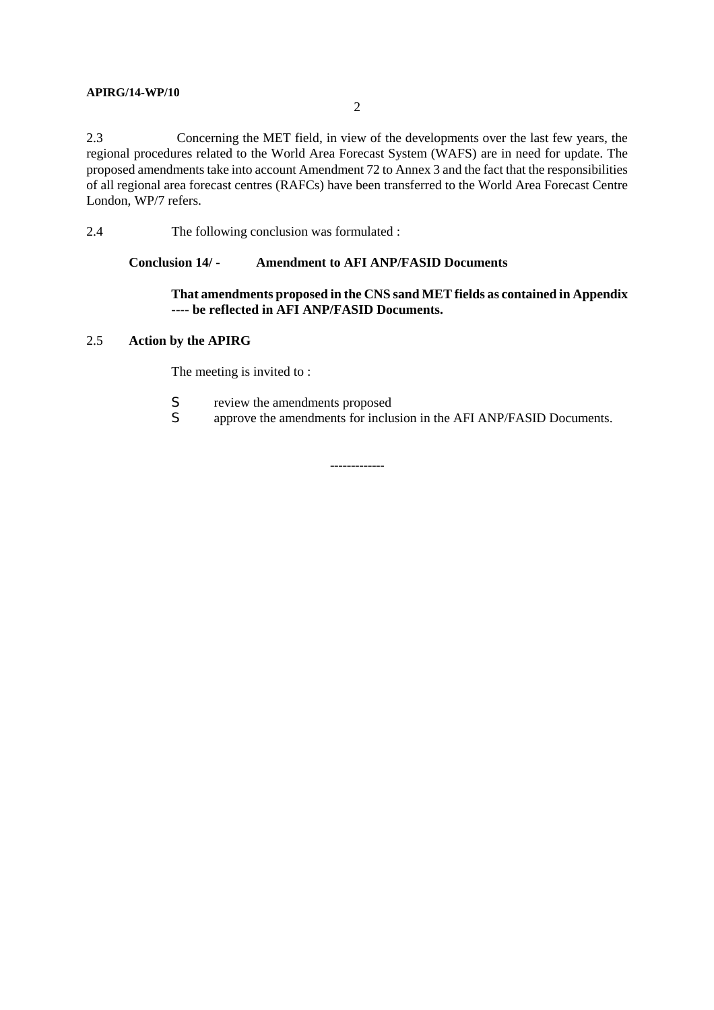#### **APIRG/14-WP/10**

2.3 Concerning the MET field, in view of the developments over the last few years, the regional procedures related to the World Area Forecast System (WAFS) are in need for update. The proposed amendments take into account Amendment 72 to Annex 3 and the fact that the responsibilities of all regional area forecast centres (RAFCs) have been transferred to the World Area Forecast Centre London, WP/7 refers.

2.4 The following conclusion was formulated :

#### **Conclusion 14/ - Amendment to AFI ANP/FASID Documents**

## **That amendments proposed in the CNS sand MET fields as contained in Appendix ---- be reflected in AFI ANP/FASID Documents.**

## 2.5 **Action by the APIRG**

The meeting is invited to :

- S review the amendments proposed<br>S approve the amendments for inclu
- approve the amendments for inclusion in the AFI ANP/FASID Documents.

-------------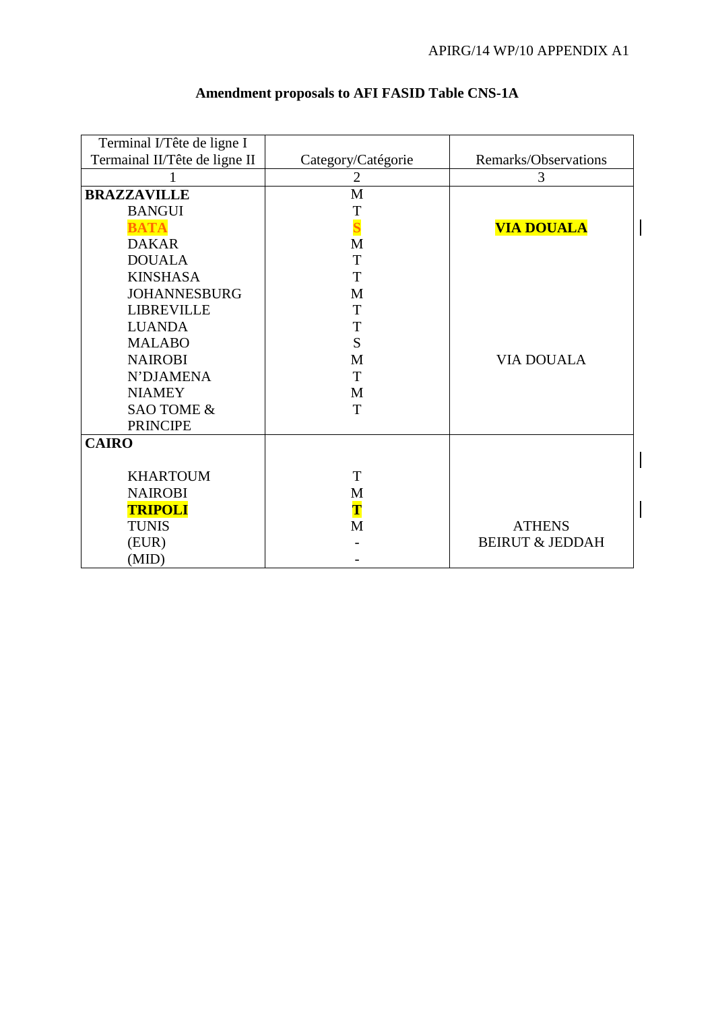| Terminal I/Tête de ligne I    |                    |                            |  |
|-------------------------------|--------------------|----------------------------|--|
| Termainal II/Tête de ligne II | Category/Catégorie | Remarks/Observations       |  |
|                               | $\overline{2}$     | 3                          |  |
| <b>BRAZZAVILLE</b>            | M                  |                            |  |
| <b>BANGUI</b>                 | T                  |                            |  |
| <b>BATA</b>                   |                    | <b>VIA DOUALA</b>          |  |
| <b>DAKAR</b>                  | M                  |                            |  |
| <b>DOUALA</b>                 | T                  |                            |  |
| <b>KINSHASA</b>               | T                  |                            |  |
| <b>JOHANNESBURG</b>           | M                  |                            |  |
| <b>LIBREVILLE</b>             | T                  |                            |  |
| <b>LUANDA</b>                 | T                  |                            |  |
| <b>MALABO</b>                 | S                  |                            |  |
| <b>NAIROBI</b>                | M                  | <b>VIA DOUALA</b>          |  |
| N'DJAMENA                     | T                  |                            |  |
| <b>NIAMEY</b>                 | M                  |                            |  |
| SAO TOME &                    | T                  |                            |  |
| <b>PRINCIPE</b>               |                    |                            |  |
| <b>CAIRO</b>                  |                    |                            |  |
|                               |                    |                            |  |
| <b>KHARTOUM</b>               | T                  |                            |  |
| <b>NAIROBI</b>                | M                  |                            |  |
| <b>TRIPOLI</b>                | $\mathbf T$        |                            |  |
| <b>TUNIS</b>                  | M                  | <b>ATHENS</b>              |  |
| (EUR)                         |                    | <b>BEIRUT &amp; JEDDAH</b> |  |
| (MID)                         |                    |                            |  |

# **Amendment proposals to AFI FASID Table CNS-1A**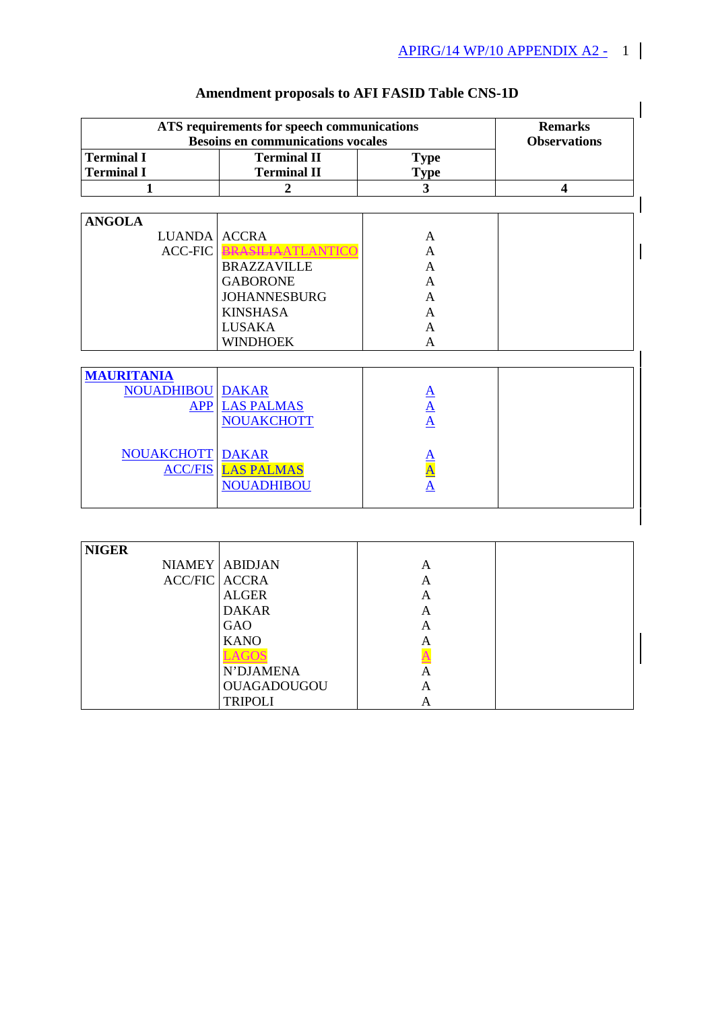|                                              | ATS requirements for speech communications<br><b>Besoins en communications vocales</b> |                                        | <b>Remarks</b><br><b>Observations</b> |
|----------------------------------------------|----------------------------------------------------------------------------------------|----------------------------------------|---------------------------------------|
| <b>Terminal I</b><br><b>Terminal I</b>       | <b>Terminal II</b><br><b>Terminal II</b>                                               | <b>Type</b>                            |                                       |
| 1                                            | $\overline{2}$                                                                         | <b>Type</b><br>$\overline{\mathbf{3}}$ | $\overline{\mathbf{4}}$               |
|                                              |                                                                                        |                                        |                                       |
| <b>ANGOLA</b>                                |                                                                                        |                                        |                                       |
| LUANDA ACCRA                                 |                                                                                        | A                                      |                                       |
| <b>ACC-FIC</b>                               | <b>RASILIAATLANTICC</b>                                                                | A                                      |                                       |
|                                              | <b>BRAZZAVILLE</b>                                                                     | A                                      |                                       |
|                                              | <b>GABORONE</b>                                                                        | A                                      |                                       |
|                                              | <b>JOHANNESBURG</b>                                                                    | A                                      |                                       |
|                                              | <b>KINSHASA</b>                                                                        | A                                      |                                       |
|                                              | <b>LUSAKA</b>                                                                          | A                                      |                                       |
|                                              | <b>WINDHOEK</b>                                                                        | A                                      |                                       |
|                                              |                                                                                        |                                        |                                       |
| <b>MAURITANIA</b><br><b>NOUADHIBOU DAKAR</b> |                                                                                        |                                        |                                       |
| <b>APP</b>                                   | <b>LAS PALMAS</b>                                                                      |                                        |                                       |
|                                              | <b>NOUAKCHOTT</b>                                                                      | $\frac{A}{A}$                          |                                       |
|                                              |                                                                                        |                                        |                                       |
| <b>NOUAKCHOTT DAKAR</b>                      |                                                                                        |                                        |                                       |
|                                              | <b>ACC/FIS LAS PALMAS</b>                                                              |                                        |                                       |
|                                              | <b>NOUADHIBOU</b>                                                                      |                                        |                                       |
|                                              |                                                                                        |                                        |                                       |

# **Amendment proposals to AFI FASID Table CNS-1D**

| <b>NIGER</b>         |                    |   |  |
|----------------------|--------------------|---|--|
|                      | NIAMEY ABIDJAN     | А |  |
| <b>ACC/FIC ACCRA</b> |                    | A |  |
|                      | <b>ALGER</b>       | A |  |
|                      | <b>DAKAR</b>       | А |  |
|                      | GAO                | А |  |
|                      | <b>KANO</b>        | A |  |
|                      |                    |   |  |
|                      | N'DJAMENA          | А |  |
|                      | <b>OUAGADOUGOU</b> | A |  |
|                      | <b>TRIPOLI</b>     | A |  |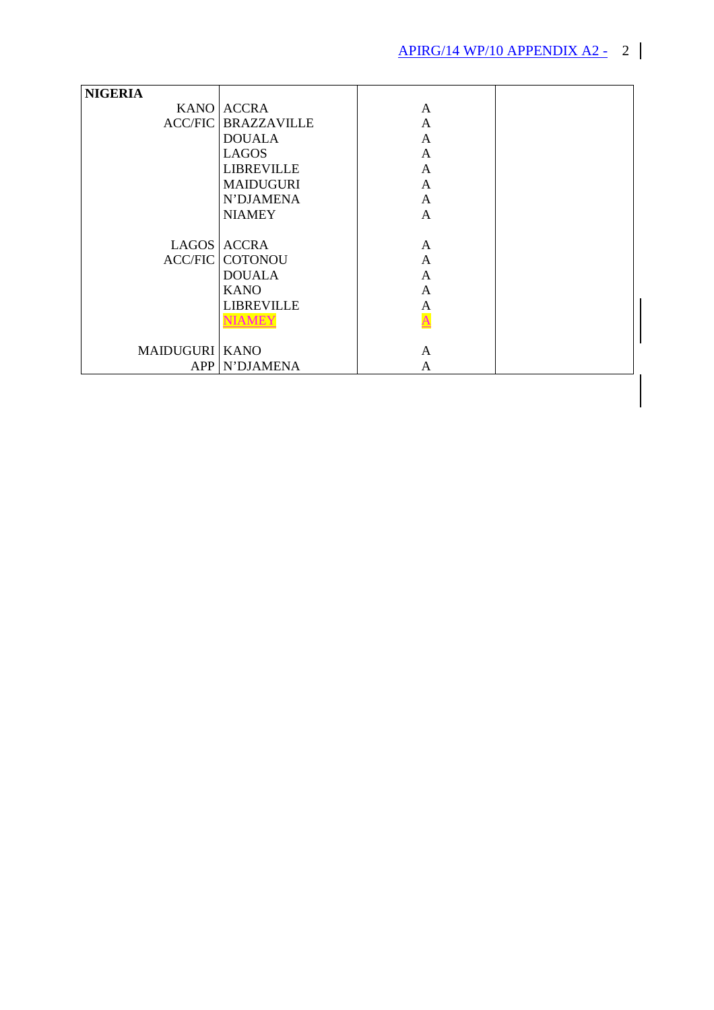| <b>NIGERIA</b>        |                    |                         |  |
|-----------------------|--------------------|-------------------------|--|
|                       | KANO ACCRA         | A                       |  |
| <b>ACC/FIC</b>        | <b>BRAZZAVILLE</b> | A                       |  |
|                       | <b>DOUALA</b>      | A                       |  |
|                       | <b>LAGOS</b>       | A                       |  |
|                       | <b>LIBREVILLE</b>  | A                       |  |
|                       | <b>MAIDUGURI</b>   | A                       |  |
|                       | N'DJAMENA          | A                       |  |
|                       | <b>NIAMEY</b>      | A                       |  |
|                       |                    |                         |  |
|                       | LAGOS ACCRA        | A                       |  |
| <b>ACC/FIC</b>        | <b>COTONOU</b>     | A                       |  |
|                       | <b>DOUALA</b>      | $\mathbf{A}$            |  |
|                       | <b>KANO</b>        | A                       |  |
|                       | <b>LIBREVILLE</b>  | A                       |  |
|                       | <b>NIAMEY</b>      | $\overline{\mathbf{A}}$ |  |
|                       |                    |                         |  |
| <b>MAIDUGURI KANO</b> |                    | A                       |  |
| APP                   | N'DJAMENA          | A                       |  |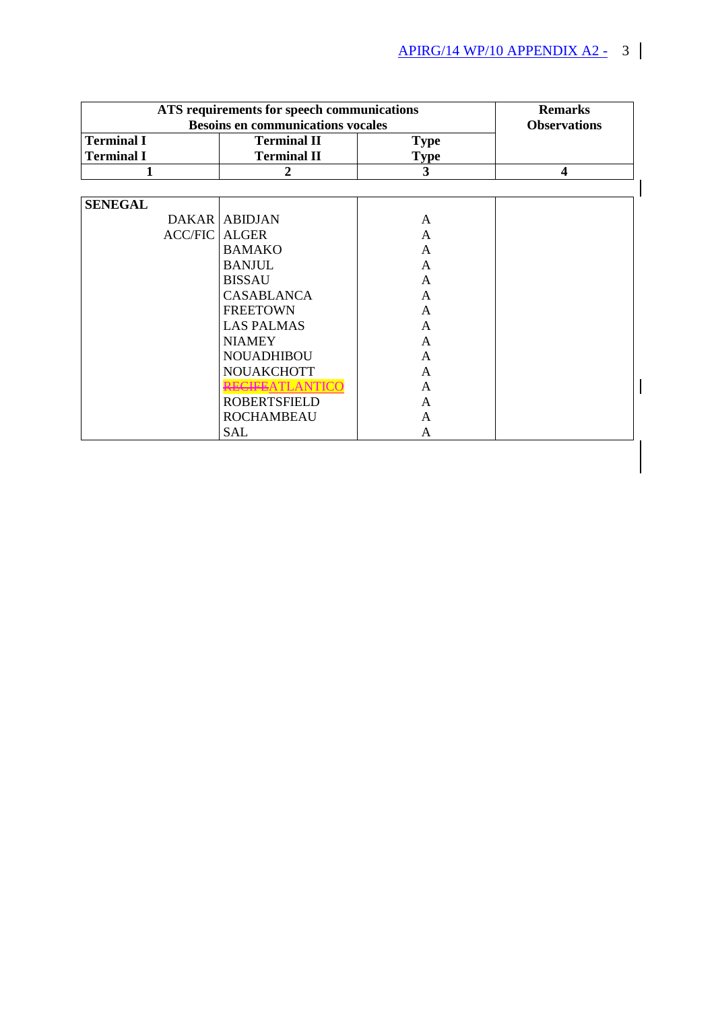| ATS requirements for speech communications | <b>Remarks</b>                           |                     |                         |
|--------------------------------------------|------------------------------------------|---------------------|-------------------------|
|                                            | <b>Besoins en communications vocales</b> | <b>Observations</b> |                         |
| <b>Terminal I</b>                          | <b>Terminal II</b>                       | <b>Type</b>         |                         |
| <b>Terminal I</b>                          | <b>Terminal II</b>                       | <b>Type</b>         |                         |
| 1                                          | 2                                        | 3                   | $\overline{\mathbf{4}}$ |
|                                            |                                          |                     |                         |
| <b>SENEGAL</b>                             |                                          |                     |                         |
|                                            | <b>DAKAR ABIDJAN</b>                     | A                   |                         |
| <b>ACC/FIC ALGER</b>                       |                                          | A                   |                         |
|                                            | <b>BAMAKO</b>                            | A                   |                         |
|                                            | <b>BANJUL</b>                            | A                   |                         |
|                                            | <b>BISSAU</b>                            | A                   |                         |
|                                            | <b>CASABLANCA</b>                        | A                   |                         |
|                                            | <b>FREETOWN</b>                          | A                   |                         |
|                                            | <b>LAS PALMAS</b>                        | A                   |                         |
|                                            | <b>NIAMEY</b>                            | A                   |                         |
|                                            | <b>NOUADHIBOU</b>                        | A                   |                         |
|                                            | <b>NOUAKCHOTT</b>                        | A                   |                         |
|                                            | RECIFEATLANTI                            | A                   |                         |
|                                            | <b>ROBERTSFIELD</b>                      | A                   |                         |
|                                            | <b>ROCHAMBEAU</b>                        | A                   |                         |
|                                            | <b>SAL</b>                               | A                   |                         |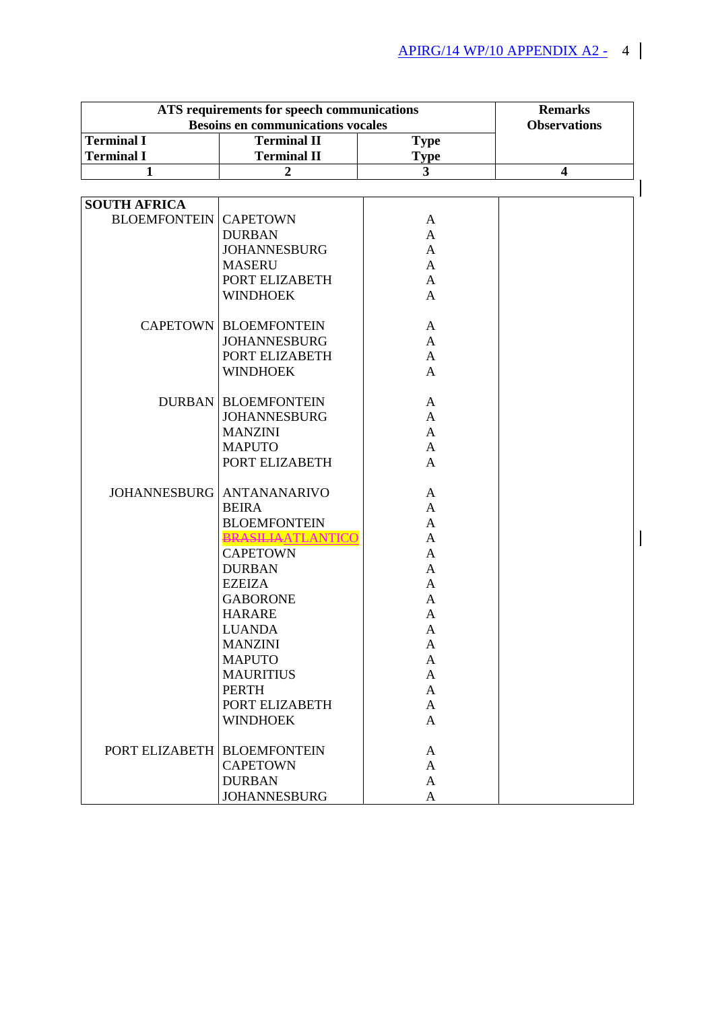| <b>Besoins en communications vocales</b><br><b>Observations</b><br><b>Terminal I</b><br><b>Terminal II</b><br><b>Type</b><br><b>Terminal I</b><br><b>Terminal II</b><br><b>Type</b><br>$\overline{\mathbf{3}}$<br>$\overline{2}$<br>$\overline{\mathbf{4}}$<br>$\mathbf{1}$<br><b>SOUTH AFRICA</b><br><b>BLOEMFONTEIN</b><br><b>CAPETOWN</b><br>A<br><b>DURBAN</b><br>$\mathbf{A}$<br><b>JOHANNESBURG</b><br>$\mathbf{A}$<br><b>MASERU</b><br>$\mathbf{A}$<br>PORT ELIZABETH<br>$\mathbf{A}$<br><b>WINDHOEK</b><br>$\mathbf{A}$<br><b>CAPETOWN BLOEMFONTEIN</b><br>A<br><b>JOHANNESBURG</b><br>A<br>PORT ELIZABETH<br>$\mathbf{A}$<br><b>WINDHOEK</b><br>$\mathbf{A}$<br><b>DURBAN   BLOEMFONTEIN</b><br>$\mathbf{A}$<br><b>JOHANNESBURG</b><br>A<br><b>MANZINI</b><br>$\mathbf{A}$<br><b>MAPUTO</b><br>A<br>PORT ELIZABETH<br>$\mathbf{A}$<br>JOHANNESBURG   ANTANANARIVO<br>A<br><b>BEIRA</b><br>A<br><b>BLOEMFONTEIN</b><br>$\mathbf{A}$<br><b>BRASILIAATLANTICO</b><br>A<br><b>CAPETOWN</b><br>$\mathbf{A}$<br><b>DURBAN</b><br>$\mathbf{A}$<br><b>EZEIZA</b><br>A<br><b>GABORONE</b><br>A<br><b>HARARE</b><br>A<br><b>LUANDA</b><br>A<br><b>MANZINI</b><br>A<br><b>MAPUTO</b><br>A<br><b>MAURITIUS</b><br>A<br><b>PERTH</b><br>A<br>PORT ELIZABETH<br>A<br><b>WINDHOEK</b><br>A<br>PORT ELIZABETH   BLOEMFONTEIN<br>A<br><b>CAPETOWN</b><br>A<br><b>DURBAN</b><br>A<br><b>JOHANNESBURG</b><br>A | ATS requirements for speech communications | <b>Remarks</b> |  |
|------------------------------------------------------------------------------------------------------------------------------------------------------------------------------------------------------------------------------------------------------------------------------------------------------------------------------------------------------------------------------------------------------------------------------------------------------------------------------------------------------------------------------------------------------------------------------------------------------------------------------------------------------------------------------------------------------------------------------------------------------------------------------------------------------------------------------------------------------------------------------------------------------------------------------------------------------------------------------------------------------------------------------------------------------------------------------------------------------------------------------------------------------------------------------------------------------------------------------------------------------------------------------------------------------------------------------------------------------------------------------------------------------|--------------------------------------------|----------------|--|
|                                                                                                                                                                                                                                                                                                                                                                                                                                                                                                                                                                                                                                                                                                                                                                                                                                                                                                                                                                                                                                                                                                                                                                                                                                                                                                                                                                                                      |                                            |                |  |
|                                                                                                                                                                                                                                                                                                                                                                                                                                                                                                                                                                                                                                                                                                                                                                                                                                                                                                                                                                                                                                                                                                                                                                                                                                                                                                                                                                                                      |                                            |                |  |
|                                                                                                                                                                                                                                                                                                                                                                                                                                                                                                                                                                                                                                                                                                                                                                                                                                                                                                                                                                                                                                                                                                                                                                                                                                                                                                                                                                                                      |                                            |                |  |
|                                                                                                                                                                                                                                                                                                                                                                                                                                                                                                                                                                                                                                                                                                                                                                                                                                                                                                                                                                                                                                                                                                                                                                                                                                                                                                                                                                                                      |                                            |                |  |
|                                                                                                                                                                                                                                                                                                                                                                                                                                                                                                                                                                                                                                                                                                                                                                                                                                                                                                                                                                                                                                                                                                                                                                                                                                                                                                                                                                                                      |                                            |                |  |
|                                                                                                                                                                                                                                                                                                                                                                                                                                                                                                                                                                                                                                                                                                                                                                                                                                                                                                                                                                                                                                                                                                                                                                                                                                                                                                                                                                                                      |                                            |                |  |
|                                                                                                                                                                                                                                                                                                                                                                                                                                                                                                                                                                                                                                                                                                                                                                                                                                                                                                                                                                                                                                                                                                                                                                                                                                                                                                                                                                                                      |                                            |                |  |
|                                                                                                                                                                                                                                                                                                                                                                                                                                                                                                                                                                                                                                                                                                                                                                                                                                                                                                                                                                                                                                                                                                                                                                                                                                                                                                                                                                                                      |                                            |                |  |
|                                                                                                                                                                                                                                                                                                                                                                                                                                                                                                                                                                                                                                                                                                                                                                                                                                                                                                                                                                                                                                                                                                                                                                                                                                                                                                                                                                                                      |                                            |                |  |
|                                                                                                                                                                                                                                                                                                                                                                                                                                                                                                                                                                                                                                                                                                                                                                                                                                                                                                                                                                                                                                                                                                                                                                                                                                                                                                                                                                                                      |                                            |                |  |
|                                                                                                                                                                                                                                                                                                                                                                                                                                                                                                                                                                                                                                                                                                                                                                                                                                                                                                                                                                                                                                                                                                                                                                                                                                                                                                                                                                                                      |                                            |                |  |
|                                                                                                                                                                                                                                                                                                                                                                                                                                                                                                                                                                                                                                                                                                                                                                                                                                                                                                                                                                                                                                                                                                                                                                                                                                                                                                                                                                                                      |                                            |                |  |
|                                                                                                                                                                                                                                                                                                                                                                                                                                                                                                                                                                                                                                                                                                                                                                                                                                                                                                                                                                                                                                                                                                                                                                                                                                                                                                                                                                                                      |                                            |                |  |
|                                                                                                                                                                                                                                                                                                                                                                                                                                                                                                                                                                                                                                                                                                                                                                                                                                                                                                                                                                                                                                                                                                                                                                                                                                                                                                                                                                                                      |                                            |                |  |
|                                                                                                                                                                                                                                                                                                                                                                                                                                                                                                                                                                                                                                                                                                                                                                                                                                                                                                                                                                                                                                                                                                                                                                                                                                                                                                                                                                                                      |                                            |                |  |
|                                                                                                                                                                                                                                                                                                                                                                                                                                                                                                                                                                                                                                                                                                                                                                                                                                                                                                                                                                                                                                                                                                                                                                                                                                                                                                                                                                                                      |                                            |                |  |
|                                                                                                                                                                                                                                                                                                                                                                                                                                                                                                                                                                                                                                                                                                                                                                                                                                                                                                                                                                                                                                                                                                                                                                                                                                                                                                                                                                                                      |                                            |                |  |
|                                                                                                                                                                                                                                                                                                                                                                                                                                                                                                                                                                                                                                                                                                                                                                                                                                                                                                                                                                                                                                                                                                                                                                                                                                                                                                                                                                                                      |                                            |                |  |
|                                                                                                                                                                                                                                                                                                                                                                                                                                                                                                                                                                                                                                                                                                                                                                                                                                                                                                                                                                                                                                                                                                                                                                                                                                                                                                                                                                                                      |                                            |                |  |
|                                                                                                                                                                                                                                                                                                                                                                                                                                                                                                                                                                                                                                                                                                                                                                                                                                                                                                                                                                                                                                                                                                                                                                                                                                                                                                                                                                                                      |                                            |                |  |
|                                                                                                                                                                                                                                                                                                                                                                                                                                                                                                                                                                                                                                                                                                                                                                                                                                                                                                                                                                                                                                                                                                                                                                                                                                                                                                                                                                                                      |                                            |                |  |
|                                                                                                                                                                                                                                                                                                                                                                                                                                                                                                                                                                                                                                                                                                                                                                                                                                                                                                                                                                                                                                                                                                                                                                                                                                                                                                                                                                                                      |                                            |                |  |
|                                                                                                                                                                                                                                                                                                                                                                                                                                                                                                                                                                                                                                                                                                                                                                                                                                                                                                                                                                                                                                                                                                                                                                                                                                                                                                                                                                                                      |                                            |                |  |
|                                                                                                                                                                                                                                                                                                                                                                                                                                                                                                                                                                                                                                                                                                                                                                                                                                                                                                                                                                                                                                                                                                                                                                                                                                                                                                                                                                                                      |                                            |                |  |
|                                                                                                                                                                                                                                                                                                                                                                                                                                                                                                                                                                                                                                                                                                                                                                                                                                                                                                                                                                                                                                                                                                                                                                                                                                                                                                                                                                                                      |                                            |                |  |
|                                                                                                                                                                                                                                                                                                                                                                                                                                                                                                                                                                                                                                                                                                                                                                                                                                                                                                                                                                                                                                                                                                                                                                                                                                                                                                                                                                                                      |                                            |                |  |
|                                                                                                                                                                                                                                                                                                                                                                                                                                                                                                                                                                                                                                                                                                                                                                                                                                                                                                                                                                                                                                                                                                                                                                                                                                                                                                                                                                                                      |                                            |                |  |
|                                                                                                                                                                                                                                                                                                                                                                                                                                                                                                                                                                                                                                                                                                                                                                                                                                                                                                                                                                                                                                                                                                                                                                                                                                                                                                                                                                                                      |                                            |                |  |
|                                                                                                                                                                                                                                                                                                                                                                                                                                                                                                                                                                                                                                                                                                                                                                                                                                                                                                                                                                                                                                                                                                                                                                                                                                                                                                                                                                                                      |                                            |                |  |
|                                                                                                                                                                                                                                                                                                                                                                                                                                                                                                                                                                                                                                                                                                                                                                                                                                                                                                                                                                                                                                                                                                                                                                                                                                                                                                                                                                                                      |                                            |                |  |
|                                                                                                                                                                                                                                                                                                                                                                                                                                                                                                                                                                                                                                                                                                                                                                                                                                                                                                                                                                                                                                                                                                                                                                                                                                                                                                                                                                                                      |                                            |                |  |
|                                                                                                                                                                                                                                                                                                                                                                                                                                                                                                                                                                                                                                                                                                                                                                                                                                                                                                                                                                                                                                                                                                                                                                                                                                                                                                                                                                                                      |                                            |                |  |
|                                                                                                                                                                                                                                                                                                                                                                                                                                                                                                                                                                                                                                                                                                                                                                                                                                                                                                                                                                                                                                                                                                                                                                                                                                                                                                                                                                                                      |                                            |                |  |
|                                                                                                                                                                                                                                                                                                                                                                                                                                                                                                                                                                                                                                                                                                                                                                                                                                                                                                                                                                                                                                                                                                                                                                                                                                                                                                                                                                                                      |                                            |                |  |
|                                                                                                                                                                                                                                                                                                                                                                                                                                                                                                                                                                                                                                                                                                                                                                                                                                                                                                                                                                                                                                                                                                                                                                                                                                                                                                                                                                                                      |                                            |                |  |
|                                                                                                                                                                                                                                                                                                                                                                                                                                                                                                                                                                                                                                                                                                                                                                                                                                                                                                                                                                                                                                                                                                                                                                                                                                                                                                                                                                                                      |                                            |                |  |
|                                                                                                                                                                                                                                                                                                                                                                                                                                                                                                                                                                                                                                                                                                                                                                                                                                                                                                                                                                                                                                                                                                                                                                                                                                                                                                                                                                                                      |                                            |                |  |
|                                                                                                                                                                                                                                                                                                                                                                                                                                                                                                                                                                                                                                                                                                                                                                                                                                                                                                                                                                                                                                                                                                                                                                                                                                                                                                                                                                                                      |                                            |                |  |
|                                                                                                                                                                                                                                                                                                                                                                                                                                                                                                                                                                                                                                                                                                                                                                                                                                                                                                                                                                                                                                                                                                                                                                                                                                                                                                                                                                                                      |                                            |                |  |
|                                                                                                                                                                                                                                                                                                                                                                                                                                                                                                                                                                                                                                                                                                                                                                                                                                                                                                                                                                                                                                                                                                                                                                                                                                                                                                                                                                                                      |                                            |                |  |
|                                                                                                                                                                                                                                                                                                                                                                                                                                                                                                                                                                                                                                                                                                                                                                                                                                                                                                                                                                                                                                                                                                                                                                                                                                                                                                                                                                                                      |                                            |                |  |
|                                                                                                                                                                                                                                                                                                                                                                                                                                                                                                                                                                                                                                                                                                                                                                                                                                                                                                                                                                                                                                                                                                                                                                                                                                                                                                                                                                                                      |                                            |                |  |
|                                                                                                                                                                                                                                                                                                                                                                                                                                                                                                                                                                                                                                                                                                                                                                                                                                                                                                                                                                                                                                                                                                                                                                                                                                                                                                                                                                                                      |                                            |                |  |
|                                                                                                                                                                                                                                                                                                                                                                                                                                                                                                                                                                                                                                                                                                                                                                                                                                                                                                                                                                                                                                                                                                                                                                                                                                                                                                                                                                                                      |                                            |                |  |
|                                                                                                                                                                                                                                                                                                                                                                                                                                                                                                                                                                                                                                                                                                                                                                                                                                                                                                                                                                                                                                                                                                                                                                                                                                                                                                                                                                                                      |                                            |                |  |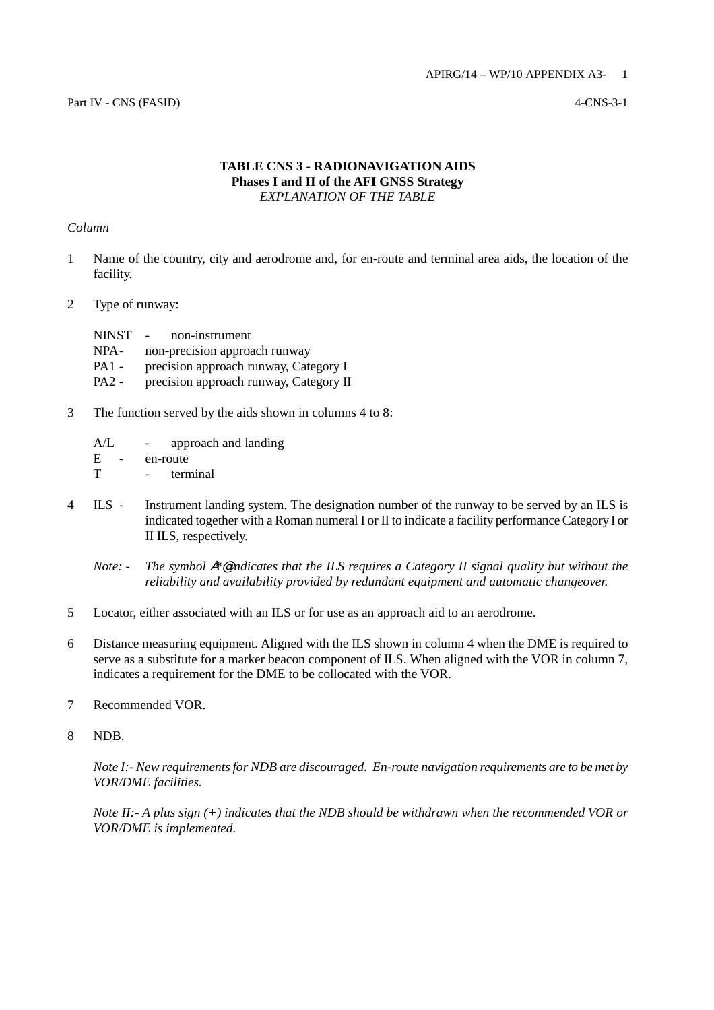## **TABLE CNS 3 - RADIONAVIGATION AIDS Phases I and II of the AFI GNSS Strategy** *EXPLANATION OF THE TABLE*

## *Column*

- 1 Name of the country, city and aerodrome and, for en-route and terminal area aids, the location of the facility.
- 2 Type of runway:

| <b>NINST</b> | non-instrument<br>$\sim 10^{-10}$      |
|--------------|----------------------------------------|
| NPA-         | non-precision approach runway          |
| $PA1 -$      | precision approach runway, Category I  |
| $PA2 -$      | precision approach runway, Category II |

- 3 The function served by the aids shown in columns 4 to 8:
	- A/L approach and landing E - en-route T - terminal
- 4 ILS Instrument landing system. The designation number of the runway to be served by an ILS is indicated together with a Roman numeral I or II to indicate a facility performance Category I or II ILS, respectively.
	- *Note:* The symbol  $A^*$  eindicates that the ILS requires a Category II signal quality but without the *reliability and availability provided by redundant equipment and automatic changeover.*
- 5 Locator, either associated with an ILS or for use as an approach aid to an aerodrome.
- 6 Distance measuring equipment. Aligned with the ILS shown in column 4 when the DME is required to serve as a substitute for a marker beacon component of ILS. When aligned with the VOR in column 7, indicates a requirement for the DME to be collocated with the VOR.
- 7 Recommended VOR.
- 8 NDB.

*Note I:- New requirements for NDB are discouraged. En-route navigation requirements are to be met by VOR/DME facilities.*

*Note II:- A plus sign (+) indicates that the NDB should be withdrawn when the recommended VOR or VOR/DME is implemented.*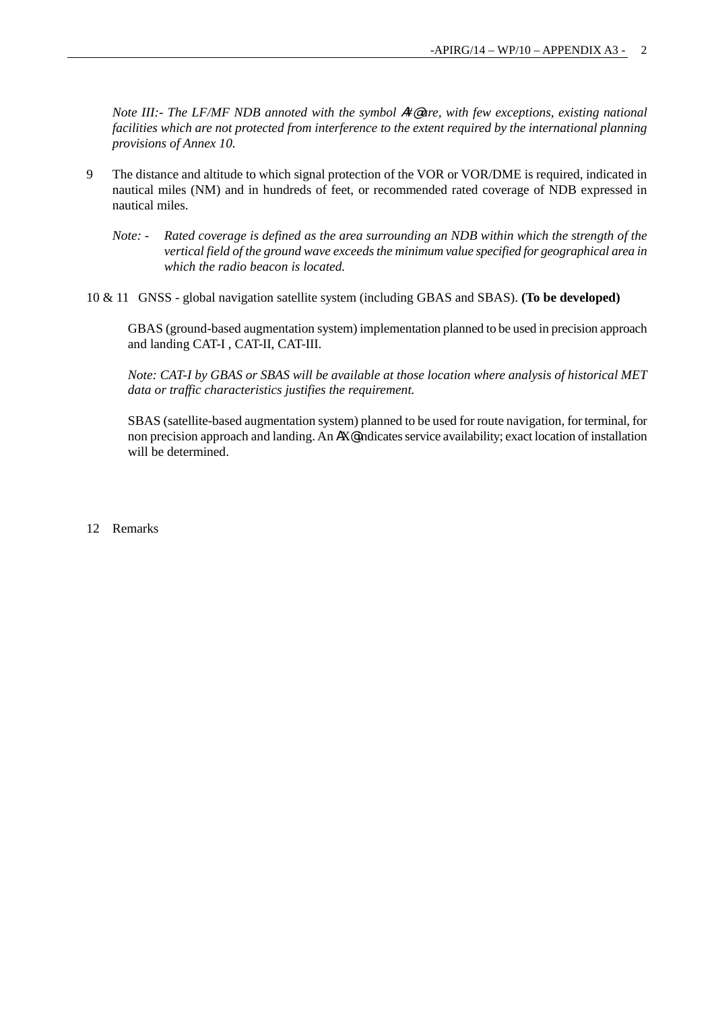*Note III:- The LF/MF NDB annoted with the symbol #*<sup>@</sup> are, with few exceptions, existing national *facilities which are not protected from interference to the extent required by the international planning provisions of Annex 10.*

- 9 The distance and altitude to which signal protection of the VOR or VOR/DME is required, indicated in nautical miles (NM) and in hundreds of feet, or recommended rated coverage of NDB expressed in nautical miles.
	- *Note: Rated coverage is defined as the area surrounding an NDB within which the strength of the vertical field of the ground wave exceeds the minimum value specified for geographical area in which the radio beacon is located.*
- 10 & 11 GNSS global navigation satellite system (including GBAS and SBAS). **(To be developed)**

GBAS (ground-based augmentation system) implementation planned to be used in precision approach and landing CAT-I , CAT-II, CAT-III.

*Note: CAT-I by GBAS or SBAS will be available at those location where analysis of historical MET data or traffic characteristics justifies the requirement.*

SBAS (satellite-based augmentation system) planned to be used for route navigation, for terminal, for non precision approach and landing. An  $AX\textdegree$  indicates service availability; exact location of installation will be determined.

12 Remarks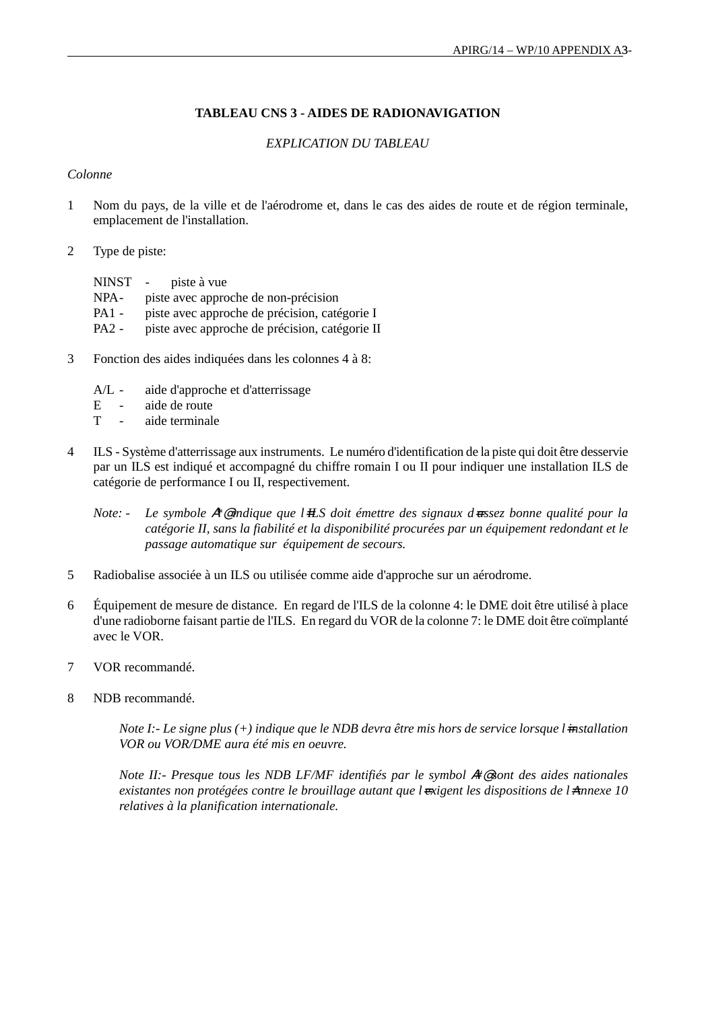# **TABLEAU CNS 3 - AIDES DE RADIONAVIGATION**

# *EXPLICATION DU TABLEAU*

## *Colonne*

- 1 Nom du pays, de la ville et de l'aérodrome et, dans le cas des aides de route et de région terminale, emplacement de l'installation.
- 2 Type de piste:

NINST - piste à vue NPA - piste avec approche de non-précision PA1 - piste avec approche de précision, catégorie I PA2 - piste avec approche de précision, catégorie II

- 3 Fonction des aides indiquées dans les colonnes 4 à 8:
	- A/L aide d'approche et d'atterrissage
	- E aide de route
	- T aide terminale
- 4 ILS Système d'atterrissage aux instruments. Le numéro d'identification de la piste qui doit être desservie par un ILS est indiqué et accompagné du chiffre romain I ou II pour indiquer une installation ILS de catégorie de performance I ou II, respectivement.
	- *Note: Le symbole* A*\**@ *indique que l*=*ILS doit émettre des signaux d*=*assez bonne qualité pour la catégorie II, sans la fiabilité et la disponibilité procurées par un équipement redondant et le passage automatique sur équipement de secours.*
- 5 Radiobalise associée à un ILS ou utilisée comme aide d'approche sur un aérodrome.
- 6 Équipement de mesure de distance. En regard de l'ILS de la colonne 4: le DME doit être utilisé à place d'une radioborne faisant partie de l'ILS. En regard du VOR de la colonne 7: le DME doit être coïmplanté avec le VOR.
- 7 VOR recommandé.
- 8 NDB recommandé.

*Note I:- Le signe plus (+) indique que le NDB devra être mis hors de service lorsque l=installation VOR ou VOR/DME aura été mis en oeuvre.*

*Note II:- Presque tous les NDB LF/MF identifiés par le symbol*  $#$  *sont des aides nationales existantes non protégées contre le brouillage autant que l=xigent les dispositions de l=Annexe 10 relatives à la planification internationale.*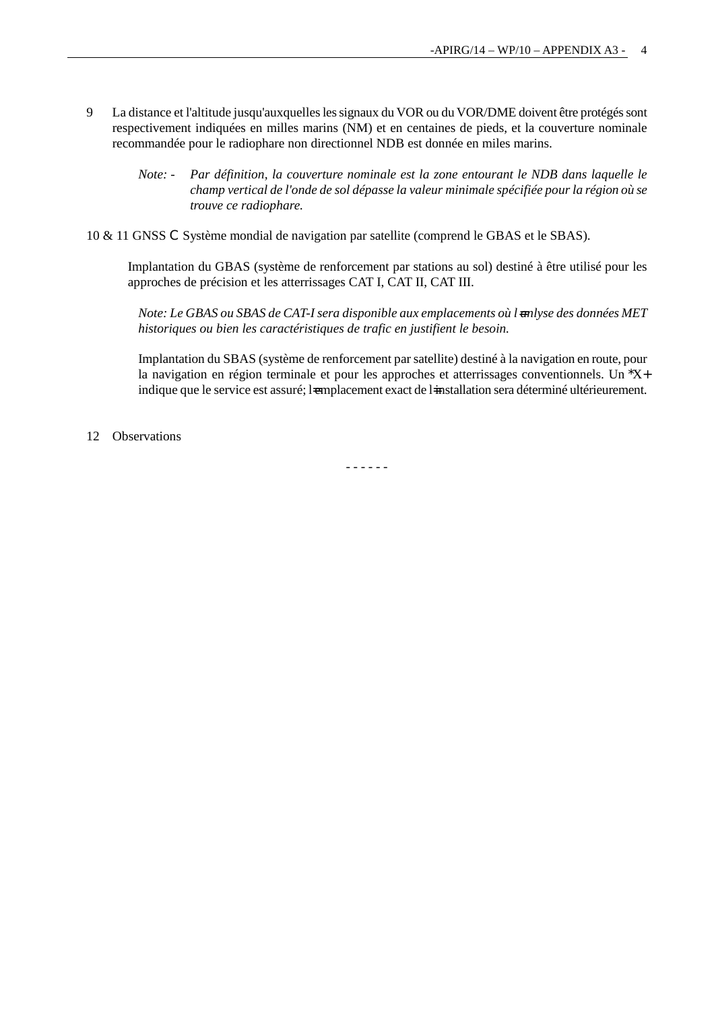- 9 La distance et l'altitude jusqu'auxquelles les signaux du VOR ou du VOR/DME doivent être protégés sont respectivement indiquées en milles marins (NM) et en centaines de pieds, et la couverture nominale recommandée pour le radiophare non directionnel NDB est donnée en miles marins.
	- *Note: Par définition, la couverture nominale est la zone entourant le NDB dans laquelle le champ vertical de l'onde de sol dépasse la valeur minimale spécifiée pour la région où se trouve ce radiophare.*
- 10 & 11 GNSS C Système mondial de navigation par satellite (comprend le GBAS et le SBAS).

Implantation du GBAS (système de renforcement par stations au sol) destiné à être utilisé pour les approches de précision et les atterrissages CAT I, CAT II, CAT III.

*Note: Le GBAS ou SBAS de CAT-I sera disponible aux emplacements où lanlyse des données MET historiques ou bien les caractéristiques de trafic en justifient le besoin.*

Implantation du SBAS (système de renforcement par satellite) destiné à la navigation en route, pour la navigation en région terminale et pour les approches et atterrissages conventionnels. Un \*X+ indique que le service est assuré; l=emplacement exact de l=installation sera déterminé ultérieurement.

12 Observations

- - - - - -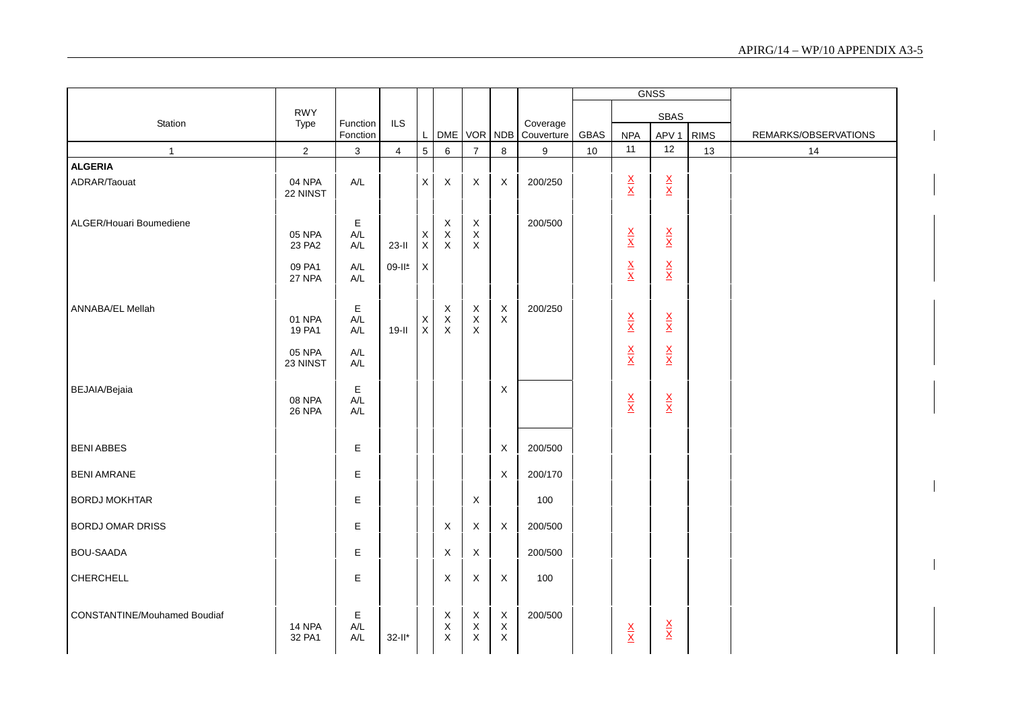|                                     |                           |                                     |                |                   |                            |                                           |                                            |                        |      |                                 | <b>GNSS</b>                     |             |                      |
|-------------------------------------|---------------------------|-------------------------------------|----------------|-------------------|----------------------------|-------------------------------------------|--------------------------------------------|------------------------|------|---------------------------------|---------------------------------|-------------|----------------------|
|                                     | <b>RWY</b>                |                                     |                |                   |                            |                                           |                                            |                        |      |                                 | SBAS                            |             |                      |
| Station                             | Type                      | Function<br>Fonction                | ILS            | L                 |                            | DME VOR NDB                               |                                            | Coverage<br>Couverture | GBAS | <b>NPA</b>                      | APV <sub>1</sub>                | <b>RIMS</b> | REMARKS/OBSERVATIONS |
| $\mathbf{1}$                        | $\overline{c}$            | 3                                   | $\overline{4}$ | 5                 | 6                          | $\overline{7}$                            | $\,8\,$                                    | 9                      | 10   | 11                              | 12                              | 13          | 14                   |
| <b>ALGERIA</b>                      |                           |                                     |                |                   |                            |                                           |                                            |                        |      |                                 |                                 |             |                      |
| ADRAR/Taouat                        | 04 NPA<br>22 NINST        | A/L                                 |                | X                 | X                          | X                                         | X                                          | 200/250                |      | $\frac{\mathsf{X}}{\mathsf{X}}$ | $\frac{\mathsf{X}}{\mathsf{X}}$ |             |                      |
| ALGER/Houari Boumediene             |                           | Е                                   |                |                   | X                          | $\boldsymbol{\mathsf{X}}$                 |                                            | 200/500                |      |                                 |                                 |             |                      |
|                                     | 05 NPA<br>23 PA2          | A/L<br>A/L                          | $23-I$         | X<br>$\mathsf{X}$ | $_{\rm X}^{\rm X}$         | $\boldsymbol{\mathsf{X}}$<br>$\mathsf{X}$ |                                            |                        |      | $\frac{\mathsf{X}}{\mathsf{X}}$ | $\frac{\mathsf{X}}{\mathsf{X}}$ |             |                      |
|                                     | 09 PA1<br>27 NPA          | A/L<br>A/L                          | 09-II*         | $\mathsf X$       |                            |                                           |                                            |                        |      | $\frac{\mathbf{X}}{\mathbf{X}}$ | $\frac{\mathsf{X}}{\mathsf{X}}$ |             |                      |
| <b>ANNABA/EL Mellah</b>             | 01 NPA                    | E                                   |                |                   | Χ                          | Χ                                         | X<br>$\mathsf{X}$                          | 200/250                |      |                                 |                                 |             |                      |
|                                     | 19 PA1                    | A/L<br>A/L                          | $19-II$        | X<br>$\mathsf X$  | $\mathsf X$<br>$\mathsf X$ | $\mathsf X$<br>$\mathsf X$                |                                            |                        |      | $\frac{\mathsf{X}}{\mathsf{X}}$ | $\frac{\mathsf{X}}{\mathsf{X}}$ |             |                      |
|                                     | <b>05 NPA</b><br>23 NINST | A/L<br>A/L                          |                |                   |                            |                                           |                                            |                        |      | $\frac{\mathsf{X}}{\mathsf{X}}$ | $\frac{\mathsf{X}}{\mathsf{X}}$ |             |                      |
| BEJAIA/Bejaia                       | 08 NPA<br>26 NPA          | E<br>$\mathsf{A}/\mathsf{L}$<br>A/L |                |                   |                            |                                           | X                                          |                        |      | $\frac{\mathsf{X}}{\mathsf{X}}$ | $\frac{\mathsf{X}}{\mathsf{X}}$ |             |                      |
| <b>BENI ABBES</b>                   |                           | E                                   |                |                   |                            |                                           | X                                          | 200/500                |      |                                 |                                 |             |                      |
| <b>BENI AMRANE</b>                  |                           | E                                   |                |                   |                            |                                           | $\sf X$                                    | 200/170                |      |                                 |                                 |             |                      |
| <b>BORDJ MOKHTAR</b>                |                           | E                                   |                |                   |                            | X                                         |                                            | 100                    |      |                                 |                                 |             |                      |
| <b>BORDJ OMAR DRISS</b>             |                           | Е                                   |                |                   | X                          | X                                         | $\sf X$                                    | 200/500                |      |                                 |                                 |             |                      |
| <b>BOU-SAADA</b>                    |                           | Е                                   |                |                   | X                          | $\boldsymbol{\mathsf{X}}$                 |                                            | 200/500                |      |                                 |                                 |             |                      |
| CHERCHELL                           |                           | E                                   |                |                   | $\mathsf X$                | X                                         | $\mathsf X$                                | 100                    |      |                                 |                                 |             |                      |
| <b>CONSTANTINE/Mouhamed Boudiaf</b> | <b>14 NPA</b><br>32 PA1   | Ε<br>A/L<br>A/L                     | $32$ -II*      |                   | X<br>X<br>X                | X<br>$\boldsymbol{\mathsf{X}}$<br>X       | $\mathsf X$<br>$\mathsf X$<br>$\mathsf{X}$ | 200/500                |      | $\frac{\mathsf{X}}{\mathsf{X}}$ | $\frac{\mathsf{X}}{\mathsf{X}}$ |             |                      |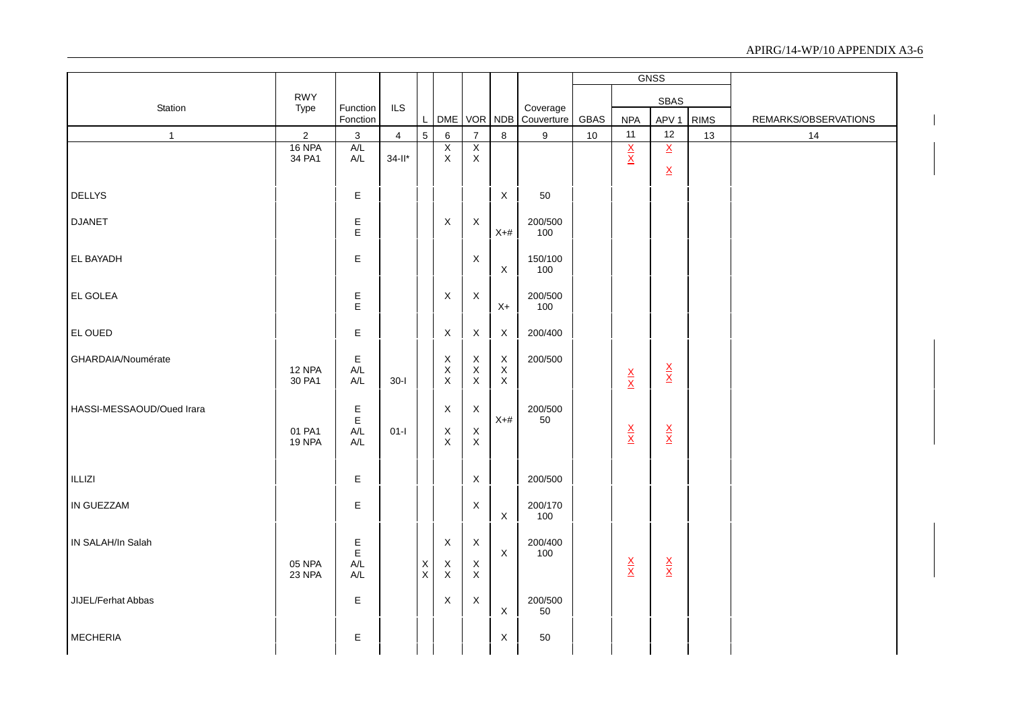|                           |                  |                                                    |                |                            |                               |                                                        |                            |                        | <b>GNSS</b> |                                 |                                 |             |                      |
|---------------------------|------------------|----------------------------------------------------|----------------|----------------------------|-------------------------------|--------------------------------------------------------|----------------------------|------------------------|-------------|---------------------------------|---------------------------------|-------------|----------------------|
|                           | <b>RWY</b>       |                                                    |                |                            |                               |                                                        |                            |                        |             |                                 | <b>SBAS</b>                     |             |                      |
| Station                   | Type             | Function<br>Fonction                               | ILS            | L                          |                               |                                                        | DME VOR NDB                | Coverage<br>Couverture | GBAS        | <b>NPA</b>                      | APV <sub>1</sub>                | <b>RIMS</b> | REMARKS/OBSERVATIONS |
| $\mathbf{1}$              | $\sqrt{2}$       | $\sqrt{3}$                                         | $\overline{4}$ | $5\overline{)}$            | $\,6\,$                       | $\boldsymbol{7}$                                       | $\bf 8$                    | $\boldsymbol{9}$       | 10          | 11                              | 12                              | 13          | 14                   |
|                           | 16 NPA<br>34 PA1 | A/L<br>$\mathsf{A}/\mathsf{L}$                     | $34$ -ll*      |                            | $\overline{X}$<br>$\mathsf X$ | $\overline{\mathsf{x}}$<br>X                           |                            |                        |             | $\frac{X}{X}$                   | $\overline{\mathsf{x}}$         |             |                      |
|                           |                  |                                                    |                |                            |                               |                                                        |                            |                        |             |                                 | $\underline{X}$                 |             |                      |
| <b>DELLYS</b>             |                  | E                                                  |                |                            |                               |                                                        | $\mathsf X$                | 50                     |             |                                 |                                 |             |                      |
|                           |                  |                                                    |                |                            |                               |                                                        |                            |                        |             |                                 |                                 |             |                      |
| <b>DJANET</b>             |                  | Е<br>E                                             |                |                            | $\mathsf X$                   | $\mathsf{X}$                                           | $X+#$                      | 200/500<br>100         |             |                                 |                                 |             |                      |
| EL BAYADH                 |                  | Е                                                  |                |                            |                               | X                                                      |                            | 150/100                |             |                                 |                                 |             |                      |
|                           |                  |                                                    |                |                            |                               |                                                        | $\mathsf X$                | 100                    |             |                                 |                                 |             |                      |
| EL GOLEA                  |                  | E                                                  |                |                            | $\mathsf X$                   | $\boldsymbol{\mathsf{X}}$                              |                            | 200/500                |             |                                 |                                 |             |                      |
|                           |                  | E                                                  |                |                            |                               |                                                        | $X+$                       | 100                    |             |                                 |                                 |             |                      |
| EL OUED                   |                  | E                                                  |                |                            | $\mathsf X$                   | $\mathsf X$                                            | $\mathsf X$                | 200/400                |             |                                 |                                 |             |                      |
| GHARDAIA/Noumérate        |                  | E                                                  |                |                            | X                             | $\mathsf X$                                            | $\mathsf X$                | 200/500                |             |                                 |                                 |             |                      |
|                           | 12 NPA<br>30 PA1 | $\mathsf{A}/\mathsf{L}$<br>$\mathsf{A}/\mathsf{L}$ | $30-I$         |                            | $\mathsf X$<br>$\mathsf X$    | $\mathsf X$<br>$\mathsf X$                             | $\mathsf X$<br>$\mathsf X$ |                        |             | $\frac{X}{X}$                   | $\frac{\mathsf{X}}{\mathsf{X}}$ |             |                      |
|                           |                  |                                                    |                |                            |                               |                                                        |                            |                        |             |                                 |                                 |             |                      |
| HASSI-MESSAOUD/Oued Irara |                  | E<br>E                                             |                |                            | $\mathsf X$                   | $\boldsymbol{X}$                                       | $X+#$                      | 200/500<br>50          |             |                                 |                                 |             |                      |
|                           | 01 PA1           | $\mathsf{A}/\mathsf{L}$                            | $01-I$         |                            | $\boldsymbol{\mathsf{X}}$     | $\mathsf X$                                            |                            |                        |             | $\frac{\mathsf{X}}{\mathsf{X}}$ | $\frac{\mathsf{X}}{\mathsf{X}}$ |             |                      |
|                           | 19 NPA           | A/L                                                |                |                            | $\mathsf X$                   | $\mathsf X$                                            |                            |                        |             |                                 |                                 |             |                      |
| ILLIZI                    |                  | E                                                  |                |                            |                               | $\mathsf X$                                            |                            | 200/500                |             |                                 |                                 |             |                      |
| <b>IN GUEZZAM</b>         |                  |                                                    |                |                            |                               |                                                        |                            | 200/170                |             |                                 |                                 |             |                      |
|                           |                  | Е                                                  |                |                            |                               | $\mathsf X$                                            | $\mathsf X$                | 100                    |             |                                 |                                 |             |                      |
| IN SALAH/In Salah         |                  | E                                                  |                |                            | $\boldsymbol{\mathsf{X}}$     | $\mathsf{X}$                                           |                            | 200/400                |             |                                 |                                 |             |                      |
|                           |                  | Е                                                  |                |                            |                               |                                                        | $\mathsf X$                | 100                    |             |                                 |                                 |             |                      |
|                           | 05 NPA<br>23 NPA | A/L<br>A/L                                         |                | $\mathsf X$<br>$\mathsf X$ | X<br>$\mathsf X$              | $\boldsymbol{\mathsf{X}}$<br>$\boldsymbol{\mathsf{X}}$ |                            |                        |             | $\frac{X}{X}$                   | $\frac{\mathsf{X}}{\mathsf{X}}$ |             |                      |
| JIJEL/Ferhat Abbas        |                  | Е                                                  |                |                            | X                             | $\mathsf X$                                            |                            | 200/500                |             |                                 |                                 |             |                      |
|                           |                  |                                                    |                |                            |                               |                                                        | $\mathsf X$                | 50                     |             |                                 |                                 |             |                      |
| <b>MECHERIA</b>           |                  | E                                                  |                |                            |                               |                                                        | X                          | 50                     |             |                                 |                                 |             |                      |
|                           |                  |                                                    |                |                            |                               |                                                        |                            |                        |             |                                 |                                 |             |                      |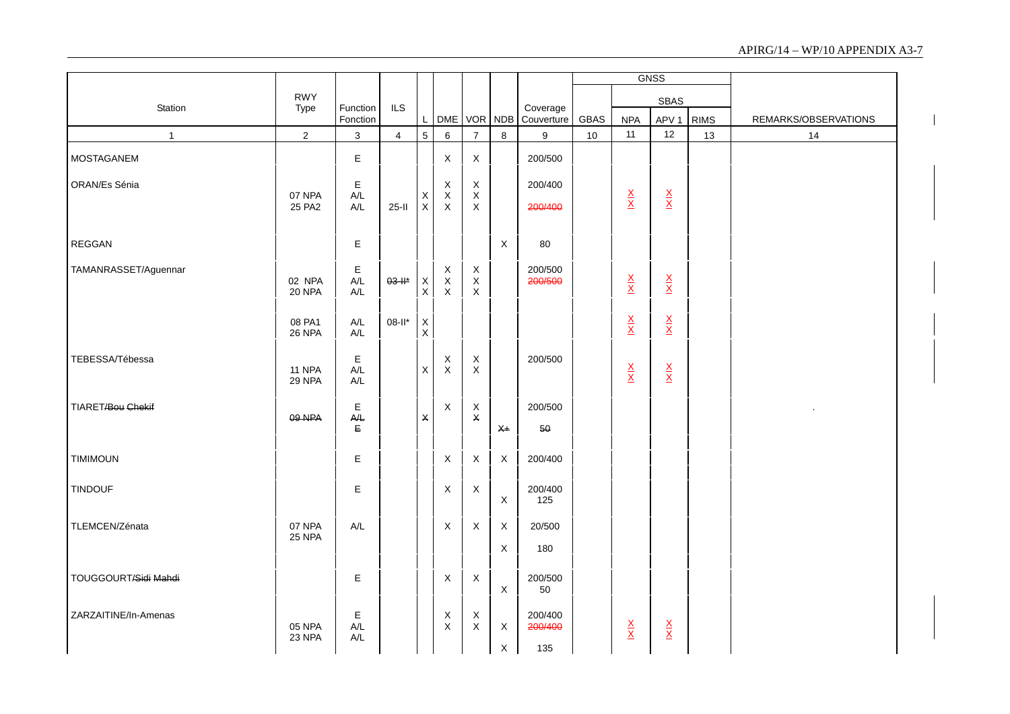|                      |                         |                                                 |                         |                                |                                              |                                                         |                            |                           |             |                                 | <b>GNSS</b>                     |             |                      |
|----------------------|-------------------------|-------------------------------------------------|-------------------------|--------------------------------|----------------------------------------------|---------------------------------------------------------|----------------------------|---------------------------|-------------|---------------------------------|---------------------------------|-------------|----------------------|
| Station              | <b>RWY</b><br>Type      | Function                                        | <b>ILS</b>              |                                |                                              |                                                         |                            | Coverage                  |             |                                 | SBAS                            |             |                      |
|                      |                         | Fonction                                        |                         | L                              | DME VOR NDB                                  |                                                         |                            | Couverture                | <b>GBAS</b> | <b>NPA</b>                      | APV <sub>1</sub>                | <b>RIMS</b> | REMARKS/OBSERVATIONS |
| $\mathbf{1}$         | $\overline{2}$          | $\mathbf{3}$                                    | $\overline{\mathbf{4}}$ | $\overline{5}$                 | 6                                            | $\overline{7}$                                          | 8                          | $\boldsymbol{9}$          | 10          | 11                              | 12                              | 13          | 14                   |
| <b>MOSTAGANEM</b>    |                         | E                                               |                         |                                | $\mathsf X$                                  | $\boldsymbol{\mathsf{X}}$                               |                            | 200/500                   |             |                                 |                                 |             |                      |
| ORAN/Es Sénia        | 07 NPA<br>25 PA2        | E<br>A/L<br>A/L                                 | $25-I$                  | X<br>$\mathsf{X}$              | $\mathsf X$<br>$\mathsf X$<br>$\pmb{\times}$ | $\boldsymbol{\mathsf{X}}$<br>$\mathsf X$<br>X           |                            | 200/400<br>200/400        |             | $\frac{\mathsf{X}}{\mathsf{X}}$ | $\frac{\mathsf{X}}{\mathsf{X}}$ |             |                      |
| REGGAN               |                         | E                                               |                         |                                |                                              |                                                         | X                          | 80                        |             |                                 |                                 |             |                      |
| TAMANRASSET/Aguennar | 02 NPA<br><b>20 NPA</b> | Е<br>A/L<br>$A/L$                               | $03 - H^*$              | X<br>$\boldsymbol{\mathsf{X}}$ | X<br>$\mathsf X$<br>$\pmb{\times}$           | $\mathsf X$<br>$\boldsymbol{\mathsf{X}}$<br>$\mathsf X$ |                            | 200/500<br>200/500        |             | $\frac{\mathsf{X}}{\mathsf{X}}$ | $\frac{\mathsf{X}}{\mathsf{X}}$ |             |                      |
|                      | 08 PA1<br><b>26 NPA</b> | A/L<br>A/L                                      | 08-II*                  | X<br>$\mathsf X$               |                                              |                                                         |                            |                           |             | $\frac{\mathsf{X}}{\mathsf{X}}$ | $\frac{\mathsf{X}}{\mathsf{X}}$ |             |                      |
| TEBESSA/Tébessa      | 11 NPA<br>29 NPA        | $\mathsf E$<br>$A/L$<br>$\mathsf{A}/\mathsf{L}$ |                         | $\boldsymbol{\mathsf{X}}$      | $\boldsymbol{\mathsf{X}}$<br>$\mathsf X$     | X<br>$\mathsf X$                                        |                            | 200/500                   |             | $\frac{\mathsf{X}}{\mathsf{X}}$ | $\frac{\mathsf{X}}{\mathsf{X}}$ |             |                      |
| TIARET/Bou Chekif    | 09 NPA                  | E<br>A/E<br>Е                                   |                         | X                              | X                                            | X<br>X                                                  | $X+$                       | 200/500<br>50             |             |                                 |                                 |             |                      |
| <b>TIMIMOUN</b>      |                         | Е                                               |                         |                                | X                                            | X                                                       | $\mathsf{X}$               | 200/400                   |             |                                 |                                 |             |                      |
| <b>TINDOUF</b>       |                         | E                                               |                         |                                | $\mathsf X$                                  | X                                                       | $\mathsf X$                | 200/400<br>125            |             |                                 |                                 |             |                      |
| TLEMCEN/Zénata       | 07 NPA<br>25 NPA        | $A/L$                                           |                         |                                | $\mathsf X$                                  | $\boldsymbol{\mathsf{X}}$                               | $\mathsf X$<br>$\mathsf X$ | 20/500<br>180             |             |                                 |                                 |             |                      |
| TOUGGOURT/Sidi Mahdi |                         | E                                               |                         |                                | $\mathsf X$                                  | $\mathsf X$                                             | $\mathsf X$                | 200/500<br>50             |             |                                 |                                 |             |                      |
| ZARZAITINE/In-Amenas | 05 NPA<br>23 NPA        | E<br>A/L<br>A/L                                 |                         |                                | $_{\rm X}^{\rm X}$                           | X<br>X                                                  | $\mathsf X$<br>X           | 200/400<br>200/400<br>135 |             | $\frac{\mathsf{X}}{\mathsf{X}}$ | $\frac{\mathsf{X}}{\mathsf{X}}$ |             |                      |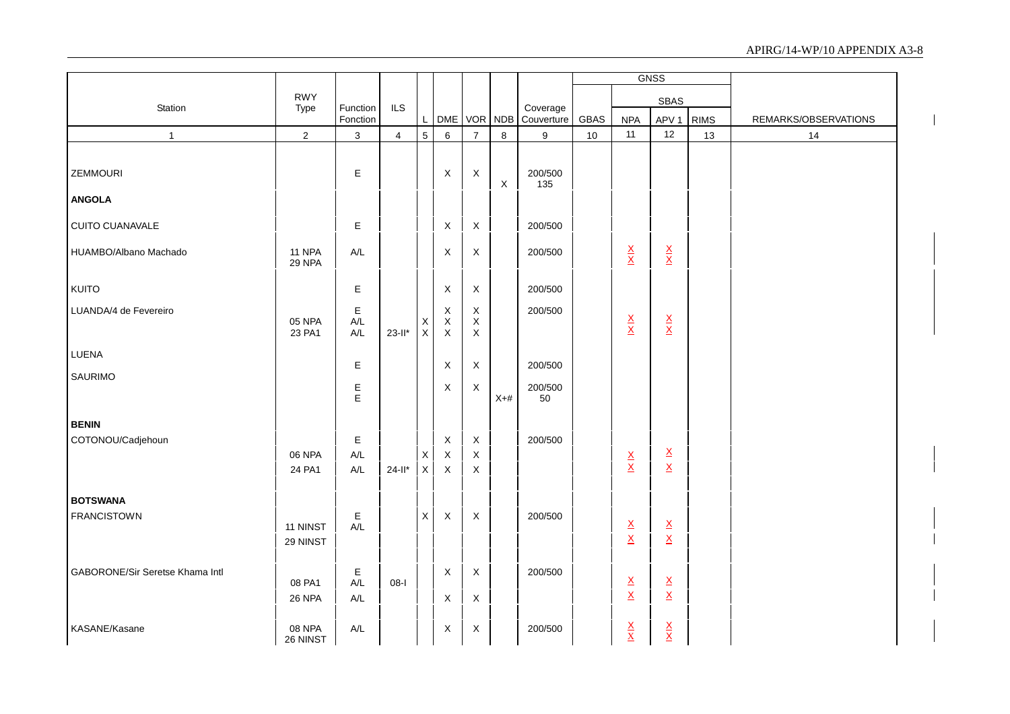|                                 |                      |                                                 |                |                            |                                           |                                           |             |                            |      |                                                      | <b>GNSS</b>                                          |             |                      |
|---------------------------------|----------------------|-------------------------------------------------|----------------|----------------------------|-------------------------------------------|-------------------------------------------|-------------|----------------------------|------|------------------------------------------------------|------------------------------------------------------|-------------|----------------------|
|                                 | <b>RWY</b>           |                                                 |                |                            |                                           |                                           |             |                            |      |                                                      | SBAS                                                 |             |                      |
| Station                         | Type                 | Function<br>Fonction                            | <b>ILS</b>     | $\mathsf{L}$               |                                           | DME VOR                                   |             | Coverage<br>NDB Couverture | GBAS | <b>NPA</b>                                           | APV <sub>1</sub>                                     | <b>RIMS</b> | REMARKS/OBSERVATIONS |
| $\mathbf{1}$                    | $\mathbf{2}$         | 3                                               | $\overline{4}$ | $5\phantom{.0}$            | 6                                         | $\overline{7}$                            | 8           | 9                          | 10   | 11                                                   | 12                                                   | 13          | 14                   |
|                                 |                      |                                                 |                |                            |                                           |                                           |             |                            |      |                                                      |                                                      |             |                      |
| <b>ZEMMOURI</b>                 |                      | $\mathsf E$                                     |                |                            | X                                         | $\mathsf X$                               | $\mathsf X$ | 200/500<br>135             |      |                                                      |                                                      |             |                      |
| <b>ANGOLA</b>                   |                      |                                                 |                |                            |                                           |                                           |             |                            |      |                                                      |                                                      |             |                      |
| CUITO CUANAVALE                 |                      | E                                               |                |                            | X                                         | $\mathsf X$                               |             | 200/500                    |      |                                                      |                                                      |             |                      |
| HUAMBO/Albano Machado           | 11 NPA<br>29 NPA     | $A/L$                                           |                |                            | X                                         | $\mathsf X$                               |             | 200/500                    |      | $\frac{\mathsf{X}}{\mathsf{X}}$                      | $\frac{\mathsf{X}}{\mathsf{X}}$                      |             |                      |
| <b>KUITO</b>                    |                      | $\mathsf E$                                     |                |                            | $\mathsf X$                               | $\mathsf X$                               |             | 200/500                    |      |                                                      |                                                      |             |                      |
| LUANDA/4 de Fevereiro           | 05 NPA<br>23 PA1     | $\mathsf E$<br>$A/L$<br>$\mathsf{A}/\mathsf{L}$ | $23$ -ll*      | $\mathsf X$<br>$\mathsf X$ | $\mathsf X$<br>$\mathsf X$<br>$\mathsf X$ | $\mathsf X$<br>$\mathsf X$<br>$\mathsf X$ |             | 200/500                    |      | $\frac{\mathsf{X}}{\mathsf{X}}$                      | $\frac{\mathsf{X}}{\mathsf{X}}$                      |             |                      |
| LUENA                           |                      | Ε                                               |                |                            | $\mathsf X$                               | $\mathsf X$                               |             | 200/500                    |      |                                                      |                                                      |             |                      |
| <b>SAURIMO</b>                  |                      |                                                 |                |                            |                                           |                                           |             |                            |      |                                                      |                                                      |             |                      |
|                                 |                      | $\frac{\mathsf{E}}{\mathsf{E}}$                 |                |                            | X                                         | $\boldsymbol{\mathsf{X}}$                 | $X+#$       | 200/500<br>50              |      |                                                      |                                                      |             |                      |
| <b>BENIN</b>                    |                      |                                                 |                |                            |                                           |                                           |             |                            |      |                                                      |                                                      |             |                      |
| COTONOU/Cadjehoun               |                      | $\mathsf E$                                     |                |                            | $\mathsf X$                               | $\mathsf X$                               |             | 200/500                    |      |                                                      |                                                      |             |                      |
|                                 | 06 NPA               | $A/L$                                           |                | $\mathsf{X}$               | $\mathsf X$                               | X                                         |             |                            |      | $\frac{\mathsf{X}}{\mathsf{X}}$                      | $\underline{\mathsf{X}}$<br>$\underline{\mathsf{X}}$ |             |                      |
|                                 | 24 PA1               | $A/L$                                           | $24 - 11*$     | $\mathsf X$                | $\mathsf X$                               | X                                         |             |                            |      |                                                      |                                                      |             |                      |
| <b>BOTSWANA</b>                 |                      |                                                 |                |                            |                                           |                                           |             |                            |      |                                                      |                                                      |             |                      |
| <b>FRANCISTOWN</b>              | 11 NINST<br>29 NINST | Ε<br>A/L                                        |                | $\mathsf X$                | $\mathsf X$                               | X                                         |             | 200/500                    |      | $\underline{\mathsf{X}}$<br>$\underline{\mathsf{X}}$ | $\underline{\mathsf{X}}$<br>$\underline{\mathsf{X}}$ |             |                      |
| GABORONE/Sir Seretse Khama Intl | 08 PA1               | $\mathsf E$<br>$A/L$                            | $08-I$         |                            | $\mathsf X$                               | $\mathsf X$                               |             | 200/500                    |      | $\underline{X}$                                      | $\underline{\mathsf{X}}$                             |             |                      |
|                                 | <b>26 NPA</b>        | A/L                                             |                |                            | X                                         | $\mathsf X$                               |             |                            |      | $\underline{\mathsf{X}}$                             | $\underline{\mathsf{X}}$                             |             |                      |
| KASANE/Kasane                   | 08 NPA<br>26 NINST   | A/L                                             |                |                            | X                                         | $\boldsymbol{\mathsf{X}}$                 |             | 200/500                    |      | $\frac{\mathsf{X}}{\mathsf{X}}$                      | $\frac{\mathsf{X}}{\mathsf{X}}$                      |             |                      |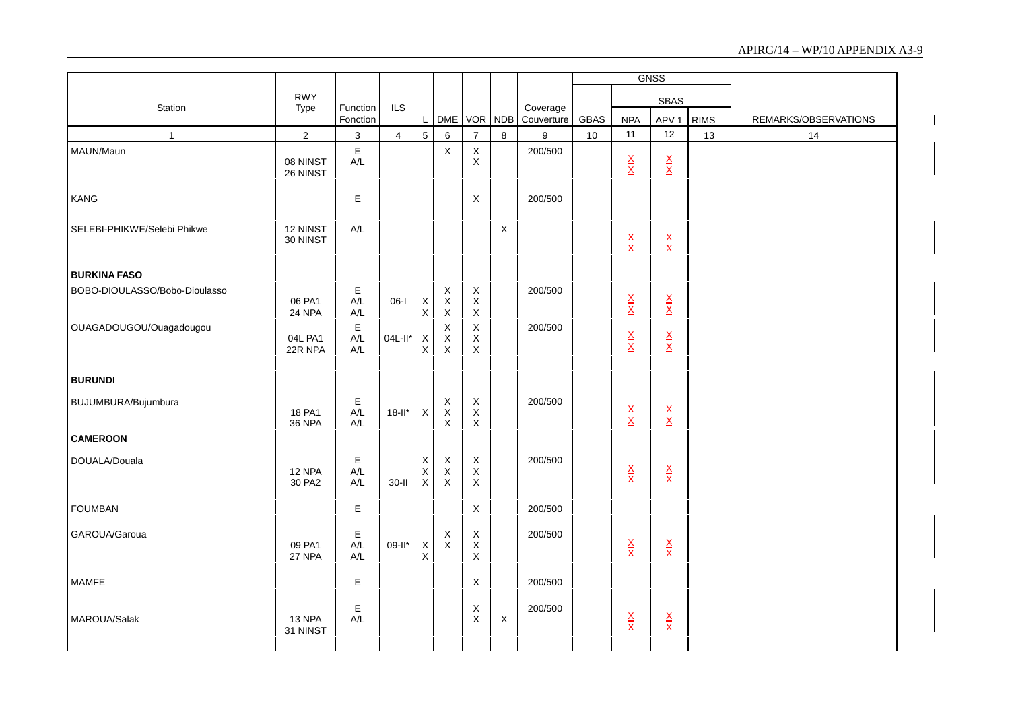|                               |                         |                           |                |                                                 |                                                                       |                                                                          |             |                        |      |                                 | <b>GNSS</b>                     |             |                      |
|-------------------------------|-------------------------|---------------------------|----------------|-------------------------------------------------|-----------------------------------------------------------------------|--------------------------------------------------------------------------|-------------|------------------------|------|---------------------------------|---------------------------------|-------------|----------------------|
|                               | <b>RWY</b>              |                           |                |                                                 |                                                                       |                                                                          |             |                        |      |                                 | <b>SBAS</b>                     |             |                      |
| Station                       | Type                    | Function<br>Fonction      | <b>ILS</b>     | L                                               | DME                                                                   | VOR NDB                                                                  |             | Coverage<br>Couverture | GBAS | <b>NPA</b>                      | APV <sub>1</sub>                | <b>RIMS</b> | REMARKS/OBSERVATIONS |
| $\mathbf{1}$                  | $\overline{2}$          | $\sqrt{3}$                | $\overline{4}$ | $\overline{5}$                                  | 6                                                                     | $\overline{7}$                                                           | 8           | 9                      | 10   | 11                              | 12                              | 13          | 14                   |
| MAUN/Maun                     | 08 NINST<br>26 NINST    | $\mathsf E$<br>A/L        |                |                                                 | $\mathsf X$                                                           | $\mathsf X$<br>X                                                         |             | 200/500                |      | $\frac{\mathsf{X}}{\mathsf{X}}$ | $\frac{\mathsf{X}}{\mathsf{X}}$ |             |                      |
| KANG                          |                         | $\mathsf E$               |                |                                                 |                                                                       | $\mathsf X$                                                              |             | 200/500                |      |                                 |                                 |             |                      |
| SELEBI-PHIKWE/Selebi Phikwe   | 12 NINST<br>30 NINST    | A/L                       |                |                                                 |                                                                       |                                                                          | X           |                        |      | $\frac{\mathsf{X}}{\mathsf{X}}$ | $\frac{\mathbf{X}}{\mathbf{X}}$ |             |                      |
| <b>BURKINA FASO</b>           |                         |                           |                |                                                 |                                                                       |                                                                          |             |                        |      |                                 |                                 |             |                      |
| BOBO-DIOULASSO/Bobo-Dioulasso | 06 PA1<br>24 NPA        | $\mathsf E$<br>A/L<br>A/L | $06-I$         | $\pmb{\mathsf{X}}$<br>$\boldsymbol{\mathsf{X}}$ | $\mathsf X$<br>$\mathsf X$<br>$\boldsymbol{\mathsf{X}}$               | $\mathsf X$<br>$\mathsf X$<br>X                                          |             | 200/500                |      | $\frac{\mathsf{X}}{\mathsf{X}}$ | $\frac{\mathsf{X}}{\mathsf{X}}$ |             |                      |
| OUAGADOUGOU/Ouagadougou       | 04L PA1<br>22R NPA      | $\mathsf E$<br>A/L<br>A/L | 04L-II*        | $\boldsymbol{\mathsf{X}}$<br>$\times$           | $\mathsf X$<br>$\mathsf X$<br>$\boldsymbol{\mathsf{X}}$               | X<br>X<br>$\boldsymbol{\mathsf{X}}$                                      |             | 200/500                |      | $\frac{\mathsf{X}}{\mathsf{X}}$ | $\frac{\mathsf{x}}{\mathsf{x}}$ |             |                      |
| <b>BURUNDI</b>                |                         |                           |                |                                                 |                                                                       |                                                                          |             |                        |      |                                 |                                 |             |                      |
| BUJUMBURA/Bujumbura           | 18 PA1<br><b>36 NPA</b> | $\mathsf E$<br>A/L<br>A/L | $18$ -ll*      | X                                               | $\boldsymbol{\mathsf{X}}$<br>$\mathsf X$<br>$\boldsymbol{\mathsf{X}}$ | $\boldsymbol{\mathsf{X}}$<br>$\boldsymbol{\mathsf{X}}$<br>$\pmb{\times}$ |             | 200/500                |      | $\frac{\mathsf{X}}{\mathsf{X}}$ | $\frac{\mathsf{X}}{\mathsf{X}}$ |             |                      |
| <b>CAMEROON</b>               |                         |                           |                |                                                 |                                                                       |                                                                          |             |                        |      |                                 |                                 |             |                      |
| DOUALA/Douala                 | 12 NPA<br>30 PA2        | $\mathsf E$<br>A/L<br>A/L | $30-I$         | $\mathsf X$<br>$\sf X$<br>X                     | $\boldsymbol{\mathsf{X}}$<br>$\sf X$<br>X                             | $\mathsf X$<br>$\mathsf X$<br>X                                          |             | 200/500                |      | $\frac{\mathsf{X}}{\mathsf{X}}$ | $\frac{\mathsf{X}}{\mathsf{X}}$ |             |                      |
| <b>FOUMBAN</b>                |                         | $\mathsf E$               |                |                                                 |                                                                       | X                                                                        |             | 200/500                |      |                                 |                                 |             |                      |
| GAROUA/Garoua                 | 09 PA1<br>27 NPA        | $\mathsf E$<br>A/L<br>A/L | 09-II*         | $\mathsf X$<br>$\times$                         | X<br>$\mathsf X$                                                      | X<br>$\mathsf X$<br>X                                                    |             | 200/500                |      | $\frac{\mathsf{X}}{\mathsf{X}}$ | $\frac{\mathsf{X}}{\mathsf{X}}$ |             |                      |
| MAMFE                         |                         | Е                         |                |                                                 |                                                                       | X                                                                        |             | 200/500                |      |                                 |                                 |             |                      |
| MAROUA/Salak                  | 13 NPA<br>31 NINST      | Е<br>A/L                  |                |                                                 |                                                                       | X<br>$\mathsf X$                                                         | $\mathsf X$ | 200/500                |      | $\frac{\mathsf{X}}{\mathsf{X}}$ | $\frac{\mathsf{X}}{\mathsf{X}}$ |             |                      |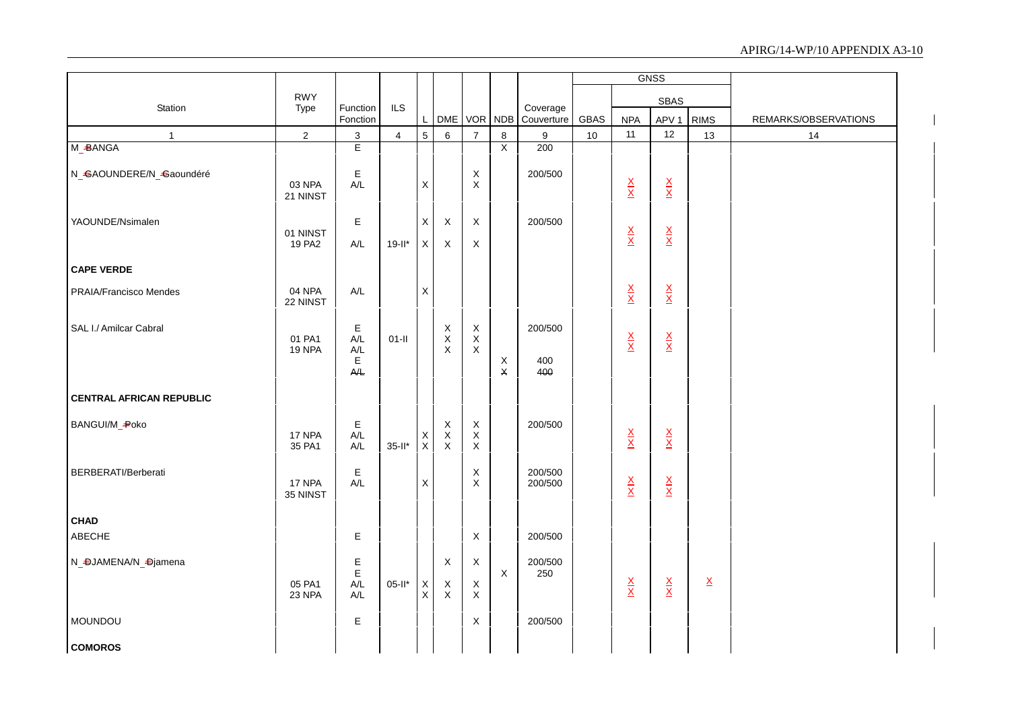|                                 |                         |                                                     |                |                                        |                                           |                                           |                  |                        |      |                                 | <b>GNSS</b>                     |                 |                      |
|---------------------------------|-------------------------|-----------------------------------------------------|----------------|----------------------------------------|-------------------------------------------|-------------------------------------------|------------------|------------------------|------|---------------------------------|---------------------------------|-----------------|----------------------|
|                                 | <b>RWY</b>              |                                                     |                |                                        |                                           |                                           |                  |                        |      |                                 | SBAS                            |                 |                      |
| Station                         | Type                    | Function<br>Fonction                                | <b>ILS</b>     | $\mathsf{L}$                           |                                           | DME VOR NDB                               |                  | Coverage<br>Couverture | GBAS | <b>NPA</b>                      | APV <sub>1</sub>                | <b>RIMS</b>     | REMARKS/OBSERVATIONS |
| $\mathbf{1}$                    | $\sqrt{2}$              | $\mathfrak{S}$                                      | $\overline{4}$ | $\overline{5}$                         | $\,6\,$                                   | $\overline{7}$                            | $\bf8$           | 9                      | 10   | 11                              | 12                              | $13$            | 14                   |
| M_BANGA                         |                         | E                                                   |                |                                        |                                           |                                           | $\overline{X}$   | 200                    |      |                                 |                                 |                 |                      |
| N_GAOUNDERE/N_Gaoundéré         | 03 NPA<br>21 NINST      | $\mathsf E$<br>A/L                                  |                | $\mathsf X$                            |                                           | X<br>$\mathsf X$                          |                  | 200/500                |      | $\frac{\mathsf{X}}{\mathsf{X}}$ | $\frac{\mathsf{x}}{\mathsf{x}}$ |                 |                      |
| YAOUNDE/Nsimalen                | 01 NINST<br>19 PA2      | E<br>$A/L$                                          | $19$ -ll*      | $\mathsf X$<br>$\mathsf X$             | X<br>X                                    | $\mathsf X$<br>X                          |                  | 200/500                |      | $\frac{\mathsf{X}}{\mathsf{X}}$ | $\frac{\mathsf{X}}{\mathsf{X}}$ |                 |                      |
| <b>CAPE VERDE</b>               |                         |                                                     |                |                                        |                                           |                                           |                  |                        |      |                                 |                                 |                 |                      |
| <b>PRAIA/Francisco Mendes</b>   | 04 NPA<br>22 NINST      | $A/L$                                               |                | $\mathsf X$                            |                                           |                                           |                  |                        |      | $\frac{\mathsf{X}}{\mathsf{X}}$ | $\frac{\mathsf{X}}{\mathsf{X}}$ |                 |                      |
| SAL I./ Amilcar Cabral          | 01 PA1<br><b>19 NPA</b> | E<br>$A/L$<br>$\mathsf{A}/\mathsf{L}$<br>E<br>$A/L$ | $01-II$        |                                        | $_{\rm X}^{\rm X}$<br>$\sf X$             | $\mathsf X$<br>$\mathsf X$<br>X           | $\mathsf X$<br>X | 200/500<br>400<br>400  |      | $\frac{\mathsf{X}}{\mathsf{X}}$ | $\frac{\mathsf{X}}{\mathsf{X}}$ |                 |                      |
| <b>CENTRAL AFRICAN REPUBLIC</b> |                         |                                                     |                |                                        |                                           |                                           |                  |                        |      |                                 |                                 |                 |                      |
| BANGUI/M_-Poko                  | 17 NPA<br>35 PA1        | E<br>A/L<br>$A/L$                                   | $35$ -ll*      | $\underset{\mathsf{X}}{\times}$        | $\mathsf X$<br>$\mathsf X$<br>$\mathsf X$ | $\mathsf X$<br>$\mathsf X$<br>$\mathsf X$ |                  | 200/500                |      | $\frac{\mathsf{X}}{\mathsf{X}}$ | $\frac{\mathsf{X}}{\mathsf{X}}$ |                 |                      |
| BERBERATI/Berberati             | 17 NPA<br>35 NINST      | E<br>$A/L$                                          |                | $\mathsf X$                            |                                           | X<br>X                                    |                  | 200/500<br>200/500     |      | $\frac{\mathsf{X}}{\mathsf{X}}$ | $\frac{\mathsf{x}}{\mathsf{x}}$ |                 |                      |
| <b>CHAD</b>                     |                         |                                                     |                |                                        |                                           |                                           |                  |                        |      |                                 |                                 |                 |                      |
| ABECHE                          |                         | E                                                   |                |                                        |                                           | $\times$                                  |                  | 200/500                |      |                                 |                                 |                 |                      |
| N_DJAMENA/N_Djamena             | 05 PA1<br>23 NPA        | Е<br>$\mathsf E$<br>$A/L$<br>A/L                    | $05-II^*$      | $\mathsf X$<br>$\overline{\mathsf{x}}$ | X<br>X<br>$\mathsf X$                     | X<br>$\mathsf X$<br>X                     | $\mathsf X$      | 200/500<br>250         |      | $\frac{\mathsf{X}}{\mathsf{X}}$ | $\frac{\mathsf{X}}{\mathsf{X}}$ | $\underline{X}$ |                      |
| <b>MOUNDOU</b>                  |                         | E                                                   |                |                                        |                                           | X                                         |                  | 200/500                |      |                                 |                                 |                 |                      |
| <b>COMOROS</b>                  |                         |                                                     |                |                                        |                                           |                                           |                  |                        |      |                                 |                                 |                 |                      |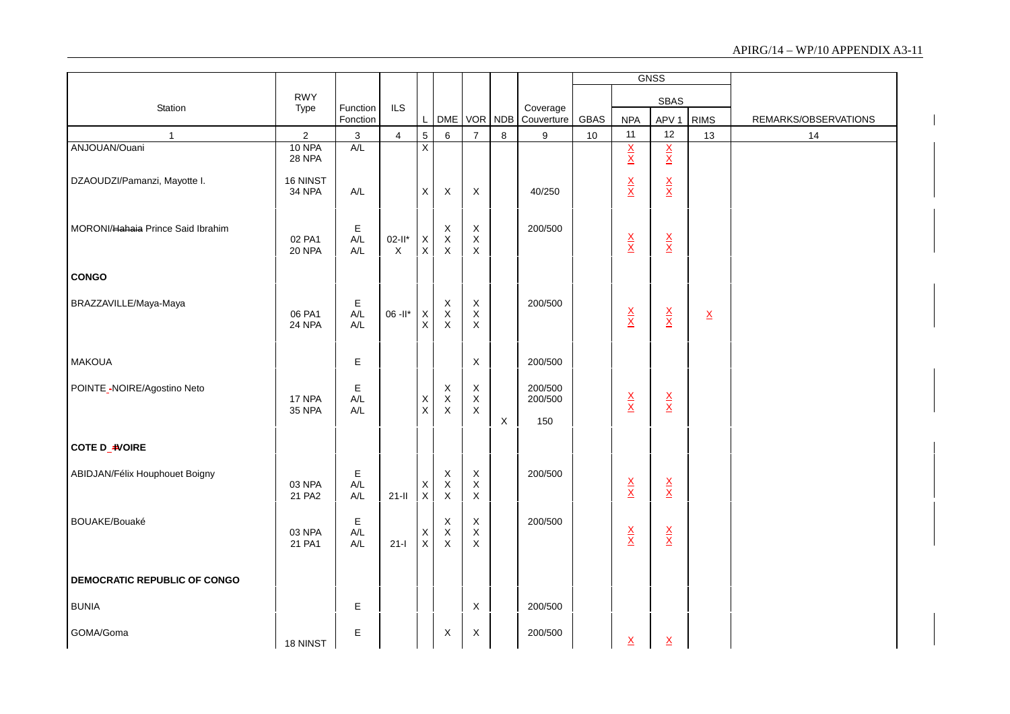|                                   |                           |                      |                          |                            |                                   |                                                       |         |                           |             |                                 | <b>GNSS</b>                     |                          |                      |
|-----------------------------------|---------------------------|----------------------|--------------------------|----------------------------|-----------------------------------|-------------------------------------------------------|---------|---------------------------|-------------|---------------------------------|---------------------------------|--------------------------|----------------------|
|                                   | <b>RWY</b>                |                      |                          |                            |                                   |                                                       |         |                           |             |                                 | <b>SBAS</b>                     |                          |                      |
| Station                           | Type                      | Function<br>Fonction | <b>ILS</b>               | L                          | <b>DME</b>                        |                                                       | VOR NDB | Coverage<br>Couverture    | <b>GBAS</b> | <b>NPA</b>                      | APV <sub>1</sub>                | <b>RIMS</b>              | REMARKS/OBSERVATIONS |
| $\mathbf{1}$                      | $\overline{c}$            | $\mathsf 3$          | $\overline{\mathbf{4}}$  | $\overline{5}$             | 6                                 | $\overline{7}$                                        | $\bf 8$ | $\boldsymbol{9}$          | 10          | 11                              | 12                              | 13                       | 14                   |
| ANJOUAN/Ouani                     | 10 NPA<br><b>28 NPA</b>   | A/L                  |                          | $\overline{\mathsf{X}}$    |                                   |                                                       |         |                           |             | $\frac{X}{X}$                   | $\frac{X}{X}$                   |                          |                      |
| DZAOUDZI/Pamanzi, Mayotte I.      | 16 NINST<br><b>34 NPA</b> | A/L                  |                          | X                          | X                                 | Χ                                                     |         | 40/250                    |             | $\frac{\mathsf{x}}{\mathsf{x}}$ | $\frac{\mathsf{X}}{\mathsf{X}}$ |                          |                      |
| MORONI/Hahaia Prince Said Ibrahim | 02 PA1<br><b>20 NPA</b>   | Е<br>$A/L$<br>A/L    | $02-It$ *<br>$\mathsf X$ | $\mathsf X$<br>$\mathsf X$ | $_{\rm X}^{\rm X}$<br>$\mathsf X$ | $\mathsf X$<br>$\mathsf X$<br>$\overline{\mathsf{x}}$ |         | 200/500                   |             | $\frac{\mathsf{X}}{\mathsf{X}}$ | $\frac{\mathsf{X}}{\mathsf{X}}$ |                          |                      |
| <b>CONGO</b>                      |                           |                      |                          |                            |                                   |                                                       |         |                           |             |                                 |                                 |                          |                      |
| BRAZZAVILLE/Maya-Maya             | 06 PA1<br>24 NPA          | E<br>A/L<br>A/L      | $06 - 11*$               | X<br>$\mathsf X$           | $_{\rm X}^{\rm X}$<br>$\mathsf X$ | $_{\rm X}^{\rm X}$<br>$\mathsf X$                     |         | 200/500                   |             | $\frac{\mathsf{X}}{\mathsf{X}}$ | $\frac{\mathsf{X}}{\mathsf{X}}$ | $\underline{\mathsf{X}}$ |                      |
| <b>MAKOUA</b>                     |                           | Е                    |                          |                            |                                   | X                                                     |         | 200/500                   |             |                                 |                                 |                          |                      |
| POINTE_-NOIRE/Agostino Neto       | 17 NPA<br><b>35 NPA</b>   | Е<br>A/L<br>A/L      |                          | $_{\rm X}^{\rm X}$         | $X$<br>$X$<br>$X$                 | $\boldsymbol{X}$<br>$\mathsf X$<br>$\mathsf X$        | X       | 200/500<br>200/500<br>150 |             | $\frac{\mathsf{x}}{\mathsf{x}}$ | $\frac{\mathsf{X}}{\mathsf{X}}$ |                          |                      |
| COTE D_IVOIRE                     |                           |                      |                          |                            |                                   |                                                       |         |                           |             |                                 |                                 |                          |                      |
| ABIDJAN/Félix Houphouet Boigny    | 03 NPA<br>21 PA2          | E<br>A/L<br>A/L      | $21 -$ II                | $_{\rm X}^{\rm X}$         | X<br>$_{\rm X}^{\rm X}$           | $\mathsf X$<br>$_{\rm X}^{\rm X}$                     |         | 200/500                   |             | $\frac{\mathsf{X}}{\mathsf{X}}$ | $\frac{\mathsf{X}}{\mathsf{X}}$ |                          |                      |
| BOUAKE/Bouaké                     | 03 NPA<br>21 PA1          | E<br>A/L<br>A/L      | $21-I$                   | $_{\rm X}^{\rm X}$         | $\mathsf X$<br>$_{\rm X}^{\rm X}$ | $\mathsf X$<br>$_{\rm X}^{\rm X}$                     |         | 200/500                   |             | $\frac{\mathsf{X}}{\mathsf{X}}$ | $\frac{\mathsf{X}}{\mathsf{X}}$ |                          |                      |
| DEMOCRATIC REPUBLIC OF CONGO      |                           |                      |                          |                            |                                   |                                                       |         |                           |             |                                 |                                 |                          |                      |
| <b>BUNIA</b>                      |                           | Е                    |                          |                            |                                   | X                                                     |         | 200/500                   |             |                                 |                                 |                          |                      |
| GOMA/Goma                         | 18 NINST                  | Е                    |                          |                            | X                                 | X                                                     |         | 200/500                   |             | $\underline{\mathsf{X}}$        | $\underline{\mathsf{X}}$        |                          |                      |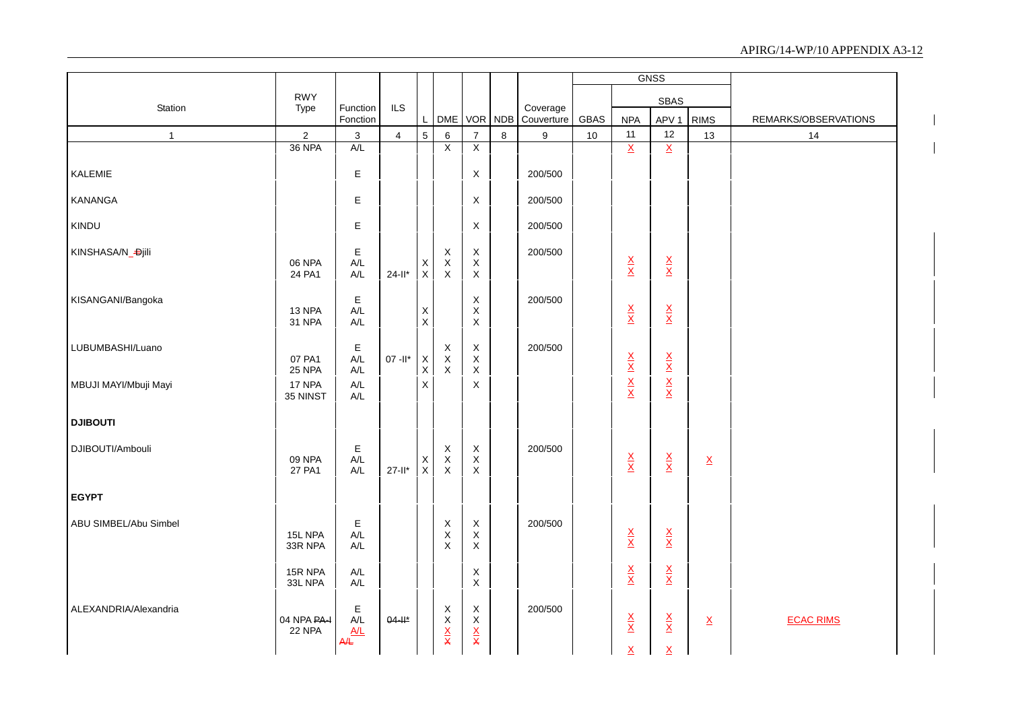|                       |                       |                                     |                |                            |                                                                             |                                               |        |                        |      |                                 | <b>GNSS</b>                     |                 |                      |
|-----------------------|-----------------------|-------------------------------------|----------------|----------------------------|-----------------------------------------------------------------------------|-----------------------------------------------|--------|------------------------|------|---------------------------------|---------------------------------|-----------------|----------------------|
|                       | <b>RWY</b>            |                                     |                |                            |                                                                             |                                               |        |                        |      |                                 | SBAS                            |                 |                      |
| Station               | Type                  | Function<br>Fonction                | <b>ILS</b>     | $\mathsf{L}^-$             |                                                                             | DME VOR NDB                                   |        | Coverage<br>Couverture | GBAS | <b>NPA</b>                      | APV <sub>1</sub>                | <b>RIMS</b>     | REMARKS/OBSERVATIONS |
| $\mathbf{1}$          | $\overline{2}$        | 3                                   | $\overline{4}$ | $5\overline{)}$            | $\,6\,$                                                                     | $\overline{7}$                                | $\bf8$ | 9                      | 10   | 11                              | 12                              | 13              | 14                   |
|                       | 36 NPA                | A/L                                 |                |                            | $\overline{X}$                                                              | $\overline{X}$                                |        |                        |      | $\overline{\mathbf{x}}$         | $\overline{\mathsf{x}}$         |                 |                      |
| KALEMIE               |                       | E                                   |                |                            |                                                                             | X                                             |        | 200/500                |      |                                 |                                 |                 |                      |
| <b>KANANGA</b>        |                       | $\mathsf E$                         |                |                            |                                                                             | X                                             |        | 200/500                |      |                                 |                                 |                 |                      |
| KINDU                 |                       | $\mathsf E$                         |                |                            |                                                                             | X                                             |        | 200/500                |      |                                 |                                 |                 |                      |
| KINSHASA/N_Djili      | 06 NPA<br>24 PA1      | E<br>A/L<br>A/L                     | $24 - 11*$     | $_{\rm X}^{\rm X}$         | X<br>$\mathsf X$<br>$\mathsf{X}$                                            | X<br>X<br>$\mathsf X$                         |        | 200/500                |      | $\frac{\mathsf{X}}{\mathsf{X}}$ | $\frac{\mathsf{X}}{\mathsf{X}}$ |                 |                      |
| KISANGANI/Bangoka     | 13 NPA<br>31 NPA      | E<br>A/L<br>$\mathsf{A}/\mathsf{L}$ |                | $\mathsf X$<br>$\mathsf X$ |                                                                             | X<br>X<br>$\pmb{\times}$                      |        | 200/500                |      | $\frac{X}{X}$                   | $\frac{\mathsf{X}}{\mathsf{X}}$ |                 |                      |
| LUBUMBASHI/Luano      | 07 PA1<br>25 NPA      | Е<br>A/L<br>$A/L$                   | $07 - 11*$     | X<br>$\mathsf{X}$          | X<br>$\mathsf X$<br>$\pmb{\times}$                                          | X<br>X<br>$\mathsf X$                         |        | 200/500                |      | $\frac{X}{X}$                   | $\frac{\mathsf{X}}{\mathsf{X}}$ |                 |                      |
| MBUJI MAYI/Mbuji Mayi | 17 NPA<br>35 NINST    | $A/L$<br>$\mathsf{A}/\mathsf{L}$    |                | $\mathsf X$                |                                                                             | $\mathsf X$                                   |        |                        |      |                                 | $\frac{X}{X}$                   |                 |                      |
| <b>DJIBOUTI</b>       |                       |                                     |                |                            |                                                                             |                                               |        |                        |      |                                 |                                 |                 |                      |
| DJIBOUTI/Ambouli      | 09 NPA<br>27 PA1      | E<br>A/L<br>A/L                     | $27 - 11*$     | X<br>$\mathsf{X}$          | $\boldsymbol{\mathsf{X}}$<br>$\mathsf X$<br>X                               | $\boldsymbol{\mathsf{X}}$<br>$\mathsf X$<br>X |        | 200/500                |      | $\frac{\mathsf{x}}{\mathsf{x}}$ | $\frac{\mathsf{X}}{\mathsf{X}}$ | $\underline{X}$ |                      |
| <b>EGYPT</b>          |                       |                                     |                |                            |                                                                             |                                               |        |                        |      |                                 |                                 |                 |                      |
| ABU SIMBEL/Abu Simbel | 15L NPA<br>33R NPA    | $\mathsf E$<br>A/L<br>$A/L$         |                |                            | $\boldsymbol{\mathsf{X}}$<br>$\mathsf X$<br>$\mathsf X$                     | $\mathsf X$<br>X<br>$\mathsf X$               |        | 200/500                |      | $\frac{\mathsf{X}}{\mathsf{X}}$ | $\frac{\mathsf{X}}{\mathsf{X}}$ |                 |                      |
|                       | 15R NPA<br>33L NPA    | $\mathsf{A}/\mathsf{L}$<br>A/L      |                |                            |                                                                             | X<br>X                                        |        |                        |      | $\frac{X}{X}$                   | $\frac{\mathsf{X}}{\mathsf{X}}$ |                 |                      |
| ALEXANDRIA/Alexandria | 04 NPA PA-I<br>22 NPA | E<br>A/L<br>A/L<br>A⁄L              | $04 - 1$       |                            | $\boldsymbol{\mathsf{X}}$<br>$\mathsf X$<br>$\frac{\mathsf{X}}{\mathsf{X}}$ | X<br>X<br>$\frac{\mathsf{X}}{\mathsf{X}}$     |        | 200/500                |      | $\frac{\mathsf{x}}{\mathsf{x}}$ | $\frac{\mathsf{X}}{\mathsf{X}}$ | $\underline{X}$ | <b>ECAC RIMS</b>     |
|                       |                       |                                     |                |                            |                                                                             |                                               |        |                        |      | $\overline{\mathsf{X}}$         | $\mathsf{X}$                    |                 |                      |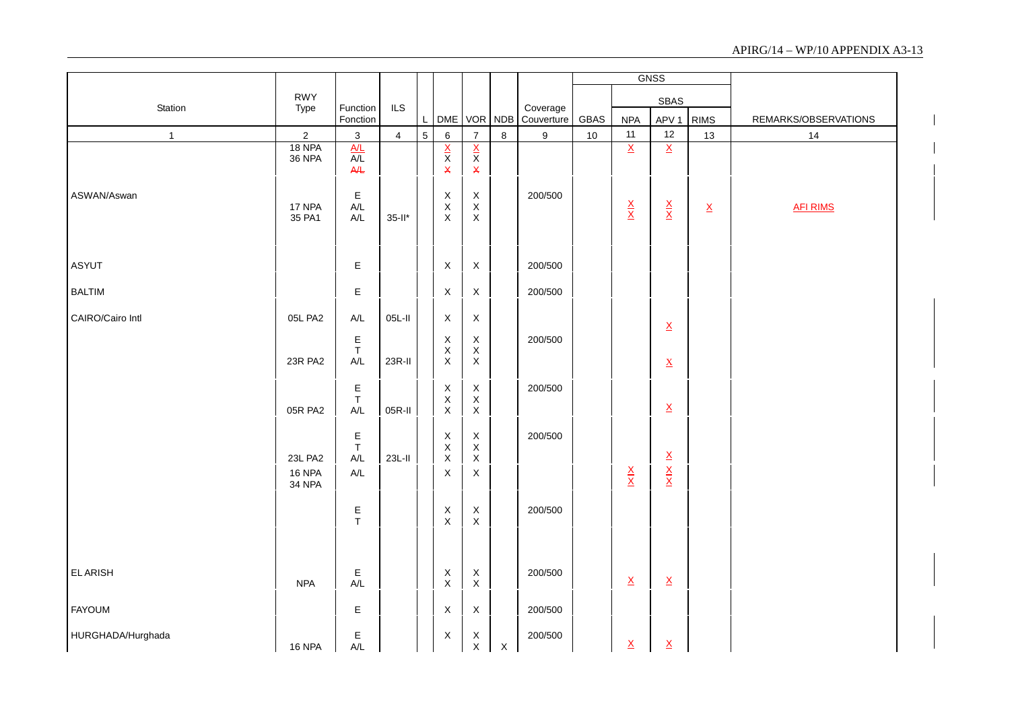|                   |                          |                                                                   |                |   |                                               |                                           |              |                        |        |                                 | GNSS                                                        |                 |                      |
|-------------------|--------------------------|-------------------------------------------------------------------|----------------|---|-----------------------------------------------|-------------------------------------------|--------------|------------------------|--------|---------------------------------|-------------------------------------------------------------|-----------------|----------------------|
|                   | <b>RWY</b>               |                                                                   |                |   |                                               |                                           |              |                        |        |                                 | <b>SBAS</b>                                                 |                 |                      |
| Station           | Type                     | Function<br>Fonction                                              | ILS            | L | <b>DME</b>                                    | VOR NDB                                   |              | Coverage<br>Couverture | GBAS   | <b>NPA</b>                      | APV <sub>1</sub>                                            | <b>RIMS</b>     | REMARKS/OBSERVATIONS |
| $\mathbf{1}$      | $\overline{c}$           | $\mathbf 3$                                                       | $\overline{4}$ | 5 | 6                                             | $\overline{7}$                            | $\bf 8$      | 9                      | $10\,$ | $11$                            | 12                                                          | 13              | 14                   |
|                   | 18 NPA<br><b>36 NPA</b>  | $\frac{A/L}{A/L}$<br>A/L                                          |                |   | $rac{X}{X}$                                   | $\frac{x}{x}$<br>$\pmb{\mathsf{X}}$       |              |                        |        | $\overline{\mathsf{x}}$         | $\overline{\mathsf{X}}$                                     |                 |                      |
| ASWAN/Aswan       | 17 NPA<br>35 PA1         | $\mathsf E$<br>$\mathsf{A}/\mathsf{L}$<br>$\mathsf{A}/\mathsf{L}$ | $35$ -ll*      |   | $_{\rm X}^{\rm X}$<br>X                       | $_{\rm X}^{\rm X}$<br>$\mathsf X$         |              | 200/500                |        | $\frac{\mathsf{X}}{\mathsf{X}}$ | $\frac{X}{X}$                                               | $\underline{X}$ | <b>AFI RIMS</b>      |
| <b>ASYUT</b>      |                          | E                                                                 |                |   | $\boldsymbol{\mathsf{X}}$                     | $\mathsf X$                               |              | 200/500                |        |                                 |                                                             |                 |                      |
| <b>BALTIM</b>     |                          | E                                                                 |                |   | X                                             | $\mathsf X$                               |              | 200/500                |        |                                 |                                                             |                 |                      |
| CAIRO/Cairo Intl  | 05L PA2                  | $A/L$                                                             | 05L-II         |   | X                                             | $\mathsf X$                               |              |                        |        |                                 | $\underline{\mathsf{X}}$                                    |                 |                      |
|                   | 23R PA2                  | $\frac{\mathsf{E}}{\mathsf{T}}$<br>$A/L$                          | 23R-II         |   | X<br>$\mathsf X$<br>$\mathsf X$               | $\mathsf X$<br>$\mathsf X$<br>$\mathsf X$ |              | 200/500                |        |                                 | $\underline{\mathbf{X}}$                                    |                 |                      |
|                   | 05R PA2                  | $\mathsf E$<br>$\top$<br>$A/L$                                    | 05R-II         |   | X<br>$\boldsymbol{\mathsf{X}}$<br>$\mathsf X$ | $\mathsf X$<br>$\mathsf X$<br>$\mathsf X$ |              | 200/500                |        |                                 | $\underline{\mathsf{X}}$                                    |                 |                      |
|                   | 23L PA2<br><b>16 NPA</b> | E<br>$\top$<br>$\mathsf{A}/\mathsf{L}$<br>A/L                     | $23L-H$        |   | X<br>$\mathsf X$<br>$\mathsf X$<br>X          | $_{\rm X}^{\rm X}$<br>$\mathsf X$<br>X    |              | 200/500                |        | $\frac{\mathsf{X}}{\mathsf{X}}$ | $\underline{\mathsf{X}}$<br>$\frac{\mathsf{x}}{\mathsf{x}}$ |                 |                      |
|                   | <b>34 NPA</b>            | $\frac{\mathsf{E}}{\mathsf{T}}$                                   |                |   | X<br>$\mathsf X$                              | $\mathsf X$<br>$\mathsf X$                |              | 200/500                |        |                                 |                                                             |                 |                      |
| <b>ELARISH</b>    | <b>NPA</b>               | E<br>A/L                                                          |                |   | $\mathsf X$<br>$\mathsf X$                    | $\mathsf X$<br>$\mathsf X$                |              | 200/500                |        | $\underline{X}$                 | $\underline{X}$                                             |                 |                      |
| <b>FAYOUM</b>     |                          | $\mathsf E$                                                       |                |   | X                                             | $\mathsf X$                               |              | 200/500                |        |                                 |                                                             |                 |                      |
| HURGHADA/Hurghada | <b>16 NPA</b>            | $\mathsf E$<br>A/L                                                |                |   | X                                             | $\mathsf X$<br>$\mathsf{X}$               | $\mathsf{X}$ | 200/500                |        | $\underline{\mathsf{X}}$        | $\underline{X}$                                             |                 |                      |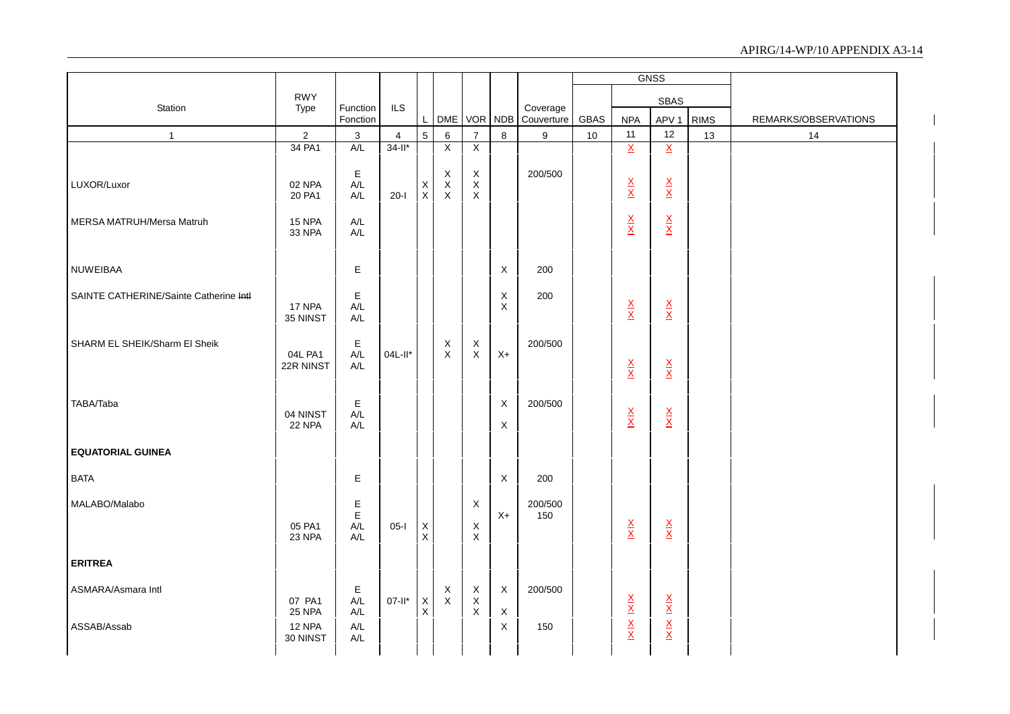|                                        |                           |                                |                |                                |                              |                                                         |                  |                        |      |                                 | <b>GNSS</b>                     |             |                      |
|----------------------------------------|---------------------------|--------------------------------|----------------|--------------------------------|------------------------------|---------------------------------------------------------|------------------|------------------------|------|---------------------------------|---------------------------------|-------------|----------------------|
|                                        | <b>RWY</b>                |                                |                |                                |                              |                                                         |                  |                        |      |                                 | <b>SBAS</b>                     |             |                      |
| Station                                | Type                      | Function<br>Fonction           | <b>ILS</b>     | L                              |                              | DME VOR NDB                                             |                  | Coverage<br>Couverture | GBAS | <b>NPA</b>                      | APV <sub>1</sub>                | <b>RIMS</b> | REMARKS/OBSERVATIONS |
| $\overline{1}$                         | $\sqrt{2}$                | 3                              | $\overline{4}$ | $5\phantom{.0}$                | 6                            | $\overline{7}$                                          | 8                | 9                      | 10   | 11                              | 12                              | 13          | 14                   |
|                                        | 34 PA1                    | A/L                            | $34 - 11*$     |                                | $\overline{X}$               | $\overline{X}$                                          |                  |                        |      | $\overline{X}$                  | $\overline{\mathbf{x}}$         |             |                      |
| LUXOR/Luxor                            | 02 NPA<br>20 PA1          | Е<br>A/L<br>A/L                | $20-I$         | X<br>$\mathsf X$               | X<br>$\mathsf X$<br>$\times$ | $\boldsymbol{\mathsf{X}}$<br>$\mathsf X$<br>$\mathsf X$ |                  | 200/500                |      | $\frac{\mathsf{X}}{\mathsf{X}}$ | $\frac{\mathsf{X}}{\mathsf{X}}$ |             |                      |
| MERSA MATRUH/Mersa Matruh              | 15 NPA<br>33 NPA          | A/L<br>A/L                     |                |                                |                              |                                                         |                  |                        |      | $\frac{\mathsf{X}}{\mathsf{X}}$ | $\frac{\mathsf{X}}{\mathsf{X}}$ |             |                      |
| <b>NUWEIBAA</b>                        |                           | Е                              |                |                                |                              |                                                         | $\mathsf X$      | 200                    |      |                                 |                                 |             |                      |
| SAINTE CATHERINE/Sainte Catherine Intl | 17 NPA<br>35 NINST        | $\mathsf E$<br>A/L<br>A/L      |                |                                |                              |                                                         | X<br>X           | 200                    |      | $\frac{\mathsf{X}}{\mathsf{X}}$ | $\frac{X}{X}$                   |             |                      |
| SHARM EL SHEIK/Sharm El Sheik          | 04L PA1<br>22R NINST      | $\mathsf E$<br>A/L<br>A/L      | 04L-II*        |                                | X<br>$\mathsf X$             | $\boldsymbol{\mathsf{X}}$<br>$\mathsf{X}$               | $X+$             | 200/500                |      | $\frac{\mathsf{X}}{\mathsf{X}}$ | $\frac{\mathsf{X}}{\mathsf{X}}$ |             |                      |
| TABA/Taba                              | 04 NINST<br><b>22 NPA</b> | $\mathsf E$<br>$A/L$<br>A/L    |                |                                |                              |                                                         | X<br>X           | 200/500                |      | $\frac{X}{X}$                   | $\frac{\mathsf{X}}{\mathsf{X}}$ |             |                      |
| <b>EQUATORIAL GUINEA</b>               |                           |                                |                |                                |                              |                                                         |                  |                        |      |                                 |                                 |             |                      |
| <b>BATA</b>                            |                           | Е                              |                |                                |                              |                                                         | X                | 200                    |      |                                 |                                 |             |                      |
| MALABO/Malabo                          | 05 PA1<br>23 NPA          | $E$<br>A/L<br>$A/L$            | $05-I$         | X<br>$\mathsf X$               |                              | $\times$<br>X<br>$\mathsf X$                            | $X+$             | 200/500<br>150         |      | $\frac{\mathsf{X}}{\mathsf{X}}$ | $\frac{\mathsf{X}}{\mathsf{X}}$ |             |                      |
| <b>ERITREA</b>                         |                           |                                |                |                                |                              |                                                         |                  |                        |      |                                 |                                 |             |                      |
| ASMARA/Asmara Intl                     | 07 PA1<br><b>25 NPA</b>   | Е<br>A/L<br>A/L                | $07-II^*$      | $\boldsymbol{\mathsf{X}}$<br>X | X<br>$\mathsf X$             | $\mathsf X$<br>$\mathsf X$<br>$\boldsymbol{\mathsf{X}}$ | $\mathsf X$<br>X | 200/500                |      | $X \times X$                    | $\frac{X}{X}$                   |             |                      |
| ASSAB/Assab                            | 12 NPA<br>30 NINST        | A/L<br>$\mathsf{A}/\mathsf{L}$ |                |                                |                              |                                                         | X                | 150                    |      |                                 | $\frac{\mathsf{X}}{\mathsf{X}}$ |             |                      |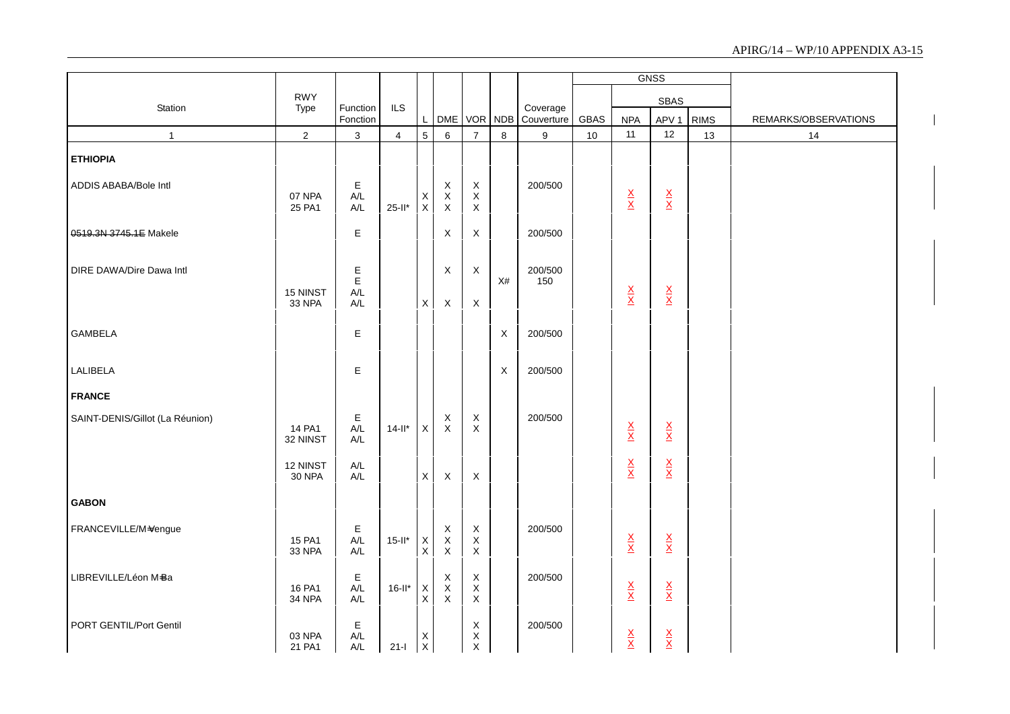|                                 |                           |                                          |                |                            |                                       |                                                         |         |                        |      |                                 | <b>GNSS</b>                     |             |                      |
|---------------------------------|---------------------------|------------------------------------------|----------------|----------------------------|---------------------------------------|---------------------------------------------------------|---------|------------------------|------|---------------------------------|---------------------------------|-------------|----------------------|
|                                 | <b>RWY</b>                |                                          |                |                            |                                       |                                                         |         |                        |      |                                 | <b>SBAS</b>                     |             |                      |
| Station                         | Type                      | Function<br>Fonction                     | <b>ILS</b>     | L                          |                                       | DME VOR NDB                                             |         | Coverage<br>Couverture | GBAS | <b>NPA</b>                      | APV <sub>1</sub>                | <b>RIMS</b> | REMARKS/OBSERVATIONS |
| $\mathbf{1}$                    | $\sqrt{2}$                | $\ensuremath{\mathsf{3}}$                | $\overline{4}$ | 5                          | $\,6\,$                               | $\overline{7}$                                          | $\bf 8$ | $\boldsymbol{9}$       | 10   | 11                              | 12                              | 13          | 14                   |
| <b>ETHIOPIA</b>                 |                           |                                          |                |                            |                                       |                                                         |         |                        |      |                                 |                                 |             |                      |
| ADDIS ABABA/Bole Intl           | 07 NPA<br>25 PA1          | E<br>A/L<br>A/L                          | $25-I^*$       | Х<br>$\mathsf{X}$          | X<br>$\mathsf X$<br>$\mathsf X$       | X<br>$\mathsf X$<br>$\mathsf X$                         |         | 200/500                |      | $\frac{X}{X}$                   | $\frac{\mathsf{X}}{\mathsf{X}}$ |             |                      |
| 0519.3N 3745.1E Makele          |                           | E                                        |                |                            | $\mathsf{X}$                          | X                                                       |         | 200/500                |      |                                 |                                 |             |                      |
| DIRE DAWA/Dire Dawa Intl        | 15 NINST<br>33 NPA        | E<br>E<br>A/L<br>$\mathsf{A}/\mathsf{L}$ |                | $\mathsf X$                | X<br>X                                | $\boldsymbol{\mathsf{X}}$<br>$\times$                   | X#      | 200/500<br>150         |      | $\frac{X}{X}$                   | $\frac{\mathsf{X}}{\mathsf{X}}$ |             |                      |
| <b>GAMBELA</b>                  |                           | E                                        |                |                            |                                       |                                                         | X       | 200/500                |      |                                 |                                 |             |                      |
| LALIBELA                        |                           | E                                        |                |                            |                                       |                                                         | X       | 200/500                |      |                                 |                                 |             |                      |
| <b>FRANCE</b>                   |                           |                                          |                |                            |                                       |                                                         |         |                        |      |                                 |                                 |             |                      |
| SAINT-DENIS/Gillot (La Réunion) | 14 PA1<br>32 NINST        | E<br>$A/L$<br>A/L                        | $14 - 11*$     | X                          | X<br>$\sf X$                          | X<br>$\mathsf X$                                        |         | 200/500                |      | $\frac{\mathsf{X}}{\mathsf{X}}$ | $\frac{\mathsf{X}}{\mathsf{X}}$ |             |                      |
|                                 | 12 NINST<br><b>30 NPA</b> | $A/L$<br>A/L                             |                | $\mathsf{X}$               | $\mathsf X$                           | $\sf X$                                                 |         |                        |      | $\frac{\mathsf{X}}{\mathsf{X}}$ | $\frac{\mathsf{X}}{\mathsf{X}}$ |             |                      |
| <b>GABON</b>                    |                           |                                          |                |                            |                                       |                                                         |         |                        |      |                                 |                                 |             |                      |
| FRANCEVILLE/M=Vengue            | 15 PA1<br>33 NPA          | E<br>$A/L$<br>$\mathsf{A}/\mathsf{L}$    | $15$ -II*      | $\mathsf X$<br>$\mathsf X$ | X<br>$\mathsf X$<br>$\mathsf X$       | $\mathsf X$<br>$\boldsymbol{\mathsf{X}}$<br>$\mathsf X$ |         | 200/500                |      | $\frac{\mathsf{X}}{\mathsf{X}}$ | $\frac{\mathsf{X}}{\mathsf{X}}$ |             |                      |
| LIBREVILLE/Léon M-Ba            | 16 PA1<br>34 NPA          | Е<br>$A/L$<br>$A/L$                      | $16$ -ll*      | $_{\rm X}^{\rm X}$         | X<br>$\overline{x}$<br>$\overline{x}$ | $\mathsf X$<br>$\mathsf X$<br>$\mathsf X$               |         | 200/500                |      | $\frac{\mathsf{X}}{\mathsf{X}}$ | $\frac{\mathsf{X}}{\mathsf{X}}$ |             |                      |
| PORT GENTIL/Port Gentil         | 03 NPA<br>21 PA1          | Е<br>$A/L$<br>A/L                        | $21-I$         | Χ<br>$\mathsf{X}$          |                                       | X<br>X<br>$\sf X$                                       |         | 200/500                |      | $\frac{\mathsf{X}}{\mathsf{X}}$ | $\frac{\mathsf{X}}{\mathsf{X}}$ |             |                      |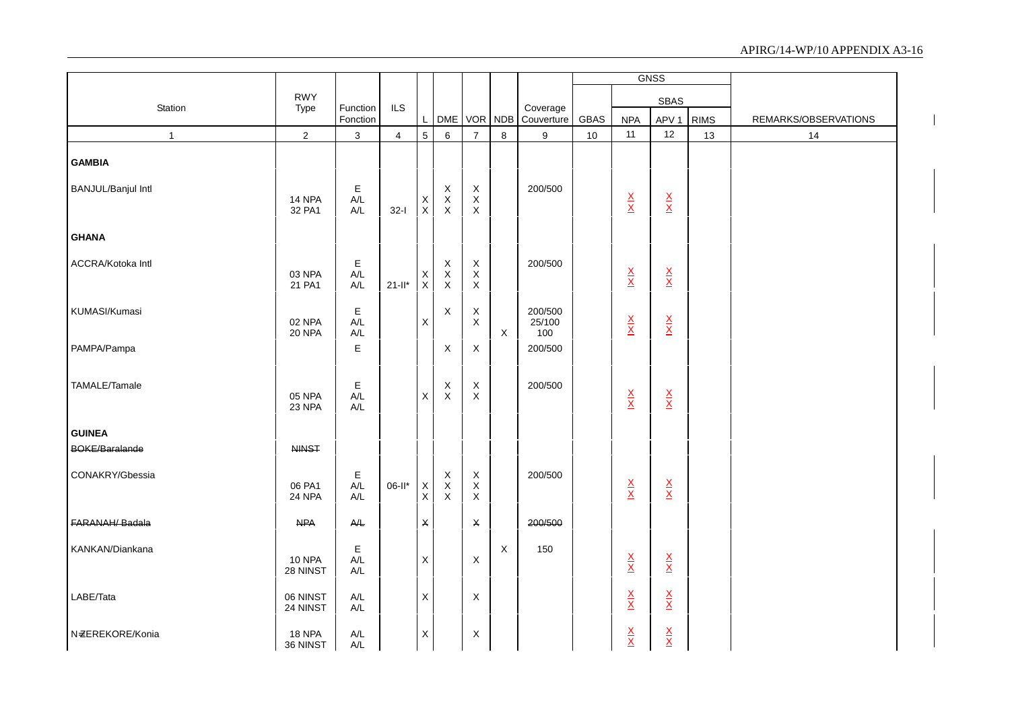|                           |                           |                                                    |                |                    |                                 |                                                             |                           |                          |             |                                 | <b>GNSS</b>                     |             |                      |
|---------------------------|---------------------------|----------------------------------------------------|----------------|--------------------|---------------------------------|-------------------------------------------------------------|---------------------------|--------------------------|-------------|---------------------------------|---------------------------------|-------------|----------------------|
|                           | <b>RWY</b>                |                                                    |                |                    |                                 |                                                             |                           |                          |             |                                 | <b>SBAS</b>                     |             |                      |
| Station                   | Type                      | Function<br>Fonction                               | ILS            | L                  | DME                             |                                                             | VOR NDB                   | Coverage<br>Couverture   | <b>GBAS</b> | <b>NPA</b>                      | APV <sub>1</sub>                | <b>RIMS</b> | REMARKS/OBSERVATIONS |
| $\mathbf{1}$              | $\sqrt{2}$                | $\mathbf{3}$                                       | $\overline{4}$ | $5\overline{)}$    | 6                               | $\overline{7}$                                              | $\bf 8$                   | 9                        | 10          | 11                              | 12                              | 13          | 14                   |
| <b>GAMBIA</b>             |                           |                                                    |                |                    |                                 |                                                             |                           |                          |             |                                 |                                 |             |                      |
| <b>BANJUL/Banjul Intl</b> | 14 NPA<br>32 PA1          | Е<br>$A/L$<br>$A/L$                                | $32-I$         | X<br>$\mathsf X$   | X<br>$\mathsf X$<br>$\mathsf X$ | $\boldsymbol{\mathsf{X}}$<br>$\mathsf X$<br>$\mathsf X$     |                           | 200/500                  |             | $\frac{\mathsf{X}}{\mathsf{X}}$ | $\frac{\mathsf{X}}{\mathsf{X}}$ |             |                      |
| <b>GHANA</b>              |                           |                                                    |                |                    |                                 |                                                             |                           |                          |             |                                 |                                 |             |                      |
| ACCRA/Kotoka Intl         | 03 NPA<br>21 PA1          | E<br>$\mathsf{A}/\mathsf{L}$<br>$A/L$              | $21-I^*$       | Х<br>$\mathsf X$   | X<br>$\mathsf X$<br>$\mathsf X$ | $\boldsymbol{\mathsf{X}}$<br>$\mathsf X$<br>$\mathsf X$     |                           | 200/500                  |             | $\frac{\mathsf{X}}{\mathsf{X}}$ | $\frac{\mathsf{X}}{\mathsf{X}}$ |             |                      |
| KUMASI/Kumasi             | 02 NPA<br>20 NPA          | E<br>A/L<br>A/L                                    |                | X                  | X                               | $\boldsymbol{\mathsf{X}}$<br>X                              | $\boldsymbol{\mathsf{X}}$ | 200/500<br>25/100<br>100 |             | $\frac{\mathsf{X}}{\mathsf{X}}$ | $\frac{\mathsf{X}}{\mathsf{X}}$ |             |                      |
| PAMPA/Pampa               |                           | $\mathsf E$                                        |                |                    | X                               | X                                                           |                           | 200/500                  |             |                                 |                                 |             |                      |
| TAMALE/Tamale             | 05 NPA<br>23 NPA          | E<br>$A/L$<br>$\mathsf{A}/\mathsf{L}$              |                | X                  | X<br>$\mathsf X$                | $\boldsymbol{\mathsf{X}}$<br>$\boldsymbol{\mathsf{X}}$      |                           | 200/500                  |             | $\frac{\mathsf{X}}{\mathsf{X}}$ | $\frac{\mathsf{X}}{\mathsf{X}}$ |             |                      |
| <b>GUINEA</b>             |                           |                                                    |                |                    |                                 |                                                             |                           |                          |             |                                 |                                 |             |                      |
| <b>BOKE/Baralande</b>     | <b>NINST</b>              |                                                    |                |                    |                                 |                                                             |                           |                          |             |                                 |                                 |             |                      |
| CONAKRY/Gbessia           | 06 PA1<br>24 NPA          | E<br>$\mathsf{A}/\mathsf{L}$<br>$A/L$              | $06-II*$       | $_{\rm X}^{\rm X}$ | X<br>$\mathsf X$<br>$\sf X$     | $\boldsymbol{\mathsf{X}}$<br>$\boldsymbol{\mathsf{X}}$<br>X |                           | 200/500                  |             | $\frac{\mathsf{X}}{\mathsf{X}}$ | $\frac{\mathsf{X}}{\mathsf{X}}$ |             |                      |
| FARANAH/Badala            | <b>NPA</b>                | $A\!/\!\!\!\perp$                                  |                | $\pmb{\times}$     |                                 | $\pmb{\mathsf{X}}$                                          |                           | 200/500                  |             |                                 |                                 |             |                      |
| KANKAN/Diankana           | <b>10 NPA</b><br>28 NINST | E<br>$\mathsf{A}/\mathsf{L}$<br>$A/L$              |                | $\mathsf X$        |                                 | X                                                           | $\mathsf X$               | 150                      |             | $\frac{\mathsf{X}}{\mathsf{X}}$ | $\frac{\mathsf{X}}{\mathsf{X}}$ |             |                      |
| LABE/Tata                 | 06 NINST<br>24 NINST      | $\mathsf{A}/\mathsf{L}$<br>$\mathsf{A}/\mathsf{L}$ |                | $\mathsf X$        |                                 | X                                                           |                           |                          |             | $\frac{\mathsf{X}}{\mathsf{X}}$ | $\frac{\mathsf{X}}{\mathsf{X}}$ |             |                      |
| N=ZEREKORE/Konia          | 18 NPA<br>36 NINST        | $\mathsf{A}/\mathsf{L}$<br>A/L                     |                | X                  |                                 | X                                                           |                           |                          |             | $\frac{X}{X}$                   | $\frac{\mathsf{X}}{\mathsf{X}}$ |             |                      |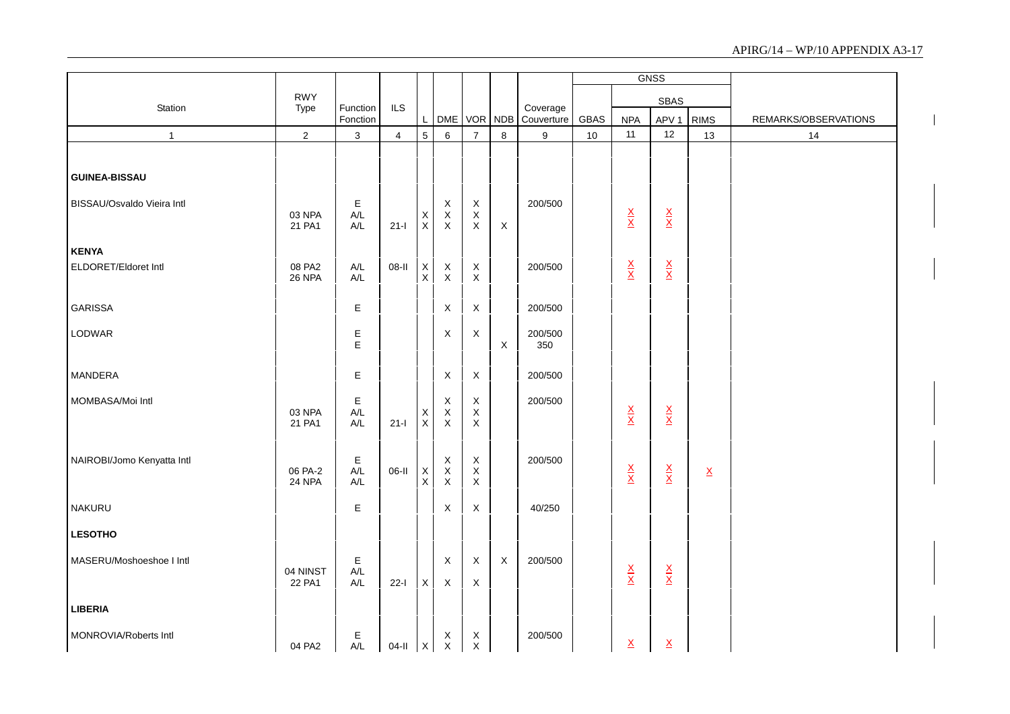|                            |                    |                                               |                |                                        |                                                         |                                                         |                           |                        |      |                                 | <b>GNSS</b>                     |                          |                      |
|----------------------------|--------------------|-----------------------------------------------|----------------|----------------------------------------|---------------------------------------------------------|---------------------------------------------------------|---------------------------|------------------------|------|---------------------------------|---------------------------------|--------------------------|----------------------|
|                            | <b>RWY</b>         |                                               |                |                                        |                                                         |                                                         |                           |                        |      |                                 | <b>SBAS</b>                     |                          |                      |
| Station                    | Type               | Function<br>Fonction                          | ILS            | $\mathsf{L}^-$                         | DME                                                     | VOR                                                     | <b>NDB</b>                | Coverage<br>Couverture | GBAS | <b>NPA</b>                      | APV <sub>1</sub>                | <b>RIMS</b>              | REMARKS/OBSERVATIONS |
| $\mathbf{1}$               | $\sqrt{2}$         | 3                                             | $\overline{4}$ | $\overline{5}$                         | 6                                                       | $\overline{7}$                                          | 8                         | 9                      | 10   | 11                              | 12                              | 13                       | 14                   |
|                            |                    |                                               |                |                                        |                                                         |                                                         |                           |                        |      |                                 |                                 |                          |                      |
| <b>GUINEA-BISSAU</b>       |                    |                                               |                |                                        |                                                         |                                                         |                           |                        |      |                                 |                                 |                          |                      |
| BISSAU/Osvaldo Vieira Intl | 03 NPA<br>21 PA1   | $\mathsf E$<br>A/L<br>$\mathsf{A}/\mathsf{L}$ | $21-I$         | $\mathsf X$<br>$\mathsf X$             | X<br>$\boldsymbol{\mathsf{X}}$<br>X                     | $\boldsymbol{\mathsf{X}}$<br>$\mathsf X$<br>$\sf X$     | $\boldsymbol{\mathsf{X}}$ | 200/500                |      | $\frac{\mathsf{X}}{\mathsf{X}}$ | $\frac{\mathsf{X}}{\mathsf{X}}$ |                          |                      |
| <b>KENYA</b>               |                    |                                               |                |                                        |                                                         |                                                         |                           |                        |      |                                 |                                 |                          |                      |
| ELDORET/Eldoret Intl       | 08 PA2<br>26 NPA   | $A/L$<br>$A/L$                                | 08-II          | $_{\rm X}^{\rm X}$                     | $\boldsymbol{\mathsf{X}}$<br>X                          | $\boldsymbol{\mathsf{X}}$<br>$\mathsf X$                |                           | 200/500                |      | $\frac{\mathsf{X}}{\mathsf{X}}$ | $\frac{\mathsf{X}}{\mathsf{X}}$ |                          |                      |
| <b>GARISSA</b>             |                    | $\mathsf E$                                   |                |                                        | $\mathsf X$                                             | X                                                       |                           | 200/500                |      |                                 |                                 |                          |                      |
| LODWAR                     |                    | $\mathsf E$<br>E                              |                |                                        | $\boldsymbol{\mathsf{X}}$                               | X                                                       | $\mathsf X$               | 200/500<br>350         |      |                                 |                                 |                          |                      |
| MANDERA                    |                    | $\mathsf E$                                   |                |                                        | $\mathsf X$                                             | $\mathsf X$                                             |                           | 200/500                |      |                                 |                                 |                          |                      |
| MOMBASA/Moi Intl           | 03 NPA<br>21 PA1   | $\mathsf E$<br>A/L<br>$A/L$                   | $21-I$         | $\mathsf X$<br>$\mathsf X$             | $\boldsymbol{\mathsf{X}}$<br>$\mathsf X$<br>$\mathsf X$ | $\mathsf X$<br>$\mathsf X$<br>$\mathsf X$               |                           | 200/500                |      | $\frac{\mathsf{X}}{\mathsf{X}}$ | $\frac{\mathsf{X}}{\mathsf{X}}$ |                          |                      |
| NAIROBI/Jomo Kenyatta Intl | 06 PA-2<br>24 NPA  | $\mathsf E$<br>A/L<br>$A/L$                   | 06-II          | $\mathsf X$<br>$\overline{\mathsf{x}}$ | $\boldsymbol{\mathsf{X}}$<br>$\mathsf X$<br>$\mathsf X$ | $\boldsymbol{\mathsf{X}}$<br>$\mathsf X$<br>$\mathsf X$ |                           | 200/500                |      | $\frac{\mathsf{X}}{\mathsf{X}}$ | $\frac{\mathsf{X}}{\mathsf{X}}$ | $\underline{\mathsf{X}}$ |                      |
| NAKURU                     |                    | $\mathsf E$                                   |                |                                        | $\mathsf X$                                             | $\mathsf X$                                             |                           | 40/250                 |      |                                 |                                 |                          |                      |
| <b>LESOTHO</b>             |                    |                                               |                |                                        |                                                         |                                                         |                           |                        |      |                                 |                                 |                          |                      |
| MASERU/Moshoeshoe I Intl   | 04 NINST<br>22 PA1 | $\mathsf E$<br>A/L<br>A/L                     | $22-I$         | $\mathsf{X}$                           | $\boldsymbol{\mathsf{X}}$<br>X                          | $\boldsymbol{\mathsf{X}}$<br>X                          | $\mathsf X$               | 200/500                |      | $\frac{\mathsf{X}}{\mathsf{X}}$ | $\frac{\mathsf{X}}{\mathsf{X}}$ |                          |                      |
| <b>LIBERIA</b>             |                    |                                               |                |                                        |                                                         |                                                         |                           |                        |      |                                 |                                 |                          |                      |
| MONROVIA/Roberts Intl      | 04 PA2             | Е<br>A/L                                      | $04-II$        | $\mathsf{X}$                           | X<br>$\mathsf X$                                        | X<br>$\mathsf X$                                        |                           | 200/500                |      | $\underline{\mathsf{X}}$        | $\underline{\mathsf{X}}$        |                          |                      |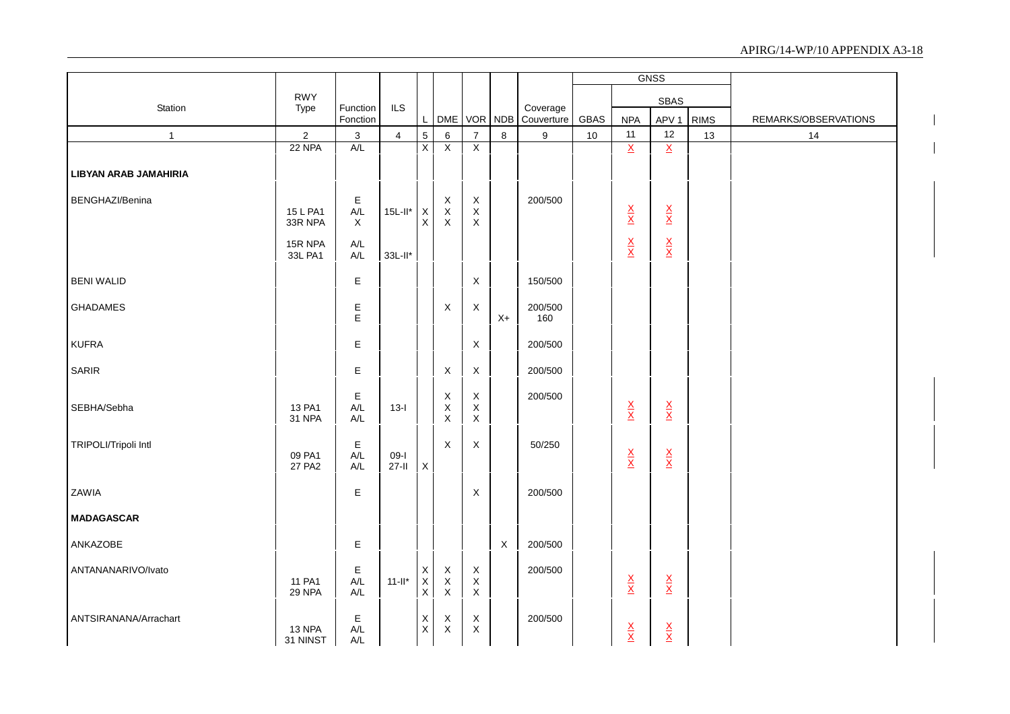|                              |                         |                                         |                   |                                            |                                           |                                                 |         |                        |      |                                 | <b>GNSS</b>                     |             |                      |
|------------------------------|-------------------------|-----------------------------------------|-------------------|--------------------------------------------|-------------------------------------------|-------------------------------------------------|---------|------------------------|------|---------------------------------|---------------------------------|-------------|----------------------|
|                              | <b>RWY</b>              |                                         |                   |                                            |                                           |                                                 |         |                        |      |                                 | <b>SBAS</b>                     |             |                      |
| Station                      | Type                    | Function<br>Fonction                    | <b>ILS</b>        | L                                          |                                           | DME VOR NDB                                     |         | Coverage<br>Couverture | GBAS | <b>NPA</b>                      | APV <sub>1</sub>                | <b>RIMS</b> | REMARKS/OBSERVATIONS |
| $\mathbf{1}$                 | $\overline{2}$          | $\ensuremath{\mathsf{3}}$               | $\overline{4}$    | $\overline{5}$                             | $\,6$                                     | $\overline{7}$                                  | $\,8\,$ | 9                      | 10   | 11                              | 12                              | 13          | 14                   |
|                              | 22 NPA                  | A/L                                     |                   | $\overline{X}$                             | $\overline{X}$                            | $\overline{X}$                                  |         |                        |      | $\underline{X}$                 | $\underline{X}$                 |             |                      |
| <b>LIBYAN ARAB JAMAHIRIA</b> |                         |                                         |                   |                                            |                                           |                                                 |         |                        |      |                                 |                                 |             |                      |
| BENGHAZI/Benina              | 15 L PA1<br>33R NPA     | E<br>$A/L$<br>$\boldsymbol{\mathsf{X}}$ | $15L$ -ll*        | $\mathsf{X}$<br>$\mathsf X$                | $_{\rm X}^{\rm X}$<br>$\mathsf X$         | X<br>$\mathsf X$<br>$\mathsf X$                 |         | 200/500                |      | $\frac{\mathsf{X}}{\mathsf{X}}$ | $\frac{\mathsf{X}}{\mathsf{X}}$ |             |                      |
|                              | 15R NPA<br>33L PA1      | A/L<br>A/L                              | 33L-II*           |                                            |                                           |                                                 |         |                        |      | $\frac{\mathsf{X}}{\mathsf{X}}$ | $\frac{\mathsf{X}}{\mathsf{X}}$ |             |                      |
| <b>BENI WALID</b>            |                         | Е                                       |                   |                                            |                                           | $\boldsymbol{\mathsf{X}}$                       |         | 150/500                |      |                                 |                                 |             |                      |
| <b>GHADAMES</b>              |                         | E<br>E                                  |                   |                                            | X                                         | X                                               | $X+$    | 200/500<br>160         |      |                                 |                                 |             |                      |
| <b>KUFRA</b>                 |                         | E                                       |                   |                                            |                                           | X                                               |         | 200/500                |      |                                 |                                 |             |                      |
| SARIR                        |                         | Ε                                       |                   |                                            | $\mathsf X$                               | $\mathsf X$                                     |         | 200/500                |      |                                 |                                 |             |                      |
| SEBHA/Sebha                  | 13 PA1<br><b>31 NPA</b> | Е<br>$\mathsf{A}/\mathsf{L}$<br>A/L     | $13-I$            |                                            | X<br>$_{\rm X}^{\rm X}$                   | $\mathsf X$<br>$\mathsf X$<br>$\mathsf X$       |         | 200/500                |      | $\frac{\mathsf{X}}{\mathsf{X}}$ | $\frac{\mathsf{X}}{\mathsf{X}}$ |             |                      |
| TRIPOLI/Tripoli Intl         | 09 PA1<br>27 PA2        | Ε<br>A/L<br>A/L                         | $09-I$<br>$27-II$ | $\mathsf X$                                | X                                         | $\mathsf X$                                     |         | 50/250                 |      | $\frac{X}{X}$                   | $\frac{\mathsf{X}}{\mathsf{X}}$ |             |                      |
| ZAWIA                        |                         | E                                       |                   |                                            |                                           | $\times$                                        |         | 200/500                |      |                                 |                                 |             |                      |
| <b>MADAGASCAR</b>            |                         |                                         |                   |                                            |                                           |                                                 |         |                        |      |                                 |                                 |             |                      |
| ANKAZOBE                     |                         | $\mathsf E$                             |                   |                                            |                                           |                                                 | $\sf X$ | 200/500                |      |                                 |                                 |             |                      |
| ANTANANARIVO/Ivato           | 11 PA1<br>29 NPA        | Ε<br>$\mathsf{A}/\mathsf{L}$<br>A/L     | $11$ -ll*         | $\mathsf{X}$<br>$\mathsf X$<br>$\mathsf X$ | $\mathsf X$<br>$\mathsf X$<br>$\mathsf X$ | $\mathsf{X}$<br>$\mathsf X$<br>$\boldsymbol{X}$ |         | 200/500                |      | $\frac{X}{X}$                   | $\frac{\mathsf{X}}{\mathsf{X}}$ |             |                      |
| ANTSIRANANA/Arrachart        | 13 NPA<br>31 NINST      | E<br>A/L<br>A/L                         |                   | X<br>$\mathsf X$                           | X<br>$\mathsf X$                          | X<br>X                                          |         | 200/500                |      | $\frac{\mathsf{X}}{\mathsf{X}}$ | $\frac{\mathsf{x}}{\mathsf{x}}$ |             |                      |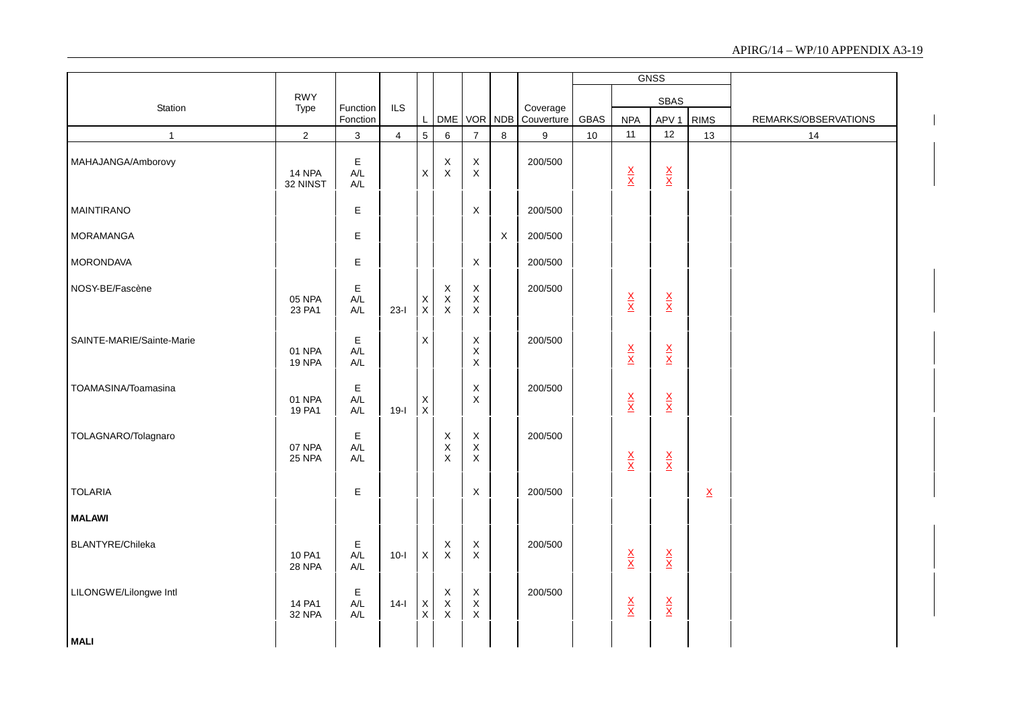|                           |                         |                               |                |                             |                                                         |                                            |              |                        |      |                                 | <b>GNSS</b>                     |                          |                      |
|---------------------------|-------------------------|-------------------------------|----------------|-----------------------------|---------------------------------------------------------|--------------------------------------------|--------------|------------------------|------|---------------------------------|---------------------------------|--------------------------|----------------------|
| Station                   | <b>RWY</b>              | Function                      | ILS            |                             |                                                         |                                            |              |                        |      |                                 | SBAS                            |                          |                      |
|                           | Type                    | Fonction                      |                | $\mathsf{L}$                | DME VOR NDB                                             |                                            |              | Coverage<br>Couverture | GBAS | <b>NPA</b>                      | APV <sub>1</sub>                | <b>RIMS</b>              | REMARKS/OBSERVATIONS |
| $\mathbf{1}$              | $\overline{2}$          | $\mathbf{3}$                  | $\overline{4}$ | $5\overline{)}$             | $\,6\,$                                                 | $\overline{7}$                             | $\bf 8$      | 9                      | $10$ | 11                              | 12                              | 13                       | 14                   |
| MAHAJANGA/Amborovy        | 14 NPA<br>32 NINST      | E<br>$A/L$<br>$A/L$           |                | $\mathsf X$                 | $\mathsf X$<br>$\mathsf X$                              | $\mathsf X$<br>$\pmb{\times}$              |              | 200/500                |      | $\frac{\mathsf{x}}{\mathsf{x}}$ | $\frac{\mathsf{X}}{\mathsf{X}}$ |                          |                      |
| <b>MAINTIRANO</b>         |                         | E                             |                |                             |                                                         | X                                          |              | 200/500                |      |                                 |                                 |                          |                      |
| <b>MORAMANGA</b>          |                         | $\mathsf E$                   |                |                             |                                                         |                                            | $\mathsf{X}$ | 200/500                |      |                                 |                                 |                          |                      |
| <b>MORONDAVA</b>          |                         | E                             |                |                             |                                                         | X                                          |              | 200/500                |      |                                 |                                 |                          |                      |
| NOSY-BE/Fascène           | 05 NPA<br>23 PA1        | $\mathsf E$<br>A/L<br>$A/L$   | $23-I$         | $_{\rm X}^{\rm X}$          | X<br>$\mathsf X$<br>$\mathsf X$                         | $\mathsf X$<br>$\mathsf X$<br>$\mathsf X$  |              | 200/500                |      | $\frac{\mathsf{X}}{\mathsf{X}}$ | $\frac{\mathsf{X}}{\mathsf{X}}$ |                          |                      |
| SAINTE-MARIE/Sainte-Marie | 01 NPA<br><b>19 NPA</b> | $\mathsf E$<br>A/L<br>$A/L$   |                | $\mathsf X$                 |                                                         | X<br>$\mathsf X$<br>$\mathsf X$            |              | 200/500                |      | $\frac{\mathsf{X}}{\mathsf{X}}$ | $\frac{\mathsf{X}}{\mathsf{X}}$ |                          |                      |
| TOAMASINA/Toamasina       | 01 NPA<br>19 PA1        | $\mathsf E$<br>$A/L$<br>$A/L$ | $19-I$         | X<br>$\mathsf{X}$           |                                                         | X<br>$\mathsf X$                           |              | 200/500                |      | $\frac{\mathsf{x}}{\mathsf{x}}$ | $\frac{\mathsf{X}}{\mathsf{X}}$ |                          |                      |
| TOLAGNARO/Tolagnaro       | 07 NPA<br>25 NPA        | Е<br>A/L<br>$A/L$             |                |                             | $\mathsf X$<br>$\mathsf X$<br>$\boldsymbol{\mathsf{X}}$ | $\mathsf X$<br>$\mathsf X$<br>X            |              | 200/500                |      | $\frac{\mathsf{x}}{\mathsf{x}}$ | $\frac{\mathsf{X}}{\mathsf{X}}$ |                          |                      |
| <b>TOLARIA</b>            |                         | E                             |                |                             |                                                         | X                                          |              | 200/500                |      |                                 |                                 | $\underline{\mathsf{X}}$ |                      |
| <b>MALAWI</b>             |                         |                               |                |                             |                                                         |                                            |              |                        |      |                                 |                                 |                          |                      |
| BLANTYRE/Chileka          | 10 PA1<br><b>28 NPA</b> | $\mathsf E$<br>A/L<br>$A/L$   | $10-I$         | $\mathsf{X}$                | X<br>X                                                  | $\mathsf X$<br>$\mathsf X$                 |              | 200/500                |      | $\frac{\mathsf{x}}{\mathsf{x}}$ | $\frac{\mathsf{X}}{\mathsf{X}}$ |                          |                      |
| LILONGWE/Lilongwe Intl    | 14 PA1<br>32 NPA        | $\mathsf E$<br>A/L<br>A/L     | $14-I$         | $\mathsf X$<br>$\mathsf{X}$ | X<br>$\mathsf X$<br>X                                   | $\mathsf X$<br>$\mathsf X$<br>$\mathsf{X}$ |              | 200/500                |      | $\frac{\mathsf{x}}{\mathsf{x}}$ | $\frac{\mathsf{X}}{\mathsf{X}}$ |                          |                      |
| <b>MALI</b>               |                         |                               |                |                             |                                                         |                                            |              |                        |      |                                 |                                 |                          |                      |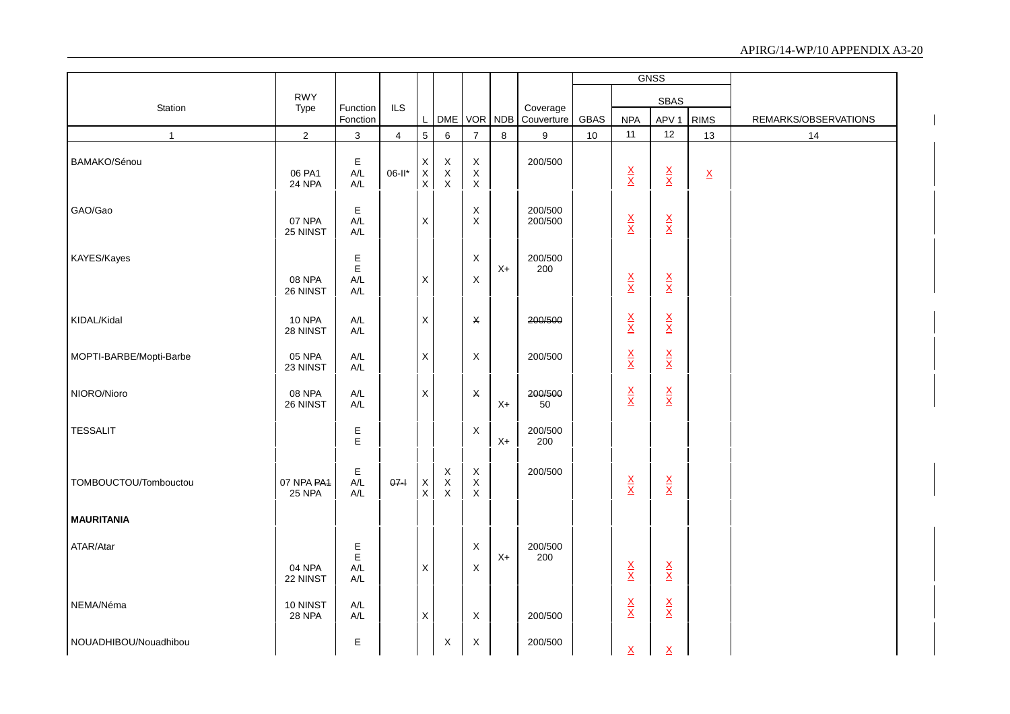|                         |                                         |                                                    |                |                                 |                                   |                                                                       |      |                        |      |                                 | <b>GNSS</b>                     |                          |                      |
|-------------------------|-----------------------------------------|----------------------------------------------------|----------------|---------------------------------|-----------------------------------|-----------------------------------------------------------------------|------|------------------------|------|---------------------------------|---------------------------------|--------------------------|----------------------|
|                         | <b>RWY</b>                              |                                                    |                |                                 |                                   |                                                                       |      |                        |      |                                 | SBAS                            |                          |                      |
| Station                 | Type                                    | Function<br>Fonction                               | <b>ILS</b>     | L                               |                                   | DME VOR NDB                                                           |      | Coverage<br>Couverture | GBAS | <b>NPA</b>                      | APV <sub>1</sub>                | <b>RIMS</b>              | REMARKS/OBSERVATIONS |
| $\overline{1}$          | $\overline{2}$                          | 3                                                  | $\overline{4}$ | $5\overline{)}$                 | 6                                 | $\overline{7}$                                                        | 8    | 9                      | 10   | 11                              | 12                              | 13                       | 14                   |
| BAMAKO/Sénou            | 06 PA1<br>24 NPA                        | E<br>$A/L$<br>A/L                                  | 06-II*         | X<br>$\mathsf X$<br>$\mathsf X$ | $\mathsf X$<br>$_{\rm X}^{\rm X}$ | $\boldsymbol{\mathsf{X}}$<br>$\boldsymbol{\mathsf{X}}$<br>$\mathsf X$ |      | 200/500                |      | $\frac{\mathsf{X}}{\mathsf{X}}$ | $\frac{\mathsf{X}}{\mathsf{X}}$ | $\underline{\mathsf{X}}$ |                      |
| GAO/Gao                 | 07 NPA<br>25 NINST                      | Е<br>$A/L$<br>$\mathsf{A}/\mathsf{L}$              |                | X                               |                                   | $\boldsymbol{\mathsf{X}}$<br>$\boldsymbol{\mathsf{X}}$                |      | 200/500<br>200/500     |      | $\frac{\mathsf{X}}{\mathsf{X}}$ | $\frac{\mathsf{X}}{\mathsf{X}}$ |                          |                      |
| KAYES/Kayes             | 08 NPA<br>26 NINST                      | E<br>E<br>$A/L$<br>$\mathsf{A}/\mathsf{L}$         |                | X                               |                                   | X<br>$\sf X$                                                          | $X+$ | 200/500<br>200         |      | $\frac{\mathsf{X}}{\mathsf{X}}$ | $\frac{\mathsf{X}}{\mathsf{X}}$ |                          |                      |
| KIDAL/Kidal             | <b>10 NPA</b><br>28 NINST               | $\mathsf{A}/\mathsf{L}$<br>$\mathsf{A}/\mathsf{L}$ |                | X                               |                                   | X                                                                     |      | 200/500                |      | $\frac{\mathsf{X}}{\mathsf{X}}$ | $\frac{\mathsf{X}}{\mathsf{X}}$ |                          |                      |
| MOPTI-BARBE/Mopti-Barbe | 05 NPA<br>23 NINST                      | $\mathsf{A}/\mathsf{L}$<br>$\mathsf{A}/\mathsf{L}$ |                | X                               |                                   | $\boldsymbol{\mathsf{X}}$                                             |      | 200/500                |      | $\frac{\mathsf{x}}{\mathsf{x}}$ | $\frac{\mathsf{X}}{\mathsf{X}}$ |                          |                      |
| NIORO/Nioro             | 08 NPA<br>26 NINST                      | A/L<br>A/L                                         |                | X                               |                                   | X                                                                     | $X+$ | 200/500<br>50          |      | $\frac{\mathsf{X}}{\mathsf{X}}$ | $\frac{\mathsf{X}}{\mathsf{X}}$ |                          |                      |
| <b>TESSALIT</b>         |                                         | Е<br>E                                             |                |                                 |                                   | $\boldsymbol{\mathsf{X}}$                                             | $X+$ | 200/500<br>200         |      |                                 |                                 |                          |                      |
| TOMBOUCTOU/Tombouctou   | 07 NPA PA <sub>1</sub><br><b>25 NPA</b> | Е<br>$A/L$<br>A/L                                  | $07 -$         | X<br>$\pmb{\times}$             | $_{\rm X}^{\rm X}$<br>$\mathsf X$ | X<br>$\boldsymbol{\mathsf{X}}$<br>$\pmb{\times}$                      |      | 200/500                |      | $\frac{\mathsf{X}}{\mathsf{X}}$ | $\frac{\mathsf{X}}{\mathsf{X}}$ |                          |                      |
| <b>MAURITANIA</b>       |                                         |                                                    |                |                                 |                                   |                                                                       |      |                        |      |                                 |                                 |                          |                      |
| ATAR/Atar               | 04 NPA<br>22 NINST                      | E<br>E<br>$A/L$<br>$\mathsf{A}/\mathsf{L}$         |                | X                               |                                   | X<br>X                                                                | $X+$ | 200/500<br>200         |      | $\frac{\mathsf{X}}{\mathsf{X}}$ | $\frac{\mathsf{X}}{\mathsf{X}}$ |                          |                      |
| NEMA/Néma               | 10 NINST<br><b>28 NPA</b>               | $\mathsf{A}/\mathsf{L}$<br>$A/L$                   |                | X                               |                                   | X                                                                     |      | 200/500                |      | $\frac{\mathsf{X}}{\mathsf{X}}$ | $\frac{\mathsf{X}}{\mathsf{X}}$ |                          |                      |
| NOUADHIBOU/Nouadhibou   |                                         | Е                                                  |                |                                 | X                                 | X                                                                     |      | 200/500                |      | $\mathsf{X}$                    | $\mathsf{X}$                    |                          |                      |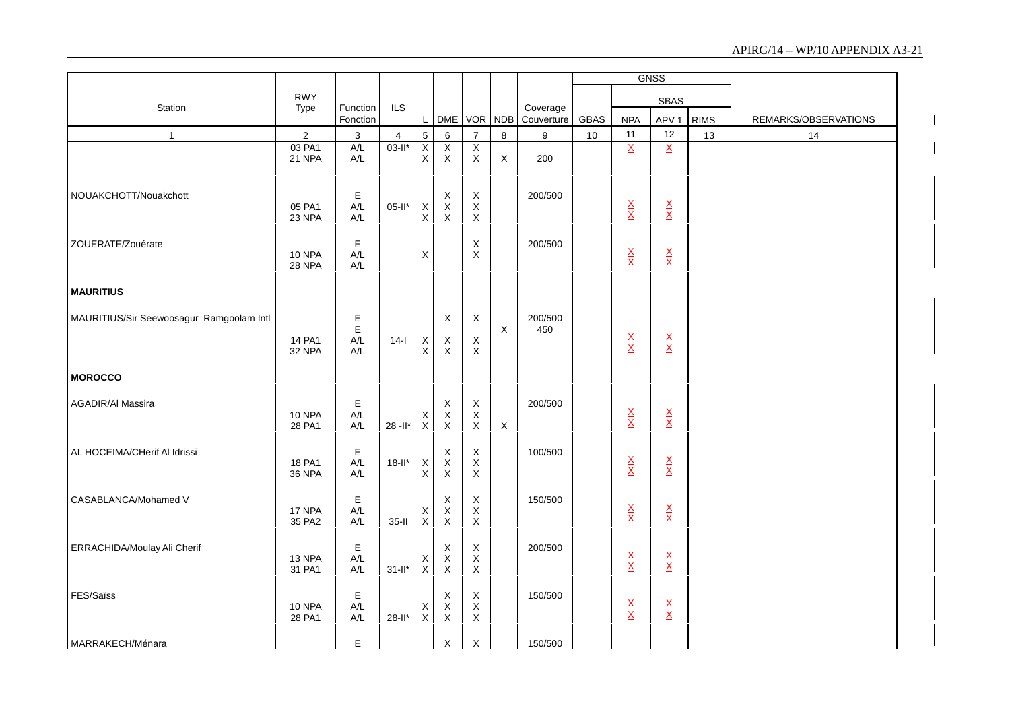|                                          |                                |                                                    |                |                                  |                                                     |                                             |             |                        |             |                                 | <b>GNSS</b>                     |             |                      |
|------------------------------------------|--------------------------------|----------------------------------------------------|----------------|----------------------------------|-----------------------------------------------------|---------------------------------------------|-------------|------------------------|-------------|---------------------------------|---------------------------------|-------------|----------------------|
|                                          | <b>RWY</b>                     |                                                    |                |                                  |                                                     |                                             |             |                        |             |                                 | <b>SBAS</b>                     |             |                      |
| Station                                  | Type                           | Function<br>Fonction                               | <b>ILS</b>     | L                                | <b>DME</b>                                          | <b>VOR</b>                                  | <b>NDB</b>  | Coverage<br>Couverture | <b>GBAS</b> | <b>NPA</b>                      | APV <sub>1</sub>                | <b>RIMS</b> | REMARKS/OBSERVATIONS |
| $\mathbf{1}$                             | $\overline{2}$                 | $\ensuremath{\mathsf{3}}$                          | $\overline{4}$ | 5                                | 6                                                   | $\overline{7}$                              | $\bf 8$     | $9\,$                  | 10          | 11                              | 12                              | 13          | 14                   |
|                                          | 03 PA1<br>21 NPA               | A/L<br>A/L                                         | $03-H*$        | $\overline{x}$<br>$\overline{x}$ | $\overline{X}$<br>$\mathsf{X}$                      | $\overline{X}$<br>$\boldsymbol{\mathsf{X}}$ | X           | 200                    |             | $\underline{X}$                 | $\underline{X}$                 |             |                      |
| NOUAKCHOTT/Nouakchott                    | 05 PA1<br>23 NPA               | E<br>A/L<br>A/L                                    | $05-It$ *      | $_{\rm X}^{\rm X}$               | $_{\rm X}^{\rm X}$<br>$\mathsf{X}$                  | $_{\rm X}^{\rm X}$<br>X                     |             | 200/500                |             | $\frac{\mathsf{X}}{\mathsf{X}}$ | $\frac{\mathsf{X}}{\mathsf{X}}$ |             |                      |
| ZOUERATE/Zouérate                        | <b>10 NPA</b><br><b>28 NPA</b> | Е<br>$A/L$<br>A/L                                  |                | $\mathsf X$                      |                                                     | X<br>$\mathsf{X}$                           |             | 200/500                |             | $\frac{\mathsf{X}}{\mathsf{X}}$ | $\frac{\mathsf{X}}{\mathsf{X}}$ |             |                      |
| <b>MAURITIUS</b>                         |                                |                                                    |                |                                  |                                                     |                                             |             |                        |             |                                 |                                 |             |                      |
| MAURITIUS/Sir Seewoosagur Ramgoolam Intl | 14 PA1<br>32 NPA               | Е<br>$\mathsf E$<br>$\mathsf{A}/\mathsf{L}$<br>A/L | $14-I$         | $\mathsf X$<br>$\pmb{\times}$    | $\boldsymbol{\mathsf{X}}$<br>$\mathsf X$<br>$\sf X$ | X<br>$\mathsf X$<br>$\mathsf X$             | X           | 200/500<br>450         |             | $\frac{\mathsf{X}}{\mathsf{X}}$ | $\frac{\mathsf{X}}{\mathsf{X}}$ |             |                      |
| <b>MOROCCO</b>                           |                                |                                                    |                |                                  |                                                     |                                             |             |                        |             |                                 |                                 |             |                      |
| AGADIR/Al Massira                        | <b>10 NPA</b><br>28 PA1        | E<br>A/L<br>A/L                                    | $28 - 11*$     | X<br>$\mathsf X$                 | X<br>$\mathsf X$<br>$\mathsf X$                     | $\mathsf X$<br>$\mathsf X$<br>$\mathsf X$   | $\mathsf X$ | 200/500                |             | $\frac{\mathsf{X}}{\mathsf{X}}$ | $\frac{\mathsf{X}}{\mathsf{X}}$ |             |                      |
| AL HOCEIMA/CHerif AI Idrissi             | 18 PA1<br><b>36 NPA</b>        | E<br>A/L<br>A/L                                    | $18-It$ *      | $_{\rm X}^{\rm X}$               | $\mathsf X$<br>$\mathsf X$<br>$\mathsf X$           | $\mathsf X$<br>$\mathsf X$<br>X             |             | 100/500                |             | $\frac{\mathsf{X}}{\mathsf{X}}$ | $\frac{\mathsf{x}}{\mathsf{x}}$ |             |                      |
| CASABLANCA/Mohamed V                     | 17 NPA<br>35 PA2               | Е<br>$A/L$<br>$A/L$                                | $35-I$         | $_{\rm X}^{\rm X}$               | X<br>$\mathsf X$<br>$\mathsf X$                     | X<br>$_{\rm X}^{\rm X}$                     |             | 150/500                |             | $\frac{\mathsf{X}}{\mathsf{X}}$ | $\frac{\mathsf{x}}{\mathsf{x}}$ |             |                      |
| ERRACHIDA/Moulay Ali Cherif              | 13 NPA<br>31 PA1               | E<br>A/L<br>A/L                                    | $31$ -ll*      | $_{\rm X}^{\rm X}$               | X<br>$\mathsf X$<br>$\mathsf X$                     | $\mathsf X$<br>$\mathsf X$<br>$\mathsf X$   |             | 200/500                |             | $\frac{\mathsf{X}}{\mathsf{X}}$ | $\frac{\mathsf{X}}{\mathsf{X}}$ |             |                      |
| FES/Saïss                                | <b>10 NPA</b><br>28 PA1        | Е<br>$A/L$<br>A/L                                  | $28 - 11*$     | X<br>$\mathsf X$                 | X<br>$\mathsf X$<br>$\mathsf X$                     | $\mathsf X$<br>$\mathsf X$<br>$\mathsf X$   |             | 150/500                |             | $\frac{\mathsf{X}}{\mathsf{X}}$ | $\frac{\mathsf{X}}{\mathsf{X}}$ |             |                      |
| MARRAKECH/Ménara                         |                                | E                                                  |                |                                  | X                                                   | X                                           |             | 150/500                |             |                                 |                                 |             |                      |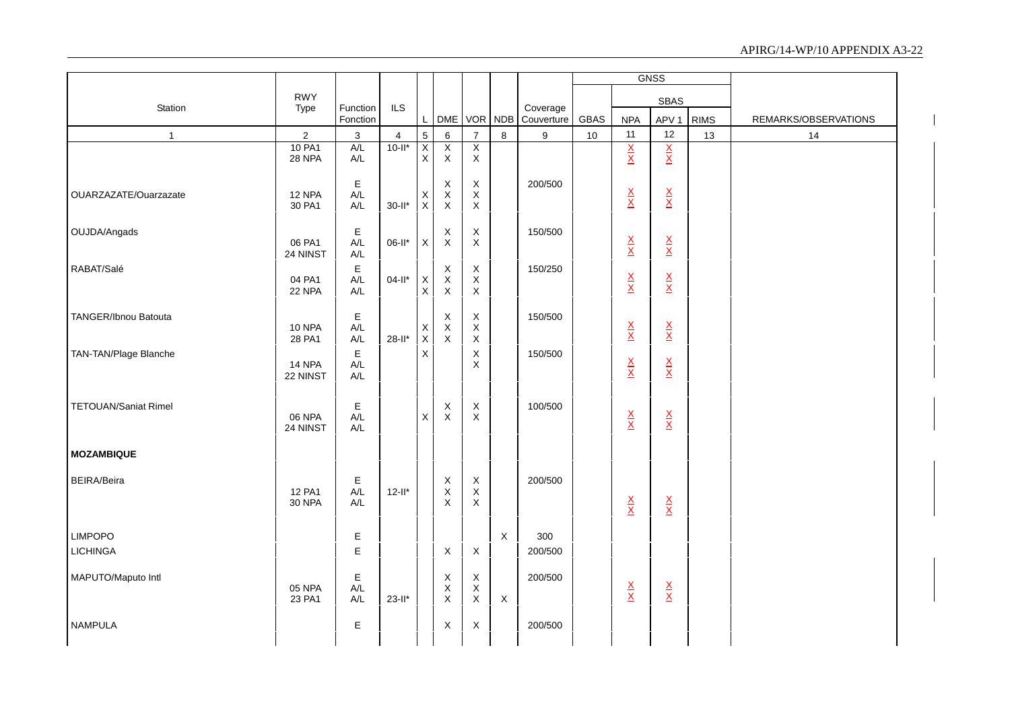|                             |                           |                                  |                |                    |                                                 |                            |              |                        |      |                                 | <b>GNSS</b>                     |             |                      |
|-----------------------------|---------------------------|----------------------------------|----------------|--------------------|-------------------------------------------------|----------------------------|--------------|------------------------|------|---------------------------------|---------------------------------|-------------|----------------------|
|                             | <b>RWY</b>                |                                  |                |                    |                                                 |                            |              |                        |      |                                 | <b>SBAS</b>                     |             |                      |
| Station                     | Type                      | Function<br>Fonction             | ILS            |                    |                                                 | DME VOR NDB                |              | Coverage<br>Couverture | GBAS | <b>NPA</b>                      | APV <sub>1</sub>                | <b>RIMS</b> | REMARKS/OBSERVATIONS |
| $\mathbf{1}$                | $\overline{2}$            | $\ensuremath{\mathsf{3}}$        | $\overline{4}$ | $\overline{5}$     | 6                                               | $\overline{7}$             | $\bf 8$      | $\boldsymbol{9}$       | 10   | 11                              | 12                              | 13          | 14                   |
|                             | 10 PA1<br>28 NPA          | A/L<br>$A/L$                     | $10 - 11$ *    | Χ<br>$\mathsf X$   | X<br>$\mathsf{X}$                               | X<br>$\mathsf X$           |              |                        |      | $\frac{X}{X}$                   | $\frac{\mathsf{X}}{\mathsf{X}}$ |             |                      |
|                             |                           |                                  |                |                    |                                                 |                            |              |                        |      |                                 |                                 |             |                      |
| OUARZAZATE/Ouarzazate       | 12 NPA                    | $\mathsf E$<br>A/L               |                |                    | $\mathsf X$                                     | $\mathsf X$<br>$\mathsf X$ |              | 200/500                |      |                                 |                                 |             |                      |
|                             | 30 PA1                    | $A/L$                            | $30 - 11*$     | $_{\rm X}^{\rm X}$ | $_{\rm X}^{\rm X}$                              | $\mathsf X$                |              |                        |      | $\frac{\mathsf{X}}{\mathsf{X}}$ | $\frac{\mathsf{X}}{\mathsf{X}}$ |             |                      |
| OUJDA/Angads                |                           | $\mathsf E$                      |                |                    | X                                               | $\mathsf X$                |              | 150/500                |      |                                 |                                 |             |                      |
|                             | 06 PA1                    | A/L                              | $06-II^*$      | $\mathsf X$        | $\mathsf X$                                     | $\mathsf X$                |              |                        |      | $rac{X}{X}$                     | $\frac{\mathsf{X}}{\mathsf{X}}$ |             |                      |
|                             | 24 NINST                  | $\mathsf{A}/\mathsf{L}$          |                |                    |                                                 |                            |              |                        |      |                                 |                                 |             |                      |
| RABAT/Salé                  | 04 PA1                    | $\mathsf E$<br>$A/L$             | $04-II^*$      | $_{\rm X}^{\rm X}$ | $\boldsymbol{\mathsf{X}}$<br>$_{\rm X}^{\rm X}$ | $\mathsf X$<br>$\mathsf X$ |              | 150/250                |      | $\frac{\mathsf{X}}{\mathsf{X}}$ | $\frac{\mathsf{X}}{\mathsf{X}}$ |             |                      |
|                             | 22 NPA                    | $A/L$                            |                |                    |                                                 | $\mathsf X$                |              |                        |      |                                 |                                 |             |                      |
| TANGER/Ibnou Batouta        |                           | $\mathsf E$                      |                |                    | X                                               | $\mathsf X$                |              | 150/500                |      |                                 |                                 |             |                      |
|                             | <b>10 NPA</b><br>28 PA1   | $A/L$<br>$\mathsf{A}/\mathsf{L}$ | $28-II^*$      | $_{\rm X}^{\rm X}$ | $_{\rm X}^{\rm X}$                              | $\mathsf X$<br>$\mathsf X$ |              |                        |      | $\frac{\mathsf{X}}{\mathsf{X}}$ | $\frac{\mathsf{X}}{\mathsf{X}}$ |             |                      |
| TAN-TAN/Plage Blanche       |                           | $\mathsf E$                      |                | $\mathsf X$        |                                                 | $\boldsymbol{\mathsf{X}}$  |              | 150/500                |      |                                 |                                 |             |                      |
|                             | <b>14 NPA</b><br>22 NINST | $A/L$<br>$A/L$                   |                |                    |                                                 | $\mathsf X$                |              |                        |      | $\frac{\mathsf{x}}{\mathsf{x}}$ | $\frac{\mathsf{x}}{\mathsf{x}}$ |             |                      |
|                             |                           |                                  |                |                    |                                                 |                            |              |                        |      |                                 |                                 |             |                      |
| <b>TETOUAN/Saniat Rimel</b> |                           | $\mathsf E$                      |                |                    | X                                               | $\mathsf X$                |              | 100/500                |      |                                 |                                 |             |                      |
|                             | 06 NPA<br>24 NINST        | $A/L$<br>$A/L$                   |                | X                  | $\mathsf X$                                     | $\pmb{\times}$             |              |                        |      | $\frac{\mathsf{X}}{\mathsf{X}}$ | $\frac{\mathsf{X}}{\mathsf{X}}$ |             |                      |
|                             |                           |                                  |                |                    |                                                 |                            |              |                        |      |                                 |                                 |             |                      |
| <b>MOZAMBIQUE</b>           |                           |                                  |                |                    |                                                 |                            |              |                        |      |                                 |                                 |             |                      |
| <b>BEIRA/Beira</b>          |                           | $\mathsf E$                      |                |                    |                                                 |                            |              | 200/500                |      |                                 |                                 |             |                      |
|                             | 12 PA1                    | A/L<br>A/L                       | $12-It$        |                    | $_{\rm X}^{\rm X}$                              | $_{\rm X}^{\rm X}$         |              |                        |      |                                 |                                 |             |                      |
|                             | <b>30 NPA</b>             |                                  |                |                    | X                                               | $\mathsf X$                |              |                        |      | $\frac{\mathsf{X}}{\mathsf{X}}$ | $\frac{\mathsf{X}}{\mathsf{X}}$ |             |                      |
| <b>LIMPOPO</b>              |                           | Е                                |                |                    |                                                 |                            | $\mathsf{X}$ | 300                    |      |                                 |                                 |             |                      |
| <b>LICHINGA</b>             |                           | $\mathsf E$                      |                |                    | $\mathsf X$                                     | $\mathsf X$                |              | 200/500                |      |                                 |                                 |             |                      |
|                             |                           |                                  |                |                    |                                                 |                            |              |                        |      |                                 |                                 |             |                      |
| MAPUTO/Maputo Intl          | 05 NPA                    | Ε<br>A/L                         |                |                    | $\mathsf X$<br>$\mathsf X$                      | $\mathsf X$<br>$\mathsf X$ |              | 200/500                |      | $\frac{\mathsf{X}}{\mathsf{X}}$ | $\frac{\mathsf{X}}{\mathsf{X}}$ |             |                      |
|                             | 23 PA1                    | $A/L$                            | $23-I^*$       |                    | $\mathsf X$                                     | $\mathsf X$                | $\mathsf{X}$ |                        |      |                                 |                                 |             |                      |
| <b>NAMPULA</b>              |                           | $\mathsf E$                      |                |                    | $\boldsymbol{\mathsf{X}}$                       | $\mathsf X$                |              | 200/500                |      |                                 |                                 |             |                      |
|                             |                           |                                  |                |                    |                                                 |                            |              |                        |      |                                 |                                 |             |                      |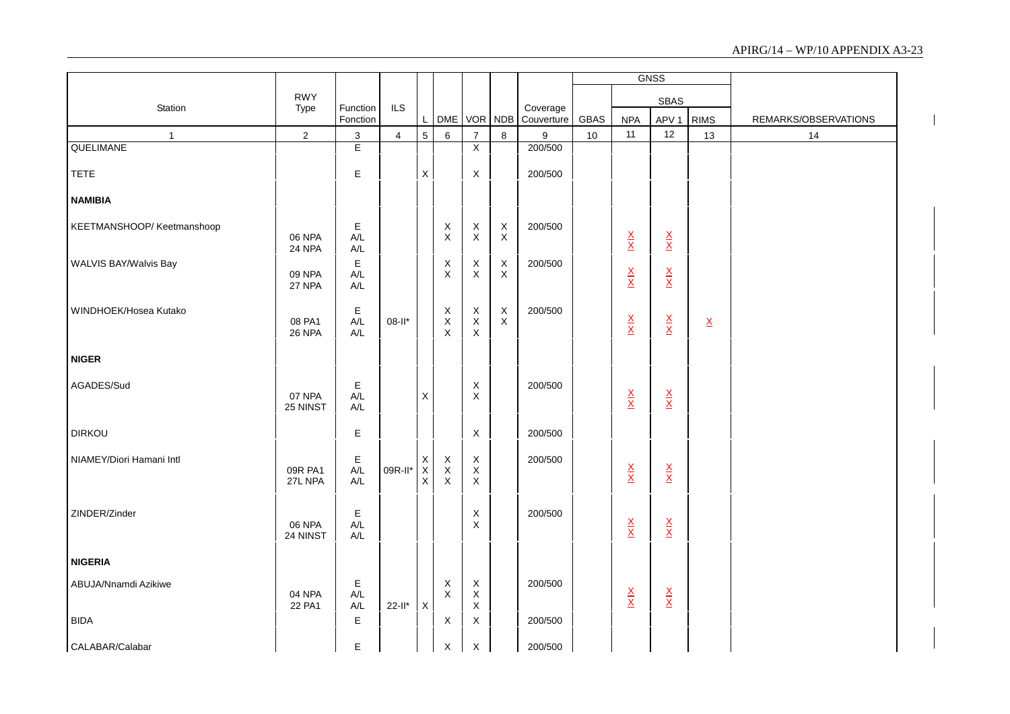|                           |                    |                                                 |                |                                   |                                 |                                                         |                            |                        |      |                                 | <b>GNSS</b>                     |                          |                      |
|---------------------------|--------------------|-------------------------------------------------|----------------|-----------------------------------|---------------------------------|---------------------------------------------------------|----------------------------|------------------------|------|---------------------------------|---------------------------------|--------------------------|----------------------|
|                           | <b>RWY</b>         |                                                 |                |                                   |                                 |                                                         |                            |                        |      |                                 | <b>SBAS</b>                     |                          |                      |
| Station                   | Type               | Function<br>Fonction                            | <b>ILS</b>     | $\mathsf{L}$                      |                                 |                                                         | DME VOR NDB                | Coverage<br>Couverture | GBAS | <b>NPA</b>                      | APV <sub>1</sub>                | <b>RIMS</b>              | REMARKS/OBSERVATIONS |
| $\mathbf{1}$              | $\sqrt{2}$         | $\mathfrak{S}$                                  | $\overline{4}$ | $5\overline{)}$                   | $\,6\,$                         | $\overline{7}$                                          | $\bf8$                     | 9                      | 10   | 11                              | 12                              | 13                       | 14                   |
| QUELIMANE                 |                    | E                                               |                |                                   |                                 | $\overline{X}$                                          |                            | 200/500                |      |                                 |                                 |                          |                      |
| <b>TETE</b>               |                    | E                                               |                | $\mathsf X$                       |                                 | X                                                       |                            | 200/500                |      |                                 |                                 |                          |                      |
| <b>NAMIBIA</b>            |                    |                                                 |                |                                   |                                 |                                                         |                            |                        |      |                                 |                                 |                          |                      |
| KEETMANSHOOP/Keetmanshoop | 06 NPA<br>24 NPA   | E<br>A/L<br>$\mathsf{A}/\mathsf{L}$             |                |                                   | X<br>$\mathsf X$                | $\mathsf X$<br>$\mathsf X$                              | $_{\rm X}^{\rm X}$         | 200/500                |      | $\frac{\mathsf{X}}{\mathsf{X}}$ | $\frac{\mathsf{X}}{\mathsf{X}}$ |                          |                      |
| WALVIS BAY/Walvis Bay     | 09 NPA<br>27 NPA   | E<br>$A/L$<br>$A/L$                             |                |                                   | X<br>X                          | X<br>X                                                  | $\mathsf X$<br>$\mathsf X$ | 200/500                |      | $rac{X}{X}$                     | $\frac{\mathsf{x}}{\mathsf{x}}$ |                          |                      |
| WINDHOEK/Hosea Kutako     | 08 PA1<br>26 NPA   | $\mathsf E$<br>$\mathsf{A}/\mathsf{L}$<br>$A/L$ | 08-II*         |                                   | $\mathsf X$<br>$\mathsf X$<br>X | $\boldsymbol{\mathsf{X}}$<br>$\mathsf X$<br>$\mathsf X$ | $\mathsf X$<br>$\mathsf X$ | 200/500                |      | $\frac{\mathsf{X}}{\mathsf{X}}$ | $\frac{\mathsf{x}}{\mathsf{x}}$ | $\underline{\mathsf{X}}$ |                      |
| <b>NIGER</b>              |                    |                                                 |                |                                   |                                 |                                                         |                            |                        |      |                                 |                                 |                          |                      |
| AGADES/Sud                | 07 NPA<br>25 NINST | E<br>$A/L$<br>$A/L$                             |                | $\mathsf X$                       |                                 | $\boldsymbol{\mathsf{X}}$<br>$\mathsf X$                |                            | 200/500                |      | $\frac{\mathsf{X}}{\mathsf{X}}$ | $\frac{\mathsf{X}}{\mathsf{X}}$ |                          |                      |
| <b>DIRKOU</b>             |                    | E                                               |                |                                   |                                 | $\boldsymbol{\mathsf{X}}$                               |                            | 200/500                |      |                                 |                                 |                          |                      |
| NIAMEY/Diori Hamani Intl  | 09R PA1<br>27L NPA | E<br>$A/L$<br>A/L                               | 09R-II*        | $_{\rm X}^{\rm X}$<br>$\mathsf X$ | $X$<br>$X$<br>$X$               | $\mathsf X$<br>$\mathsf X$<br>X                         |                            | 200/500                |      | $\frac{X}{X}$                   | $\frac{\mathsf{x}}{\mathsf{x}}$ |                          |                      |
| ZINDER/Zinder             | 06 NPA<br>24 NINST | E<br>$A/L$<br>$A/L$                             |                |                                   |                                 | $\boldsymbol{\mathsf{X}}$<br>X                          |                            | 200/500                |      | $\frac{\mathsf{X}}{\mathsf{X}}$ | $\frac{\mathsf{x}}{\mathsf{x}}$ |                          |                      |
| <b>NIGERIA</b>            |                    |                                                 |                |                                   |                                 |                                                         |                            |                        |      |                                 |                                 |                          |                      |
| ABUJA/Nnamdi Azikiwe      | 04 NPA<br>22 PA1   | E<br>A/L<br>$\mathsf{A}/\mathsf{L}$             | $22$ -ll* $X$  |                                   | $\mathsf X$<br>$\mathsf X$      | $\mathsf X$<br>$\mathsf X$<br>$\mathsf X$               |                            | 200/500                |      | $\frac{\mathsf{X}}{\mathsf{X}}$ | $\frac{\mathsf{X}}{\mathsf{X}}$ |                          |                      |
| <b>BIDA</b>               |                    | E                                               |                |                                   | $\mathsf{X}$                    | X                                                       |                            | 200/500                |      |                                 |                                 |                          |                      |
| CALABAR/Calabar           |                    | E                                               |                |                                   | $\times$                        | $\times$                                                |                            | 200/500                |      |                                 |                                 |                          |                      |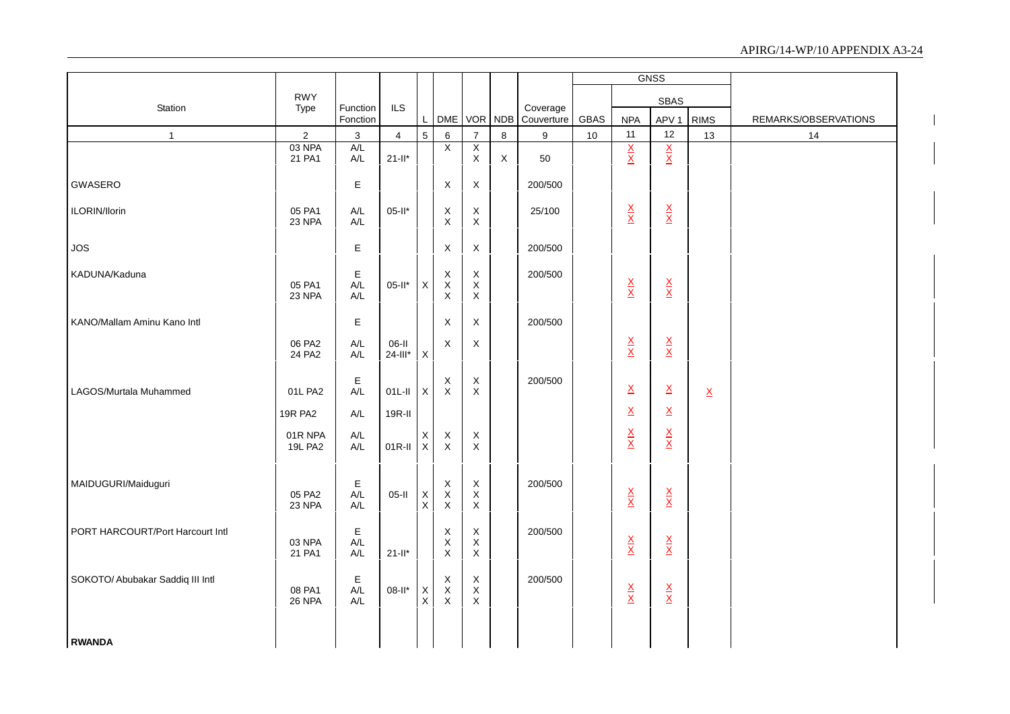|                                  |                  |                                |                |                            |                                        |                                           |             |                        |             |                                 | GNSS                            |                          |                      |
|----------------------------------|------------------|--------------------------------|----------------|----------------------------|----------------------------------------|-------------------------------------------|-------------|------------------------|-------------|---------------------------------|---------------------------------|--------------------------|----------------------|
|                                  | <b>RWY</b>       |                                |                |                            |                                        |                                           |             |                        |             |                                 | SBAS                            |                          |                      |
| Station                          | Type             | Function<br>Fonction           | ILS            | L                          |                                        | DME VOR NDB                               |             | Coverage<br>Couverture | <b>GBAS</b> | <b>NPA</b>                      | APV <sub>1</sub>                | <b>RIMS</b>              | REMARKS/OBSERVATIONS |
| $\mathbf{1}$                     | $\overline{2}$   | $\mathbf 3$                    | $\overline{4}$ | 5                          | 6                                      | $\overline{7}$                            | 8           | 9                      | 10          | 11                              | 12                              | 13                       | 14                   |
|                                  | 03 NPA           | A/L                            |                |                            | X                                      | $\overline{X}$                            |             |                        |             | $rac{X}{X}$                     | $rac{X}{X}$                     |                          |                      |
|                                  | 21 PA1           | $\mathsf{A}/\mathsf{L}$        | $21-I^*$       |                            |                                        | $\mathsf X$                               | $\mathsf X$ | 50                     |             |                                 |                                 |                          |                      |
| GWASERO                          |                  | $\mathsf E$                    |                |                            | $\mathsf X$                            | $\mathsf X$                               |             | 200/500                |             |                                 |                                 |                          |                      |
| ILORIN/Ilorin                    | 05 PA1<br>23 NPA | A/L<br>A/L                     | $05-It$ *      |                            | $\mathsf X$<br>$\mathsf X$             | $\boldsymbol{\mathsf{X}}$<br>$\mathsf{X}$ |             | 25/100                 |             | $\frac{\mathsf{X}}{\mathsf{X}}$ | $\frac{\mathsf{X}}{\mathsf{X}}$ |                          |                      |
|                                  |                  |                                |                |                            |                                        |                                           |             |                        |             |                                 |                                 |                          |                      |
| <b>JOS</b>                       |                  | Е                              |                |                            | $\mathsf X$                            | $\mathsf X$                               |             | 200/500                |             |                                 |                                 |                          |                      |
| KADUNA/Kaduna                    |                  | E                              |                |                            | X                                      | $\boldsymbol{\mathsf{X}}$                 |             | 200/500                |             |                                 |                                 |                          |                      |
|                                  | 05 PA1           | $A/L$                          | $05-II^*$      | $\mathsf X$                | $\mathsf X$                            | $\mathsf X$                               |             |                        |             | $\frac{\mathsf{X}}{\mathsf{X}}$ | $\frac{\mathsf{X}}{\mathsf{X}}$ |                          |                      |
|                                  | 23 NPA           | A/L                            |                |                            | X                                      | $\mathsf X$                               |             |                        |             |                                 |                                 |                          |                      |
| KANO/Mallam Aminu Kano Intl      |                  | $\mathsf E$                    |                |                            | $\mathsf X$                            | $\mathsf X$                               |             | 200/500                |             |                                 |                                 |                          |                      |
|                                  | 06 PA2           | A/L                            | 06-II          |                            | X                                      | $\mathsf X$                               |             |                        |             | $\frac{\mathsf{X}}{\mathsf{X}}$ | $\frac{\mathsf{X}}{\mathsf{X}}$ |                          |                      |
|                                  | 24 PA2           | $A/L$                          | $24$ -III*     | $\mathsf X$                |                                        |                                           |             |                        |             |                                 |                                 |                          |                      |
|                                  |                  | Е                              |                |                            |                                        | $\mathsf X$                               |             | 200/500                |             |                                 |                                 |                          |                      |
| LAGOS/Murtala Muhammed           | 01L PA2          | A/L                            | $01L-H$        | $\mathsf{X}$               | $_{\rm X}^{\rm X}$                     | $\mathsf X$                               |             |                        |             | $\underline{X}$                 | $\underline{X}$                 | $\underline{\mathsf{X}}$ |                      |
|                                  | <b>19R PA2</b>   | $\mathsf{A}/\mathsf{L}$        | 19R-II         |                            |                                        |                                           |             |                        |             | $\underline{\mathsf{X}}$        | $\underline{\mathsf{X}}$        |                          |                      |
|                                  | 01R NPA          | $A/L$                          |                | X                          |                                        | $\boldsymbol{\mathsf{X}}$                 |             |                        |             | $\frac{\mathsf{X}}{\mathsf{X}}$ |                                 |                          |                      |
|                                  | <b>19L PA2</b>   | A/L                            | $01R-II$       | $\mathsf X$                | $_{\rm X}^{\rm X}$                     | $\mathsf X$                               |             |                        |             |                                 | $\frac{\mathsf{X}}{\mathsf{X}}$ |                          |                      |
|                                  |                  |                                |                |                            |                                        |                                           |             |                        |             |                                 |                                 |                          |                      |
| MAIDUGURI/Maiduguri              |                  | E                              |                |                            | X                                      | $\mathsf X$                               |             | 200/500                |             |                                 |                                 |                          |                      |
|                                  | 05 PA2<br>23 NPA | A/L<br>A/L                     | $05-II$        | $\mathsf X$<br>$\mathsf X$ | $\mathsf X$<br>$\overline{\mathsf{x}}$ | $\mathsf X$<br>$\mathsf X$                |             |                        |             | $\frac{X}{X}$                   | $\frac{\mathsf{X}}{\mathsf{X}}$ |                          |                      |
|                                  |                  |                                |                |                            |                                        |                                           |             |                        |             |                                 |                                 |                          |                      |
| PORT HARCOURT/Port Harcourt Intl |                  | Е                              |                |                            | X                                      | $\mathsf X$                               |             | 200/500                |             |                                 |                                 |                          |                      |
|                                  | 03 NPA<br>21 PA1 | $A/L$                          | $21 - 11*$     |                            | $\pmb{\mathsf{X}}$<br>$\mathsf X$      | $\mathsf X$<br>$\mathsf X$                |             |                        |             | $\frac{\mathsf{X}}{\mathsf{X}}$ | $\frac{\mathsf{X}}{\mathsf{X}}$ |                          |                      |
|                                  |                  | A/L                            |                |                            |                                        |                                           |             |                        |             |                                 |                                 |                          |                      |
| SOKOTO/ Abubakar Saddiq III Intl |                  | Е                              |                |                            | X                                      | $\mathsf X$                               |             | 200/500                |             |                                 |                                 |                          |                      |
|                                  | 08 PA1<br>26 NPA | $\mathsf{A}/\mathsf{L}$<br>A/L | $08-II^*$      | X<br>$\mathsf{X}$          | $\overline{x}$<br>$\overline{x}$       | $\mathsf X$<br>$\mathsf{X}$               |             |                        |             | $\frac{\mathsf{X}}{\mathsf{X}}$ | $\frac{\mathsf{X}}{\mathsf{X}}$ |                          |                      |
|                                  |                  |                                |                |                            |                                        |                                           |             |                        |             |                                 |                                 |                          |                      |
|                                  |                  |                                |                |                            |                                        |                                           |             |                        |             |                                 |                                 |                          |                      |
| <b>RWANDA</b>                    |                  |                                |                |                            |                                        |                                           |             |                        |             |                                 |                                 |                          |                      |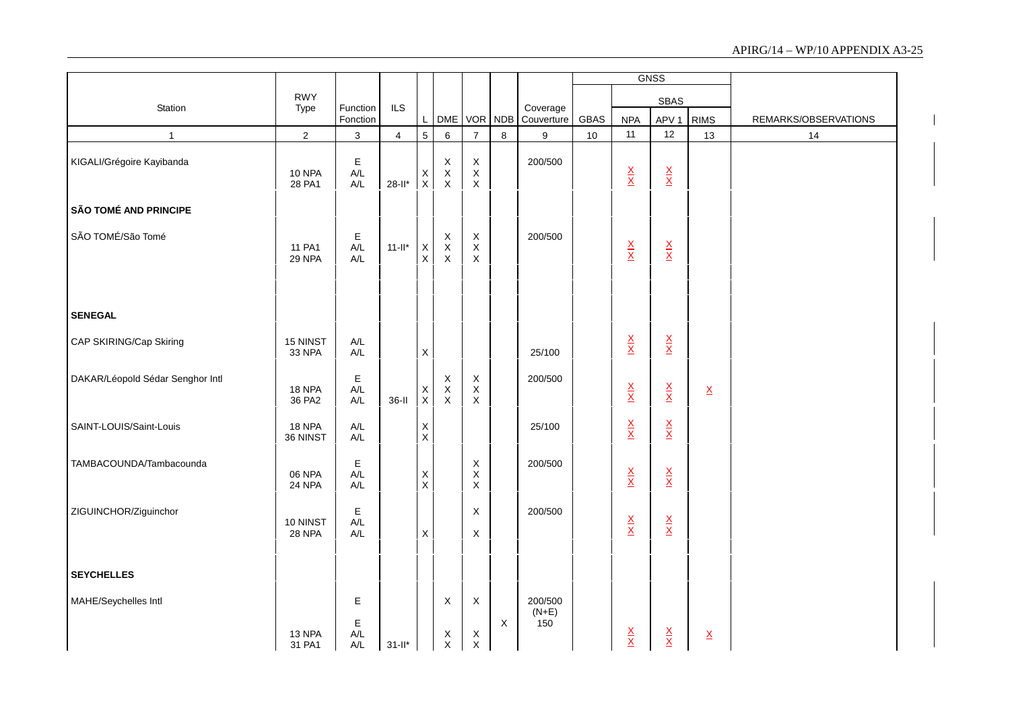|                                  |                           |                                       |                |                                       |                                            |                                                          |             |                           |      |                                 | <b>GNSS</b>                     |                          |                      |
|----------------------------------|---------------------------|---------------------------------------|----------------|---------------------------------------|--------------------------------------------|----------------------------------------------------------|-------------|---------------------------|------|---------------------------------|---------------------------------|--------------------------|----------------------|
| Station                          | <b>RWY</b>                | Function                              | <b>ILS</b>     |                                       |                                            |                                                          |             |                           |      |                                 | SBAS                            |                          |                      |
|                                  | Type                      | Fonction                              |                | L                                     |                                            |                                                          | DME VOR NDB | Coverage<br>Couverture    | GBAS | <b>NPA</b>                      | APV <sub>1</sub>                | <b>RIMS</b>              | REMARKS/OBSERVATIONS |
| $\mathbf{1}$                     | $\overline{2}$            | $\mathsf 3$                           | $\overline{4}$ | $5\overline{)}$                       | 6                                          | $\overline{7}$                                           | 8           | 9                         | 10   | 11                              | 12                              | 13                       | 14                   |
| KIGALI/Grégoire Kayibanda        | <b>10 NPA</b><br>28 PA1   | E<br>A/L<br>A/L                       | $28-I^*$       | $\begin{array}{c} x \\ x \end{array}$ | X<br>$_{\rm X}^{\rm X}$                    | $\boldsymbol{\mathsf{X}}$<br>$\mathsf X$<br>$\mathsf X$  |             | 200/500                   |      | $\frac{\mathsf{X}}{\mathsf{X}}$ | $\frac{\mathsf{X}}{\mathsf{X}}$ |                          |                      |
| <b>SÃO TOMÉ AND PRINCIPE</b>     |                           |                                       |                |                                       |                                            |                                                          |             |                           |      |                                 |                                 |                          |                      |
| SÃO TOMÉ/São Tomé                | 11 PA1<br>29 NPA          | E<br>A/L<br>A/L                       | $11$ -ll*      | $_{\rm X}^{\rm X}$                    | $_{\rm X}^{\rm X}$<br>X                    | $\boldsymbol{\mathsf{X}}$<br>$\mathsf X$<br>X            |             | 200/500                   |      | $\frac{\mathsf{X}}{\mathsf{X}}$ | $\frac{\mathsf{X}}{\mathsf{X}}$ |                          |                      |
| <b>SENEGAL</b>                   |                           |                                       |                |                                       |                                            |                                                          |             |                           |      |                                 |                                 |                          |                      |
| CAP SKIRING/Cap Skiring          | 15 NINST<br>33 NPA        | $\mathsf{A}/\mathsf{L}$<br>A/L        |                | $\mathsf X$                           |                                            |                                                          |             | 25/100                    |      | $\frac{\mathsf{X}}{\mathsf{X}}$ | $\frac{\mathsf{X}}{\mathsf{X}}$ |                          |                      |
| DAKAR/Léopold Sédar Senghor Intl | 18 NPA<br>36 PA2          | E<br>$A/L$<br>$\mathsf{A}/\mathsf{L}$ | $36-I$         | X<br>$\mathsf X$                      | $\mathsf X$<br>$\mathsf X$<br>$\mathsf{X}$ | $\boldsymbol{\mathsf{X}}$<br>$\mathsf X$<br>$\mathsf{X}$ |             | 200/500                   |      | $\frac{\mathsf{X}}{\mathsf{X}}$ | $\frac{\mathsf{X}}{\mathsf{X}}$ | $\underline{\mathsf{X}}$ |                      |
| SAINT-LOUIS/Saint-Louis          | <b>18 NPA</b><br>36 NINST | $A/L$<br>A/L                          |                | $_{\rm X}^{\rm X}$                    |                                            |                                                          |             | 25/100                    |      | $\frac{\mathsf{X}}{\mathsf{X}}$ | $\frac{\mathsf{X}}{\mathsf{X}}$ |                          |                      |
| TAMBACOUNDA/Tambacounda          | 06 NPA<br>24 NPA          | E<br>$A/L$<br>A/L                     |                | $\mathsf X$<br>$\mathsf X$            |                                            | X<br>$\sf X$<br>$\pmb{\times}$                           |             | 200/500                   |      | $\frac{\mathsf{X}}{\mathsf{X}}$ | $\frac{\mathsf{X}}{\mathsf{X}}$ |                          |                      |
| ZIGUINCHOR/Ziguinchor            | 10 NINST<br><b>28 NPA</b> | $\mathsf E$<br>$A/L$<br>$A/L$         |                | $\mathsf X$                           |                                            | $\boldsymbol{\mathsf{X}}$<br>$\sf X$                     |             | 200/500                   |      | $\frac{\mathsf{X}}{\mathsf{X}}$ | $\frac{\mathsf{X}}{\mathsf{X}}$ |                          |                      |
| <b>SEYCHELLES</b>                |                           |                                       |                |                                       |                                            |                                                          |             |                           |      |                                 |                                 |                          |                      |
| MAHE/Seychelles Intl             | 13 NPA                    | E<br>Е<br>A/L                         |                |                                       | X<br>$\boldsymbol{\mathsf{X}}$             | $\boldsymbol{\mathsf{X}}$<br>$\boldsymbol{\mathsf{X}}$   | X           | 200/500<br>$(N+E)$<br>150 |      |                                 |                                 | $\underline{X}$          |                      |
|                                  | 31 PA1                    | A/L                                   | $31 - 11^*$    |                                       | $\times$                                   | $\mathsf{X}$                                             |             |                           |      | $\frac{\mathsf{X}}{\mathsf{X}}$ | $\frac{\mathsf{X}}{\mathsf{X}}$ |                          |                      |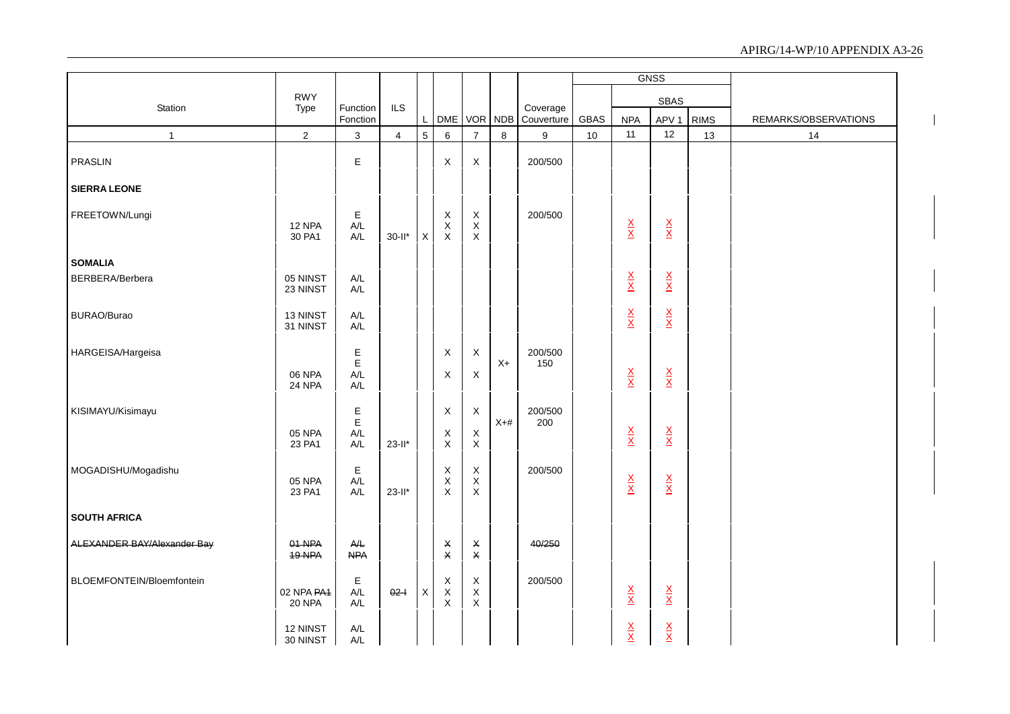|                             |                             |                                |                |                 |                                              |                                 |             |                |      |                                 | <b>GNSS</b>                     |             |                      |
|-----------------------------|-----------------------------|--------------------------------|----------------|-----------------|----------------------------------------------|---------------------------------|-------------|----------------|------|---------------------------------|---------------------------------|-------------|----------------------|
| Station                     | <b>RWY</b><br>Type          | Function                       | <b>ILS</b>     |                 |                                              |                                 |             | Coverage       |      |                                 | <b>SBAS</b>                     |             |                      |
|                             |                             | Fonction                       |                | $\mathsf{L}$    |                                              |                                 | DME VOR NDB | Couverture     | GBAS | <b>NPA</b>                      | APV <sub>1</sub>                | <b>RIMS</b> | REMARKS/OBSERVATIONS |
| $\mathbf{1}$                | $\sqrt{2}$                  | $\mathbf{3}$                   | $\overline{4}$ | $5\overline{)}$ | $\,6\,$                                      | $\overline{7}$                  | $\bf8$      | 9              | 10   | 11                              | 12                              | 13          | 14                   |
| <b>PRASLIN</b>              |                             | E                              |                |                 | X                                            | X                               |             | 200/500        |      |                                 |                                 |             |                      |
| <b>SIERRA LEONE</b>         |                             |                                |                |                 |                                              |                                 |             |                |      |                                 |                                 |             |                      |
| FREETOWN/Lungi              | 12 NPA<br>30 PA1            | Е<br>A/L<br>A/L                | $30$ -ll*      | $\mathsf{X}$    | X<br>$\mathsf X$<br>$\mathsf X$              | X<br>$\mathsf X$<br>$\mathsf X$ |             | 200/500        |      | $\frac{\mathsf{x}}{\mathsf{x}}$ | $\frac{\mathsf{X}}{\mathsf{X}}$ |             |                      |
| <b>SOMALIA</b>              |                             |                                |                |                 |                                              |                                 |             |                |      |                                 |                                 |             |                      |
| BERBERA/Berbera             | 05 NINST<br>23 NINST        | $A/L$<br>A/L                   |                |                 |                                              |                                 |             |                |      | $\frac{\mathsf{x}}{\mathsf{x}}$ | $\frac{\mathsf{X}}{\mathsf{X}}$ |             |                      |
| BURAO/Burao                 | 13 NINST<br>31 NINST        | $\mathsf{A}/\mathsf{L}$<br>A/L |                |                 |                                              |                                 |             |                |      | $\frac{X}{X}$                   | $\frac{\mathsf{X}}{\mathsf{X}}$ |             |                      |
| HARGEISA/Hargeisa           | 06 NPA<br>24 NPA            | E<br>E<br>A/L<br>A/L           |                |                 | X<br>X                                       | X<br>X                          | $X+$        | 200/500<br>150 |      | $\frac{\mathsf{X}}{\mathsf{X}}$ | $\frac{\mathsf{X}}{\mathsf{X}}$ |             |                      |
| KISIMAYU/Kisimayu           | 05 NPA<br>23 PA1            | $\mathsf E$<br>E<br>A/L<br>A/L | $23-I^*$       |                 | $\mathsf X$<br>$\mathsf X$<br>$\mathsf X$    | X<br>X<br>$\mathsf X$           | $X+#$       | 200/500<br>200 |      | $\frac{\mathsf{x}}{\mathsf{x}}$ | $\frac{\mathsf{X}}{\mathsf{X}}$ |             |                      |
| MOGADISHU/Mogadishu         | 05 NPA<br>23 PA1            | $\mathsf E$<br>A/L<br>A/L      | $23-I^*$       |                 | $\mathsf X$<br>$\mathsf X$<br>$\pmb{\times}$ | X<br>$\mathsf X$<br>X           |             | 200/500        |      | $\frac{\mathsf{X}}{\mathsf{X}}$ | $\frac{\mathsf{X}}{\mathsf{X}}$ |             |                      |
| <b>SOUTH AFRICA</b>         |                             |                                |                |                 |                                              |                                 |             |                |      |                                 |                                 |             |                      |
| ALEXANDER BAY/Alexander Bay | 01 NPA<br>19 NPA            | A/L<br><b>NPA</b>              |                |                 | $\pmb{\times}$<br>$\pmb{\mathsf{X}}$         | X<br>$\pmb{\times}$             |             | 40/250         |      |                                 |                                 |             |                      |
| BLOEMFONTEIN/Bloemfontein   | 02 NPA PA4<br><b>20 NPA</b> | Е<br>A/L<br>$A/L$              | $02 -$         | X               | $\mathsf X$<br>$\mathsf X$<br>$\mathsf X$    | X<br>$\mathsf X$<br>X           |             | 200/500        |      | $\frac{\mathsf{X}}{\mathsf{X}}$ | $\frac{\mathsf{X}}{\mathsf{X}}$ |             |                      |
|                             | 12 NINST<br>30 NINST        | $\mathsf{A}/\mathsf{L}$<br>A/L |                |                 |                                              |                                 |             |                |      | $\frac{\mathsf{x}}{\mathsf{x}}$ | $\frac{X}{X}$                   |             |                      |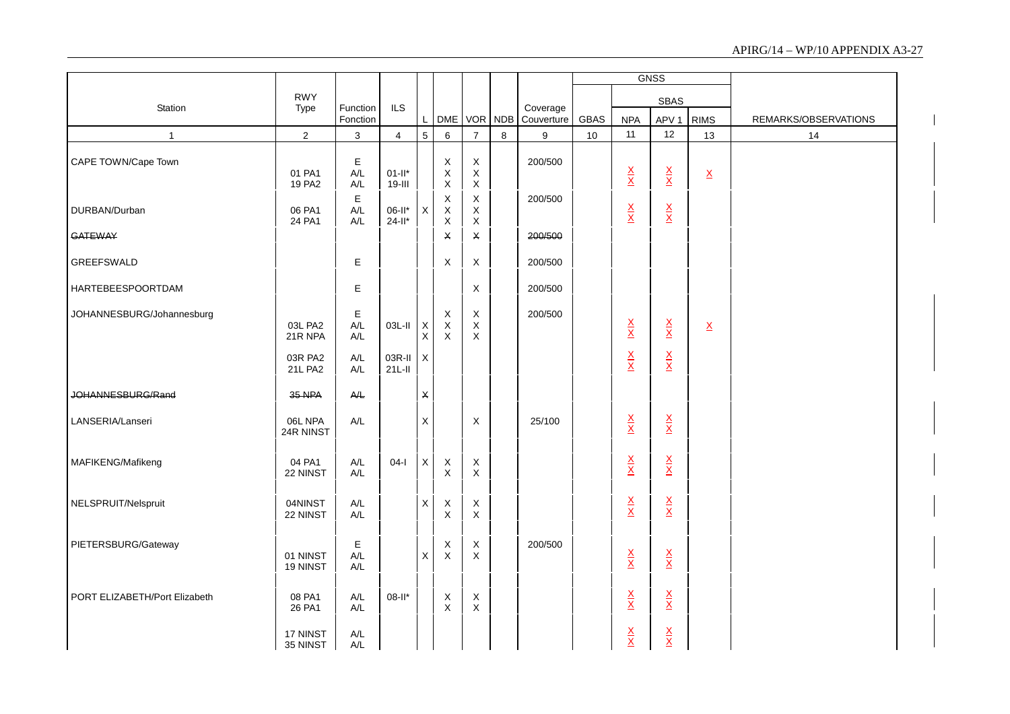|                               |                      |                                |                |                           |                            |                            |         |                        |      |                                 | <b>GNSS</b>                     |                          |                      |
|-------------------------------|----------------------|--------------------------------|----------------|---------------------------|----------------------------|----------------------------|---------|------------------------|------|---------------------------------|---------------------------------|--------------------------|----------------------|
|                               | <b>RWY</b>           |                                | ILS            |                           |                            |                            |         |                        |      |                                 | <b>SBAS</b>                     |                          |                      |
| Station                       | Type                 | Function<br>Fonction           |                |                           | DME VOR NDB                |                            |         | Coverage<br>Couverture | GBAS | <b>NPA</b>                      | APV <sub>1</sub>                | <b>RIMS</b>              | REMARKS/OBSERVATIONS |
| $\mathbf{1}$                  | $\overline{2}$       | 3                              | $\overline{4}$ | $\overline{5}$            | 6                          | $\overline{7}$             | $\,8\,$ | 9                      | 10   | 11                              | 12                              | 13                       | 14                   |
| CAPE TOWN/Cape Town           |                      | $\mathsf E$                    |                |                           |                            | $\mathsf X$                |         | 200/500                |      |                                 |                                 |                          |                      |
|                               | 01 PA1               | A/L                            | $01-It$        |                           | $_{\rm X}^{\rm X}$         | $\mathsf X$                |         |                        |      | $\frac{\mathsf{X}}{\mathsf{X}}$ | $\frac{\mathsf{x}}{\mathsf{x}}$ | $\underline{\mathsf{X}}$ |                      |
|                               | 19 PA2               | $A/L$                          | $19 -$         |                           | $\mathsf X$                | $\mathsf X$                |         |                        |      |                                 |                                 |                          |                      |
| DURBAN/Durban                 | 06 PA1               | $\mathsf E$<br>$A/L$           | $06-II^*$      | X                         | $\mathsf X$<br>$\mathsf X$ | $\mathsf X$<br>$\mathsf X$ |         | 200/500                |      | $\frac{\mathsf{X}}{\mathsf{X}}$ |                                 |                          |                      |
|                               | 24 PA1               | A/L                            | $24 - 11*$     |                           | $\mathsf X$                | $\mathsf X$                |         |                        |      |                                 | $\frac{\mathsf{X}}{\mathsf{X}}$ |                          |                      |
| <b>GATEWAY</b>                |                      |                                |                |                           | $\pmb{\times}$             | $\pmb{\times}$             |         | 200/500                |      |                                 |                                 |                          |                      |
| GREEFSWALD                    |                      | E                              |                |                           | X                          | X                          |         | 200/500                |      |                                 |                                 |                          |                      |
|                               |                      |                                |                |                           |                            |                            |         |                        |      |                                 |                                 |                          |                      |
| HARTEBEESPOORTDAM             |                      | E                              |                |                           |                            | X                          |         | 200/500                |      |                                 |                                 |                          |                      |
| JOHANNESBURG/Johannesburg     |                      | Ε                              |                |                           | $\boldsymbol{\mathsf{X}}$  | X                          |         | 200/500                |      |                                 |                                 |                          |                      |
|                               | 03L PA2              | A/L                            | $03L-H$        | $\boldsymbol{\mathsf{X}}$ | $\mathsf X$                | $\mathsf X$                |         |                        |      | $\frac{\mathsf{X}}{\mathsf{X}}$ | $\frac{\mathsf{X}}{\mathsf{X}}$ | $\underline{\mathsf{X}}$ |                      |
|                               | 21R NPA              | A/L                            |                | $\mathsf X$               | $\mathsf X$                | X                          |         |                        |      |                                 |                                 |                          |                      |
|                               | 03R PA2              | A/L                            | 03R-II         | $\mathsf{X}$              |                            |                            |         |                        |      | $\frac{\mathsf{x}}{\mathsf{x}}$ | $\frac{\mathsf{X}}{\mathsf{X}}$ |                          |                      |
|                               | <b>21L PA2</b>       | $\mathsf{A}/\mathsf{L}$        | $21L-11$       |                           |                            |                            |         |                        |      |                                 |                                 |                          |                      |
| JOHANNESBURG/Rand             | 35 NPA               | $A/L$                          |                | $\pmb{\times}$            |                            |                            |         |                        |      |                                 |                                 |                          |                      |
|                               |                      |                                |                |                           |                            |                            |         |                        |      |                                 |                                 |                          |                      |
| LANSERIA/Lanseri              | 06L NPA<br>24R NINST | $A/L$                          |                | $\mathsf X$               |                            | X                          |         | 25/100                 |      | $\frac{\mathsf{X}}{\mathsf{X}}$ | $\frac{\mathsf{X}}{\mathsf{X}}$ |                          |                      |
|                               |                      |                                |                |                           |                            |                            |         |                        |      |                                 |                                 |                          |                      |
| MAFIKENG/Mafikeng             | 04 PA1               | $A/L$                          | $04-I$         | $\mathsf X$               | $\boldsymbol{\mathsf{X}}$  | X                          |         |                        |      |                                 |                                 |                          |                      |
|                               | 22 NINST             | $A/L$                          |                |                           | $\mathsf X$                | $\mathsf X$                |         |                        |      | $\frac{\mathsf{X}}{\mathsf{X}}$ | $\frac{\mathsf{X}}{\mathsf{X}}$ |                          |                      |
|                               |                      |                                |                |                           |                            |                            |         |                        |      |                                 |                                 |                          |                      |
| NELSPRUIT/Nelspruit           | 04NINST<br>22 NINST  | A/L<br>$\mathsf{A}/\mathsf{L}$ |                | X                         | $\mathsf X$<br>$\mathsf X$ | X<br>$\mathsf X$           |         |                        |      | $\frac{\mathsf{X}}{\mathsf{X}}$ | $\frac{\mathsf{X}}{\mathsf{X}}$ |                          |                      |
|                               |                      |                                |                |                           |                            |                            |         |                        |      |                                 |                                 |                          |                      |
| PIETERSBURG/Gateway           |                      | E                              |                |                           |                            | X                          |         | 200/500                |      |                                 |                                 |                          |                      |
|                               | 01 NINST             | A/L                            |                | X                         | $_{\rm X}^{\rm X}$         | $\times$                   |         |                        |      | $\frac{\mathsf{X}}{\mathsf{X}}$ | $\frac{\mathsf{X}}{\mathsf{X}}$ |                          |                      |
|                               | 19 NINST             | A/L                            |                |                           |                            |                            |         |                        |      |                                 |                                 |                          |                      |
|                               |                      |                                |                |                           |                            |                            |         |                        |      |                                 |                                 |                          |                      |
| PORT ELIZABETH/Port Elizabeth | 08 PA1<br>26 PA1     | A/L<br>A/L                     | 08-II*         |                           | X<br>X                     | X<br>X                     |         |                        |      | $\frac{\mathsf{X}}{\mathsf{X}}$ | $\frac{\mathsf{X}}{\mathsf{X}}$ |                          |                      |
|                               |                      |                                |                |                           |                            |                            |         |                        |      |                                 |                                 |                          |                      |
|                               | 17 NINST<br>35 NINST | A/L<br>A/L                     |                |                           |                            |                            |         |                        |      | $\frac{\mathsf{X}}{\mathsf{X}}$ | $\frac{X}{X}$                   |                          |                      |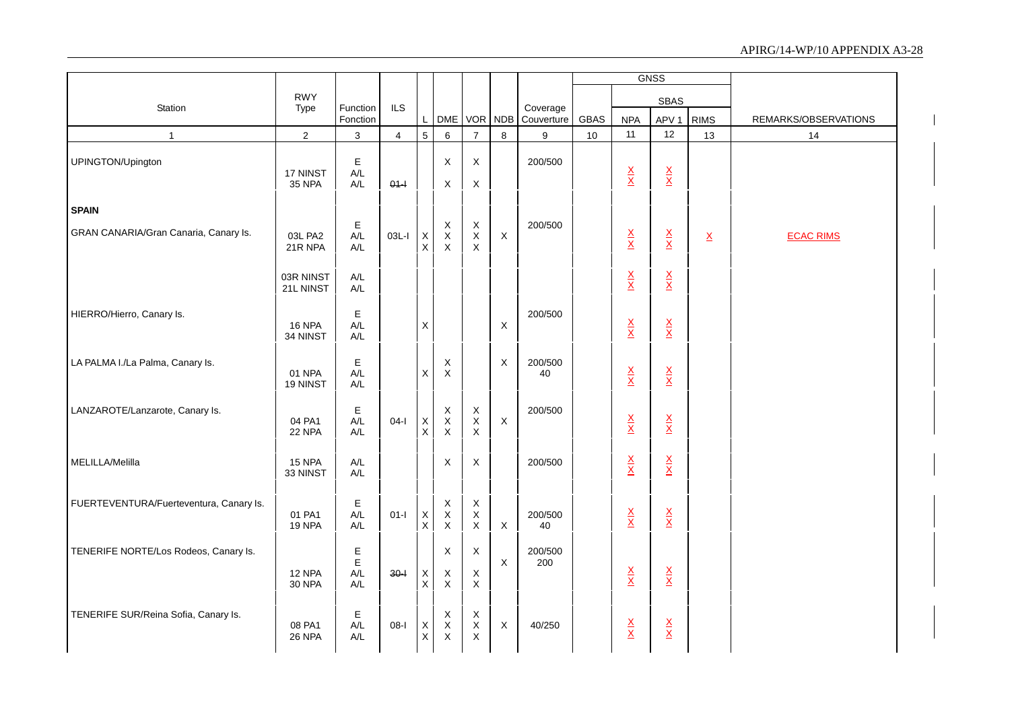|                                         |                           |                                          |                |                              |                                   |                                                   |                           |                        |             |                                 | <b>GNSS</b>                     |                          |                      |
|-----------------------------------------|---------------------------|------------------------------------------|----------------|------------------------------|-----------------------------------|---------------------------------------------------|---------------------------|------------------------|-------------|---------------------------------|---------------------------------|--------------------------|----------------------|
|                                         | <b>RWY</b>                |                                          |                |                              |                                   |                                                   |                           |                        |             |                                 | <b>SBAS</b>                     |                          |                      |
| Station                                 | Type                      | Function<br>Fonction                     | <b>ILS</b>     | L                            |                                   |                                                   | DME VOR NDB               | Coverage<br>Couverture | <b>GBAS</b> | <b>NPA</b>                      | APV <sub>1</sub>                | <b>RIMS</b>              | REMARKS/OBSERVATIONS |
| $\mathbf{1}$                            | $\overline{2}$            | 3                                        | $\overline{4}$ | 5                            | $\,6\,$                           | $\overline{7}$                                    | $\,8\,$                   | 9                      | 10          | 11                              | 12                              | 13                       | 14                   |
| UPINGTON/Upington                       | 17 NINST<br><b>35 NPA</b> | E<br>A/L<br>A/L                          | $01 -$         |                              | $\mathsf X$<br>X                  | X<br>X                                            |                           | 200/500                |             | $\frac{\mathsf{X}}{\mathsf{X}}$ | $\frac{\mathsf{X}}{\mathsf{X}}$ |                          |                      |
| <b>SPAIN</b>                            |                           |                                          |                |                              |                                   |                                                   |                           |                        |             |                                 |                                 |                          |                      |
| GRAN CANARIA/Gran Canaria, Canary Is.   | 03L PA2<br>21R NPA        | Е<br>A/L<br>A/L                          | $03L-I$        | $\mathsf{X}$<br>$\mathsf{X}$ | X<br>$\mathsf X$<br>$\mathsf{X}$  | X<br>$\mathsf X$<br>$\mathsf{X}$                  | $\mathsf X$               | 200/500                |             | $\frac{\mathsf{X}}{\mathsf{X}}$ | $\frac{\mathsf{X}}{\mathsf{X}}$ | $\underline{\mathsf{X}}$ | <b>ECAC RIMS</b>     |
|                                         | 03R NINST<br>21L NINST    | A/L<br>A/L                               |                |                              |                                   |                                                   |                           |                        |             | $\frac{\mathsf{X}}{\mathsf{X}}$ | $\frac{\mathsf{X}}{\mathsf{X}}$ |                          |                      |
| HIERRO/Hierro, Canary Is.               | <b>16 NPA</b><br>34 NINST | Е<br>A/L<br>A/L                          |                | X                            |                                   |                                                   | $\boldsymbol{\mathsf{X}}$ | 200/500                |             | $\frac{\mathsf{X}}{\mathsf{X}}$ | $\frac{\mathsf{X}}{\mathsf{X}}$ |                          |                      |
| LA PALMA I./La Palma, Canary Is.        | 01 NPA<br>19 NINST        | E<br>A/L<br>$\mathsf{A}/\mathsf{L}$      |                | X                            | X<br>$\mathsf{X}$                 |                                                   | X                         | 200/500<br>40          |             | $\frac{\mathsf{X}}{\mathsf{X}}$ | $\frac{\mathsf{X}}{\mathsf{X}}$ |                          |                      |
| LANZAROTE/Lanzarote, Canary Is.         | 04 PA1<br>22 NPA          | Е<br>A/L<br>$\mathsf{A}/\mathsf{L}$      | $04-I$         | $\mathsf X$<br>$\mathsf X$   | $_{\rm X}^{\rm X}$<br>$\mathsf X$ | X<br>$\mathsf X$<br>$\pmb{\times}$                | $\mathsf X$               | 200/500                |             | $\frac{\mathsf{X}}{\mathsf{X}}$ | $\frac{\mathsf{X}}{\mathsf{X}}$ |                          |                      |
| MELILLA/Melilla                         | 15 NPA<br>33 NINST        | A/L<br>A/L                               |                |                              | $\mathsf X$                       | X                                                 |                           | 200/500                |             | $\frac{\mathsf{X}}{\mathsf{X}}$ | $\frac{\mathsf{X}}{\mathsf{X}}$ |                          |                      |
| FUERTEVENTURA/Fuerteventura, Canary Is. | 01 PA1<br><b>19 NPA</b>   | Е<br>A/L<br>A/L                          | $01-I$         | X<br>$\sf X$                 | X<br>$\mathsf X$<br>$\mathsf{X}$  | $\boldsymbol{X}$<br>$\mathsf X$<br>$\pmb{\times}$ | $\mathsf X$               | 200/500<br>40          |             | $\frac{\mathsf{X}}{\mathsf{X}}$ | $\frac{\mathsf{X}}{\mathsf{X}}$ |                          |                      |
| TENERIFE NORTE/Los Rodeos, Canary Is.   | 12 NPA<br><b>30 NPA</b>   | E<br>E<br>A/L<br>$\mathsf{A}/\mathsf{L}$ | $30 - 1$       | X<br>X                       | $\mathsf{X}$<br>X<br>$\mathsf X$  | $\pmb{\times}$<br>X<br>$\mathsf X$                | $\mathsf X$               | 200/500<br>200         |             | $\frac{\mathsf{X}}{\mathsf{X}}$ | $\frac{\mathsf{X}}{\mathsf{X}}$ |                          |                      |
| TENERIFE SUR/Reina Sofia, Canary Is.    | 08 PA1<br><b>26 NPA</b>   | Е<br>A/L<br>A/L                          | $08-I$         | X<br>X                       | X<br>$_{\rm X}^{\rm X}$           | X<br>$\boldsymbol{\mathsf{X}}$<br>X               | X                         | 40/250                 |             | $\frac{\mathsf{X}}{\mathsf{X}}$ | $\frac{\mathsf{X}}{\mathsf{X}}$ |                          |                      |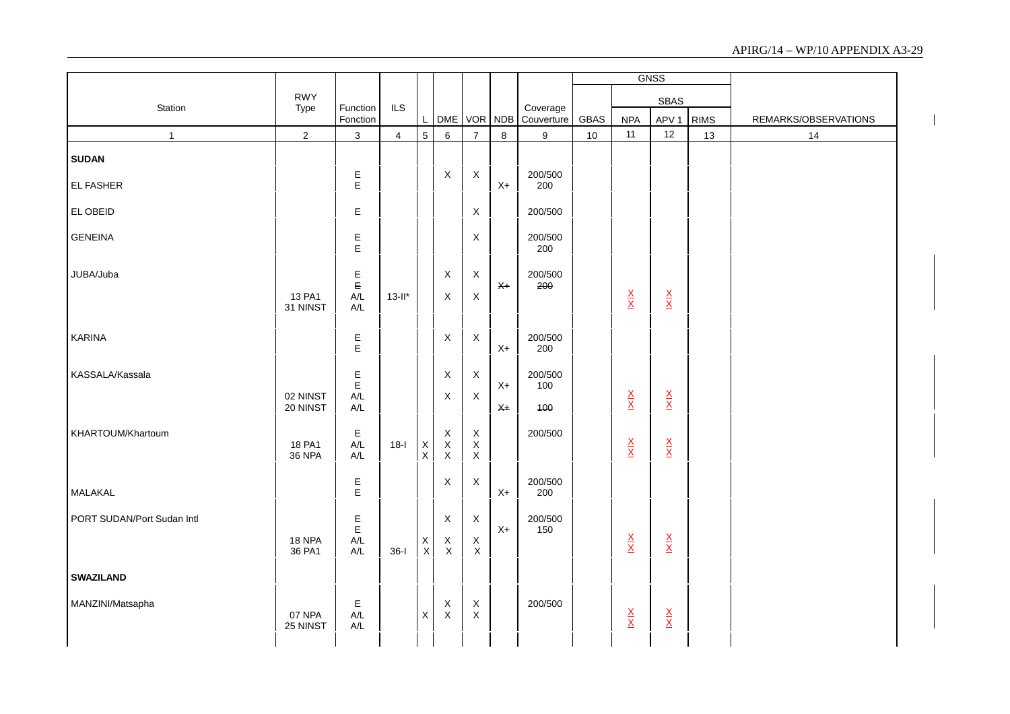|                            |                         |                                                           |                |                    |                                   |                                           |       |                        |      |                                 | <b>GNSS</b>                     |             |                      |
|----------------------------|-------------------------|-----------------------------------------------------------|----------------|--------------------|-----------------------------------|-------------------------------------------|-------|------------------------|------|---------------------------------|---------------------------------|-------------|----------------------|
|                            | <b>RWY</b>              |                                                           |                |                    |                                   |                                           |       |                        |      |                                 | <b>SBAS</b>                     |             |                      |
| Station                    | Type                    | Function<br>Fonction                                      | ILS            | L                  | DME VOR NDB                       |                                           |       | Coverage<br>Couverture | GBAS | <b>NPA</b>                      | APV <sub>1</sub>                | <b>RIMS</b> | REMARKS/OBSERVATIONS |
| $\mathbf{1}$               | $\overline{2}$          | $\mathsf 3$                                               | $\overline{4}$ | $\overline{5}$     | 6                                 | $\overline{7}$                            | 8     | 9                      | 10   | 11                              | 12                              | 13          | 14                   |
| <b>SUDAN</b>               |                         |                                                           |                |                    |                                   |                                           |       |                        |      |                                 |                                 |             |                      |
| EL FASHER                  |                         | E<br>E                                                    |                |                    | X                                 | X                                         | $X+$  | 200/500<br>200         |      |                                 |                                 |             |                      |
| EL OBEID                   |                         | $\mathsf E$                                               |                |                    |                                   | X                                         |       | 200/500                |      |                                 |                                 |             |                      |
| <b>GENEINA</b>             |                         | E<br>E                                                    |                |                    |                                   | X                                         |       | 200/500<br>200         |      |                                 |                                 |             |                      |
| JUBA/Juba                  |                         | $\mathop{\mathbb{E}}\limits_{\mathop{\mathbb{E}}\limits}$ |                |                    | X                                 | X                                         | $X+$  | 200/500<br>200         |      |                                 |                                 |             |                      |
|                            | 13 PA1<br>31 NINST      | $A/L$<br>A/L                                              | $13$ -ll*      |                    | $\mathsf X$                       | $\mathsf X$                               |       |                        |      | $\frac{\mathsf{X}}{\mathsf{X}}$ | $\frac{\mathsf{X}}{\mathsf{X}}$ |             |                      |
| KARINA                     |                         | E<br>E                                                    |                |                    | X                                 | $\mathsf X$                               | $X+$  | 200/500<br>200         |      |                                 |                                 |             |                      |
| KASSALA/Kassala            |                         | $E$                                                       |                |                    | X                                 | $\mathsf X$                               | $X+$  | 200/500<br>100         |      |                                 |                                 |             |                      |
|                            | 02 NINST<br>20 NINST    | A/L<br>$\mathsf{A}/\mathsf{L}$                            |                |                    | $\boldsymbol{\mathsf{X}}$         | $\mathsf X$                               | $x +$ | 400                    |      | $\frac{\mathsf{X}}{\mathsf{X}}$ | $\frac{\mathsf{X}}{\mathsf{X}}$ |             |                      |
| KHARTOUM/Khartoum          | 18 PA1<br><b>36 NPA</b> | $\mathsf E$<br>$A/L$<br>A/L                               | $18-I$         | $_{\rm X}^{\rm X}$ | $\mathsf X$<br>$_{\rm X}^{\rm X}$ | $\mathsf X$<br>$\mathsf X$<br>$\mathsf X$ |       | 200/500                |      | $\frac{\mathsf{X}}{\mathsf{X}}$ | $\frac{\mathsf{X}}{\mathsf{X}}$ |             |                      |
| MALAKAL                    |                         | E<br>E                                                    |                |                    | $\mathsf X$                       | $\mathsf X$                               | $X+$  | 200/500<br>200         |      |                                 |                                 |             |                      |
| PORT SUDAN/Port Sudan Intl | 18 NPA<br>36 PA1        | E<br>$\mathsf E$<br>A/L<br>$A/L$                          | $36-I$         | X<br>$\mathsf X$   | X<br>X<br>$\mathsf X$             | $\mathsf X$<br>$\mathsf X$<br>$\mathsf X$ | $X+$  | 200/500<br>150         |      | $\frac{X}{X}$                   | $\frac{\mathsf{X}}{\mathsf{X}}$ |             |                      |
| <b>SWAZILAND</b>           |                         |                                                           |                |                    |                                   |                                           |       |                        |      |                                 |                                 |             |                      |
| MANZINI/Matsapha           | 07 NPA<br>25 NINST      | E<br>A/L<br>$\mathsf{A}/\mathsf{L}$                       |                | $\mathsf X$        | X<br>$\mathsf X$                  | $\mathsf X$<br>$\mathsf X$                |       | 200/500                |      | $\frac{\mathsf{X}}{\mathsf{X}}$ | $\frac{\mathsf{X}}{\mathsf{X}}$ |             |                      |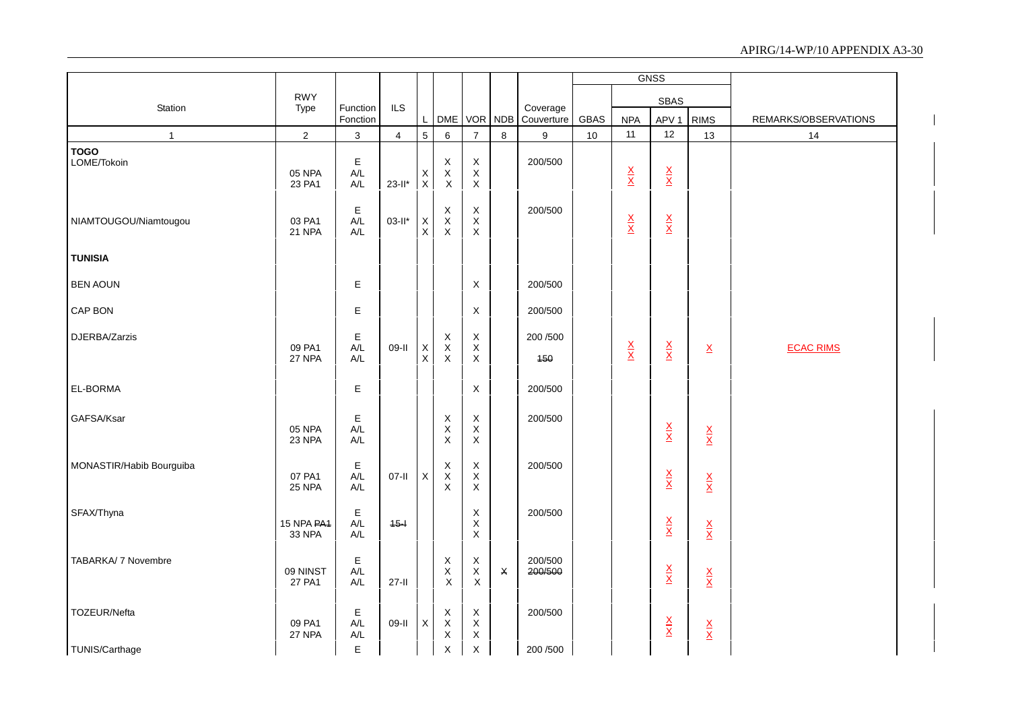|                            |                                  |                                                 |                         |                               |                                                  |                                                         |                |                        |             |                                 | <b>GNSS</b>                     |                                 |                      |
|----------------------------|----------------------------------|-------------------------------------------------|-------------------------|-------------------------------|--------------------------------------------------|---------------------------------------------------------|----------------|------------------------|-------------|---------------------------------|---------------------------------|---------------------------------|----------------------|
|                            | <b>RWY</b>                       |                                                 |                         |                               |                                                  |                                                         |                |                        |             |                                 | <b>SBAS</b>                     |                                 |                      |
| Station                    | Type                             | Function<br>Fonction                            | <b>ILS</b>              | L                             |                                                  | DME VOR NDB                                             |                | Coverage<br>Couverture | <b>GBAS</b> | <b>NPA</b>                      | APV <sub>1</sub>                | <b>RIMS</b>                     | REMARKS/OBSERVATIONS |
| $\mathbf{1}$               | $\overline{2}$                   | 3                                               | $\overline{\mathbf{4}}$ | 5                             | $\,6\,$                                          | $\overline{7}$                                          | 8              | $\boldsymbol{9}$       | 10          | 11                              | 12                              | 13                              | 14                   |
| <b>TOGO</b><br>LOME/Tokoin | 05 NPA<br>23 PA1                 | E<br>A/L<br>A/L                                 | $23-II*$                | X<br>$\mathsf X$              | X<br>$\mathsf X$<br>$\mathsf{X}$                 | $\mathsf X$<br>$\mathsf X$<br>$\mathsf X$               |                | 200/500                |             | $\frac{\mathsf{X}}{\mathsf{X}}$ | $\frac{\mathsf{X}}{\mathsf{X}}$ |                                 |                      |
| NIAMTOUGOU/Niamtougou      | 03 PA1<br>21 NPA                 | $\mathsf E$<br>A/L<br>A/L                       | $03-H*$                 | $\mathsf X$<br>$\pmb{\times}$ | $\mathsf X$<br>$_{\rm X}^{\rm X}$                | $\mathsf X$<br>$\boldsymbol{\mathsf{X}}$<br>X           |                | 200/500                |             | $\frac{\mathsf{X}}{\mathsf{X}}$ | $\frac{\mathsf{X}}{\mathsf{X}}$ |                                 |                      |
| <b>TUNISIA</b>             |                                  |                                                 |                         |                               |                                                  |                                                         |                |                        |             |                                 |                                 |                                 |                      |
| <b>BEN AOUN</b>            |                                  | Е                                               |                         |                               |                                                  | X                                                       |                | 200/500                |             |                                 |                                 |                                 |                      |
| CAP BON                    |                                  | E                                               |                         |                               |                                                  | $\boldsymbol{\mathsf{X}}$                               |                | 200/500                |             |                                 |                                 |                                 |                      |
| DJERBA/Zarzis              | 09 PA1<br>27 NPA                 | Е<br>A/L<br>A/L                                 | 09-II                   | $_{\rm X}^{\rm X}$            | X<br>$\mathsf X$<br>$\mathsf X$                  | $\mathsf X$<br>$\mathsf X$<br>$\mathsf X$               |                | 200/500<br>150         |             | $\frac{X}{X}$                   | $\frac{X}{X}$                   | $\underline{\mathsf{X}}$        | <b>ECAC RIMS</b>     |
| EL-BORMA                   |                                  | E                                               |                         |                               |                                                  | $\boldsymbol{\mathsf{X}}$                               |                | 200/500                |             |                                 |                                 |                                 |                      |
| GAFSA/Ksar                 | 05 NPA<br>23 NPA                 | E<br>A/L<br>A/L                                 |                         |                               | $_{\rm X}^{\rm X}$<br>$\mathsf X$                | $\mathsf X$<br>$\mathsf X$<br>$\boldsymbol{\mathsf{X}}$ |                | 200/500                |             |                                 | $\frac{\mathsf{X}}{\mathsf{X}}$ | $\frac{\mathsf{X}}{\mathsf{X}}$ |                      |
| MONASTIR/Habib Bourguiba   | 07 PA1<br><b>25 NPA</b>          | $\mathsf E$<br>$A/L$<br>A/L                     | $07-II$                 | $\mathsf X$                   | X<br>$\sf X$<br>$\times$                         | $\mathsf X$<br>$\mathsf X$<br>X                         |                | 200/500                |             |                                 | $\frac{\mathsf{X}}{\mathsf{X}}$ | $\frac{\mathsf{X}}{\mathsf{X}}$ |                      |
| SFAX/Thyna                 | 15 NPA PA <sub>1</sub><br>33 NPA | $\mathsf E$<br>$A/L$<br>$\mathsf{A}/\mathsf{L}$ | $45 -$                  |                               |                                                  | X<br>$\mathsf X$<br>$\boldsymbol{\mathsf{X}}$           |                | 200/500                |             |                                 | $\frac{\mathsf{X}}{\mathsf{X}}$ | $\frac{\mathsf{X}}{\mathsf{X}}$ |                      |
| TABARKA/ 7 Novembre        | 09 NINST<br>27 PA1               | $\mathsf E$<br>A/L<br>A/L                       | $27 - 11$               |                               | $\pmb{\mathsf{X}}$<br>$\mathsf X$<br>$\mathsf X$ | X<br>X<br>$\mathsf X$                                   | $\pmb{\times}$ | 200/500<br>200/500     |             |                                 | $\frac{\mathsf{X}}{\mathsf{X}}$ | $\frac{\mathsf{X}}{\mathsf{X}}$ |                      |
| TOZEUR/Nefta               | 09 PA1<br>27 NPA                 | Е<br>$A/L$<br>$A/L$                             | 09-II                   | X                             | X<br>$\sf X$<br>$\mathsf X$                      | $\mathsf X$<br>$\mathsf X$<br>$\mathsf X$               |                | 200/500                |             |                                 | $\frac{\mathsf{X}}{\mathsf{X}}$ | $\frac{\mathsf{X}}{\mathsf{X}}$ |                      |
| TUNIS/Carthage             |                                  | E                                               |                         |                               | $\times$                                         | $\boldsymbol{\mathsf{X}}$                               |                | 200/500                |             |                                 |                                 |                                 |                      |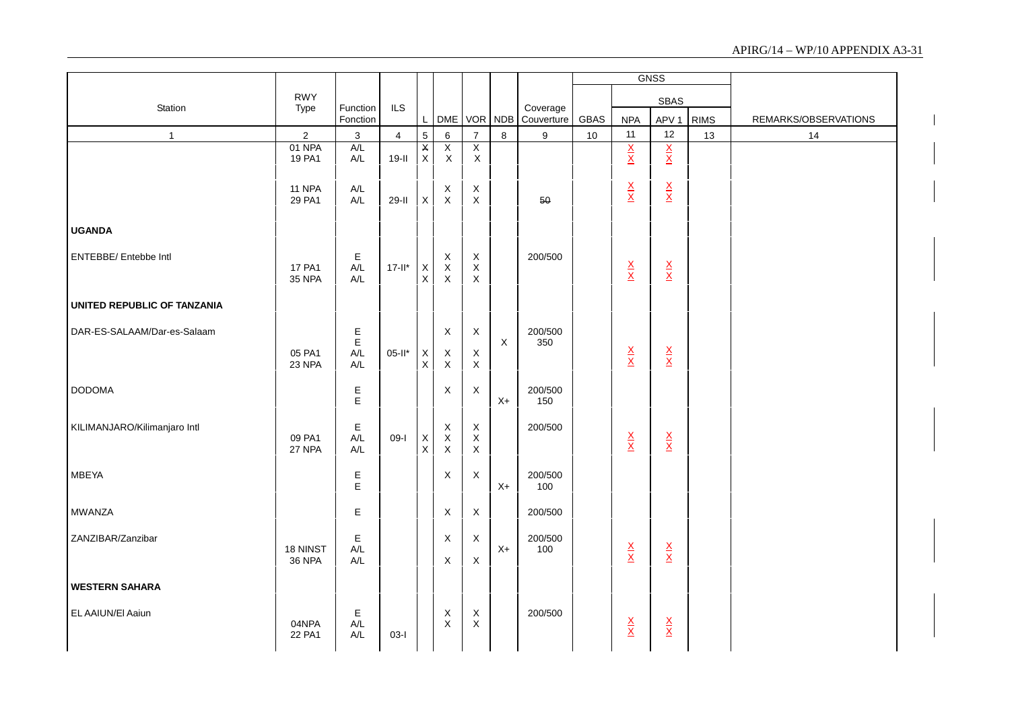|                              |                  |                      |                |                    |                               |                               |             |                        |      |                                 | <b>GNSS</b>                     |             |                      |
|------------------------------|------------------|----------------------|----------------|--------------------|-------------------------------|-------------------------------|-------------|------------------------|------|---------------------------------|---------------------------------|-------------|----------------------|
|                              | <b>RWY</b>       |                      |                |                    |                               |                               |             |                        |      |                                 | <b>SBAS</b>                     |             |                      |
| Station                      | Type             | Function<br>Fonction | ILS            | L                  | <b>DME</b>                    | VOR NDB                       |             | Coverage<br>Couverture | GBAS | <b>NPA</b>                      | APV <sub>1</sub>                | <b>RIMS</b> | REMARKS/OBSERVATIONS |
| $\mathbf{1}$                 | $\overline{2}$   | 3                    | $\overline{4}$ | $\overline{5}$     | 6                             | $\overline{7}$                | 8           | 9                      | 10   | 11                              | 12                              | 13          | 14                   |
|                              | 01 NPA<br>19 PA1 | A/L<br>A/L           | $19-I$         | X<br>$\mathsf{x}$  | $\overline{X}$<br>$\mathsf X$ | $\overline{X}$<br>$\mathsf X$ |             |                        |      | $\frac{X}{X}$                   | $\frac{X}{X}$                   |             |                      |
|                              |                  |                      |                |                    |                               |                               |             |                        |      |                                 |                                 |             |                      |
|                              | 11 NPA           | $A/L$                |                |                    | Χ                             | X                             |             |                        |      | $\frac{\mathsf{X}}{\mathsf{X}}$ | $\frac{\mathsf{X}}{\mathsf{X}}$ |             |                      |
|                              | 29 PA1           | A/L                  | $29-I$         | $\mathsf{X}$       | $\mathsf X$                   | $\mathsf{X}$                  |             | 50                     |      |                                 |                                 |             |                      |
| <b>UGANDA</b>                |                  |                      |                |                    |                               |                               |             |                        |      |                                 |                                 |             |                      |
|                              |                  |                      |                |                    |                               |                               |             |                        |      |                                 |                                 |             |                      |
| ENTEBBE/ Entebbe Intl        | <b>17 PA1</b>    | Е<br>A/L             | $17 - 11*$     | $\mathsf X$        | $_{\rm X}^{\rm X}$            | $_{\rm X}^{\rm X}$            |             | 200/500                |      |                                 |                                 |             |                      |
|                              | <b>35 NPA</b>    | A/L                  |                | $\mathsf X$        | $\mathsf X$                   | $\pmb{\times}$                |             |                        |      | $\frac{\mathsf{X}}{\mathsf{X}}$ | $\frac{X}{X}$                   |             |                      |
|                              |                  |                      |                |                    |                               |                               |             |                        |      |                                 |                                 |             |                      |
| UNITED REPUBLIC OF TANZANIA  |                  |                      |                |                    |                               |                               |             |                        |      |                                 |                                 |             |                      |
| DAR-ES-SALAAM/Dar-es-Salaam  |                  | $E$ $E$              |                |                    | X                             | $\mathsf X$                   |             | 200/500                |      |                                 |                                 |             |                      |
|                              | 05 PA1           | A/L                  | $05-It$ *      |                    | X                             | X                             | $\mathsf X$ | 350                    |      | $\frac{\mathsf{X}}{\mathsf{X}}$ | $\frac{\mathsf{X}}{\mathsf{X}}$ |             |                      |
|                              | 23 NPA           | A/L                  |                | $_{\rm X}^{\rm X}$ | X                             | $\mathsf X$                   |             |                        |      |                                 |                                 |             |                      |
| <b>DODOMA</b>                |                  | Е                    |                |                    | X                             | $\boldsymbol{\mathsf{X}}$     |             | 200/500                |      |                                 |                                 |             |                      |
|                              |                  | $\mathsf E$          |                |                    |                               |                               | $X+$        | 150                    |      |                                 |                                 |             |                      |
| KILIMANJARO/Kilimanjaro Intl |                  | Ε                    |                |                    | X                             | $\mathsf X$                   |             | 200/500                |      |                                 |                                 |             |                      |
|                              | 09 PA1<br>27 NPA | A/L<br>A/L           | $09-I$         | $_{\rm X}^{\rm X}$ | $\mathsf X$<br>$\sf X$        | $\mathsf X$<br>$\mathsf X$    |             |                        |      | $\frac{\mathsf{X}}{\mathsf{X}}$ | $\frac{X}{X}$                   |             |                      |
|                              |                  |                      |                |                    |                               |                               |             |                        |      |                                 |                                 |             |                      |
| <b>MBEYA</b>                 |                  | E                    |                |                    | X                             | $\boldsymbol{\mathsf{X}}$     |             | 200/500                |      |                                 |                                 |             |                      |
|                              |                  | E                    |                |                    |                               |                               | $X+$        | 100                    |      |                                 |                                 |             |                      |
| <b>MWANZA</b>                |                  | Е                    |                |                    | X                             | X                             |             | 200/500                |      |                                 |                                 |             |                      |
| ZANZIBAR/Zanzibar            |                  | Ε                    |                |                    | X                             | X                             |             | 200/500                |      |                                 |                                 |             |                      |
|                              | 18 NINST         | A/L                  |                |                    |                               |                               | $X+$        | 100                    |      | $\frac{\mathsf{X}}{\mathsf{X}}$ | $\frac{X}{X}$                   |             |                      |
|                              | <b>36 NPA</b>    | A/L                  |                |                    | X                             | $\boldsymbol{\mathsf{X}}$     |             |                        |      |                                 |                                 |             |                      |
| <b>WESTERN SAHARA</b>        |                  |                      |                |                    |                               |                               |             |                        |      |                                 |                                 |             |                      |
|                              |                  |                      |                |                    |                               |                               |             |                        |      |                                 |                                 |             |                      |
| EL AAIUN/El Aaiun            | 04NPA            | Е<br>A/L             |                |                    | X<br>$\mathsf X$              | X<br>$\mathsf X$              |             | 200/500                |      | $\frac{\mathsf{X}}{\mathsf{X}}$ | $\frac{\mathsf{X}}{\mathsf{X}}$ |             |                      |
|                              | 22 PA1           | A/L                  | $03-I$         |                    |                               |                               |             |                        |      |                                 |                                 |             |                      |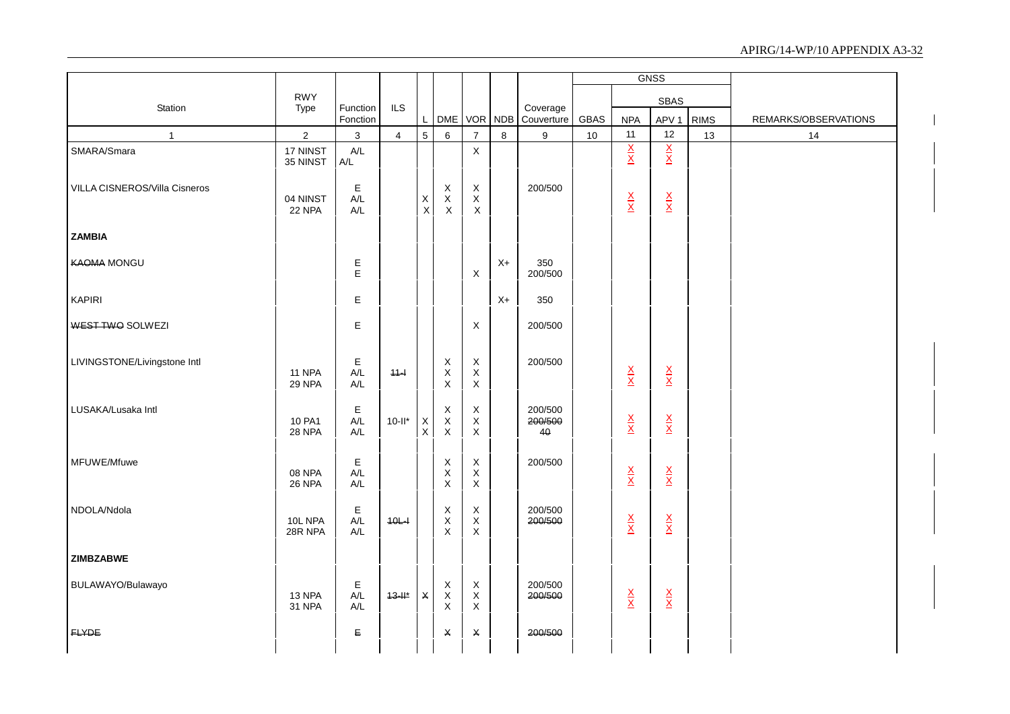|                               |                                |                                               |                |                    |                                           |                                           |            |                          |             |                                 | <b>GNSS</b>                     |             |                      |
|-------------------------------|--------------------------------|-----------------------------------------------|----------------|--------------------|-------------------------------------------|-------------------------------------------|------------|--------------------------|-------------|---------------------------------|---------------------------------|-------------|----------------------|
|                               | <b>RWY</b>                     |                                               |                |                    |                                           |                                           |            |                          |             |                                 | <b>SBAS</b>                     |             |                      |
| Station                       | Type                           | Function<br>Fonction                          | ILS            | L                  | <b>DME</b>                                | <b>VOR</b>                                | <b>NDB</b> | Coverage<br>Couverture   | <b>GBAS</b> | <b>NPA</b>                      | APV <sub>1</sub>                | <b>RIMS</b> | REMARKS/OBSERVATIONS |
| $\mathbf{1}$                  | $\overline{c}$                 | $\mathbf 3$                                   | $\overline{4}$ | $\overline{5}$     | 6                                         | $\overline{7}$                            | 8          | $\boldsymbol{9}$         | 10          | 11                              | 12                              | 13          | 14                   |
| SMARA/Smara                   | 17 NINST<br>35 NINST           | A/L<br>A/L                                    |                |                    |                                           | $\mathsf X$                               |            |                          |             | $\frac{X}{X}$                   | $\frac{X}{X}$                   |             |                      |
| VILLA CISNEROS/Villa Cisneros | 04 NINST<br><b>22 NPA</b>      | $\mathsf E$<br>A/L<br>$\mathsf{A}/\mathsf{L}$ |                | $_{\rm X}^{\rm X}$ | X<br>$\pmb{\mathsf{X}}$<br>$\mathsf X$    | $\mathsf X$<br>$\mathsf X$<br>$\mathsf X$ |            | 200/500                  |             | $\frac{\mathsf{x}}{\mathsf{x}}$ | $\frac{\mathsf{X}}{\mathsf{X}}$ |             |                      |
| <b>ZAMBIA</b>                 |                                |                                               |                |                    |                                           |                                           |            |                          |             |                                 |                                 |             |                      |
| <b>KAOMA MONGU</b>            |                                | $E$                                           |                |                    |                                           | X                                         | $X+$       | 350<br>200/500           |             |                                 |                                 |             |                      |
| <b>KAPIRI</b>                 |                                | E                                             |                |                    |                                           |                                           | $X+$       | 350                      |             |                                 |                                 |             |                      |
| WEST TWO SOLWEZI              |                                | E                                             |                |                    |                                           | $\mathsf X$                               |            | 200/500                  |             |                                 |                                 |             |                      |
| LIVINGSTONE/Livingstone Intl  | <b>11 NPA</b><br><b>29 NPA</b> | Ε<br>A/L<br>A/L                               | $44 -$         |                    | $\mathsf X$<br>$\mathsf X$<br>$\mathsf X$ | $\mathsf X$<br>$\mathsf X$<br>$\mathsf X$ |            | 200/500                  |             | $\frac{\mathsf{X}}{\mathsf{X}}$ | $\frac{\mathsf{X}}{\mathsf{X}}$ |             |                      |
| LUSAKA/Lusaka Intl            | 10 PA1<br><b>28 NPA</b>        | $\mathsf E$<br>A/L<br>A/L                     | $10-II^*$      | $_{\rm X}^{\rm X}$ | $\mathsf X$<br>$\mathsf X$<br>X           | $\mathsf X$<br>$\mathsf X$<br>$\mathsf X$ |            | 200/500<br>200/500<br>40 |             | $\frac{\mathsf{X}}{\mathsf{X}}$ | $\frac{\mathsf{X}}{\mathsf{X}}$ |             |                      |
| MFUWE/Mfuwe                   | 08 NPA<br><b>26 NPA</b>        | Ε<br>A/L<br>A/L                               |                |                    | $\mathsf X$<br>$\mathsf X$<br>$\mathsf X$ | $\mathsf X$<br>$\mathsf X$<br>$\mathsf X$ |            | 200/500                  |             | $\frac{\mathsf{X}}{\mathsf{X}}$ | $\frac{\mathsf{X}}{\mathsf{X}}$ |             |                      |
| NDOLA/Ndola                   | 10L NPA<br>28R NPA             | E<br>A/L<br>$A/L$                             | $40L +$        |                    | X<br>$\mathsf X$<br>$\mathsf X$           | $\mathsf X$<br>$\mathsf X$<br>$\mathsf X$ |            | 200/500<br>200/500       |             | $\frac{\mathsf{X}}{\mathsf{X}}$ | $\frac{\mathsf{X}}{\mathsf{X}}$ |             |                      |
| <b>ZIMBZABWE</b>              |                                |                                               |                |                    |                                           |                                           |            |                          |             |                                 |                                 |             |                      |
| BULAWAYO/Bulawayo             | 13 NPA<br>31 NPA               | Ε<br>A/L<br>A/L                               | $43 - 11*$     | $\mathsf X$        | X<br>$_{\rm X}^{\rm X}$                   | $\mathsf X$<br>$\mathsf X$<br>$\mathsf X$ |            | 200/500<br>200/500       |             | $\frac{\mathsf{X}}{\mathsf{X}}$ | $\frac{\mathsf{X}}{\mathsf{X}}$ |             |                      |
| <b>FLYDE</b>                  |                                | $\mathsf E$                                   |                |                    | X                                         | $\pmb{\times}$                            |            | 200/500                  |             |                                 |                                 |             |                      |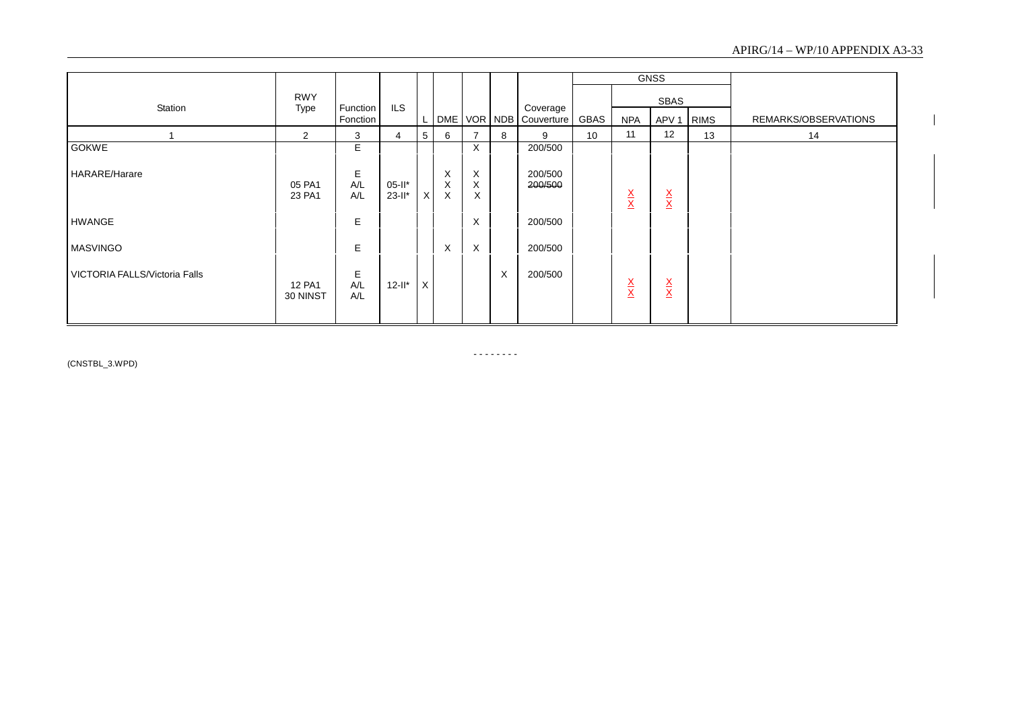|                               |                           |                 |                          |          |             |                                     |          |                    |             |                                 | <b>GNSS</b>                     |             |                      |
|-------------------------------|---------------------------|-----------------|--------------------------|----------|-------------|-------------------------------------|----------|--------------------|-------------|---------------------------------|---------------------------------|-------------|----------------------|
| Station                       | <b>RWY</b><br><b>Type</b> | Function        | <b>ILS</b>               |          |             |                                     |          | Coverage           |             |                                 | SBAS                            |             |                      |
|                               |                           | Fonction        |                          |          | DME         | VOR NDB                             |          | Couverture         | <b>GBAS</b> | <b>NPA</b>                      | APV <sub>1</sub>                | <b>RIMS</b> | REMARKS/OBSERVATIONS |
|                               | $\overline{2}$            | 3               | 4                        | 5        | 6           | 7                                   | 8        | 9                  | 10          | 11                              | 12                              | 13          | 14                   |
| <b>GOKWE</b>                  |                           | Е               |                          |          |             | $\times$                            |          | 200/500            |             |                                 |                                 |             |                      |
| <b>HARARE/Harare</b>          | 05 PA1<br>23 PA1          | Е<br>A/L<br>A/L | $05 - 11*$<br>$23 - 11*$ | $\times$ | X<br>X<br>X | X<br>$\boldsymbol{\mathsf{X}}$<br>Χ |          | 200/500<br>200/500 |             | $\frac{\mathsf{X}}{\mathsf{X}}$ | $\frac{\mathsf{X}}{\mathsf{X}}$ |             |                      |
| <b>HWANGE</b>                 |                           | E               |                          |          |             | X                                   |          | 200/500            |             |                                 |                                 |             |                      |
| <b>MASVINGO</b>               |                           | E               |                          |          | X           | $\times$                            |          | 200/500            |             |                                 |                                 |             |                      |
| VICTORIA FALLS/Victoria Falls | 12 PA1<br>30 NINST        | E<br>A/L<br>A/L | $12-I^*$                 | X        |             |                                     | $\times$ | 200/500            |             | $\frac{\mathsf{X}}{\mathsf{X}}$ | $\frac{\mathsf{X}}{\mathsf{X}}$ |             |                      |

(CNSTBL\_3.WPD)

 $\begin{array}{cccccccccc} \multicolumn{2}{c}{} & \multicolumn{2}{c}{} & \multicolumn{2}{c}{} & \multicolumn{2}{c}{} & \multicolumn{2}{c}{} & \multicolumn{2}{c}{} & \multicolumn{2}{c}{} & \multicolumn{2}{c}{} & \multicolumn{2}{c}{} & \multicolumn{2}{c}{} & \multicolumn{2}{c}{} & \multicolumn{2}{c}{} & \multicolumn{2}{c}{} & \multicolumn{2}{c}{} & \multicolumn{2}{c}{} & \multicolumn{2}{c}{} & \multicolumn{2}{c}{} & \multicolumn{2}{c}{} & \multicolumn{2}{c}{} & \mult$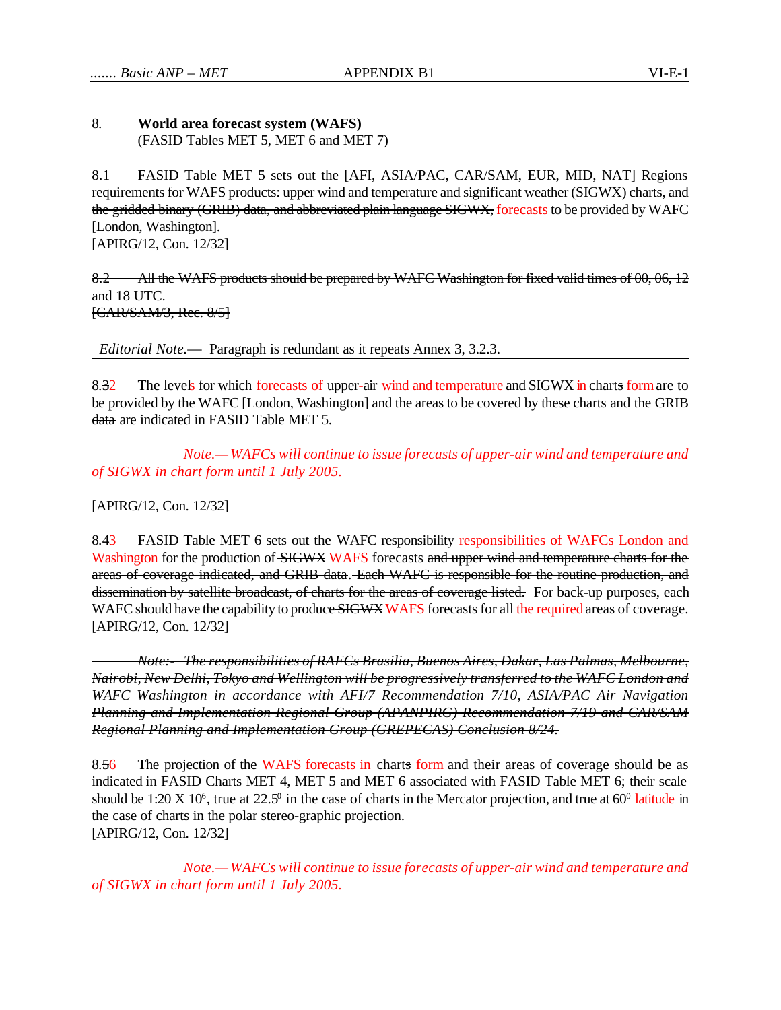## 8. **World area forecast system (WAFS)**  (FASID Tables MET 5, MET 6 and MET 7)

8.1 FASID Table MET 5 sets out the [AFI, ASIA/PAC, CAR/SAM, EUR, MID, NAT] Regions requirements for WAFS products: upper wind and temperature and significant weather (SIGWX) charts, and the gridded binary (GRIB) data, and abbreviated plain language SIGWX, forecasts to be provided by WAFC [London, Washington]. [APIRG/12, Con. 12/32]

8.2 All the WAFS products should be prepared by WAFC Washington for fixed valid times of 00, 06, 12 and 18 UTC. [CAR/SAM/3, Rec. 8/5]

*Editorial Note.*— Paragraph is redundant as it repeats Annex 3, 3.2.3.

8.32 The levels for which forecasts of upper-air wind and temperature and SIGWX in charts form are to be provided by the WAFC [London, Washington] and the areas to be covered by these charts and the GRIB data are indicated in FASID Table MET 5.

*Note.— WAFCs will continue to issue forecasts of upper-air wind and temperature and of SIGWX in chart form until 1 July 2005.* 

[APIRG/12, Con. 12/32]

8.43 FASID Table MET 6 sets out the WAFC responsibility responsibilities of WAFCs London and Washington for the production of SIGWX WAFS forecasts and upper wind and temperature charts for the areas of coverage indicated, and GRIB data. Each WAFC is responsible for the routine production, and dissemination by satellite broadcast, of charts for the areas of coverage listed. For back-up purposes, each WAFC should have the capability to produce SIGWX WAFS forecasts for all the required areas of coverage. [APIRG/12, Con. 12/32]

*Note:- The responsibilities of RAFCs Brasilia, Buenos Aires, Dakar, Las Palmas, Melbourne, Nairobi, New Delhi, Tokyo and Wellington will be progressively transferred to the WAFC London and WAFC Washington in accordance with AFI/7 Recommendation 7/10, ASIA/PAC Air Navigation Planning and Implementation Regional Group (APANPIRG) Recommendation 7/19 and CAR/SAM Regional Planning and Implementation Group (GREPECAS) Conclusion 8/24.*

8.56 The projection of the WAFS forecasts in charts form and their areas of coverage should be as indicated in FASID Charts MET 4, MET 5 and MET 6 associated with FASID Table MET 6; their scale should be 1:20 X 10<sup>6</sup>, true at 22.5<sup>0</sup> in the case of charts in the Mercator projection, and true at  $60^{\circ}$  latitude in the case of charts in the polar stereo-graphic projection. [APIRG/12, Con. 12/32]

*Note.— WAFCs will continue to issue forecasts of upper-air wind and temperature and of SIGWX in chart form until 1 July 2005.*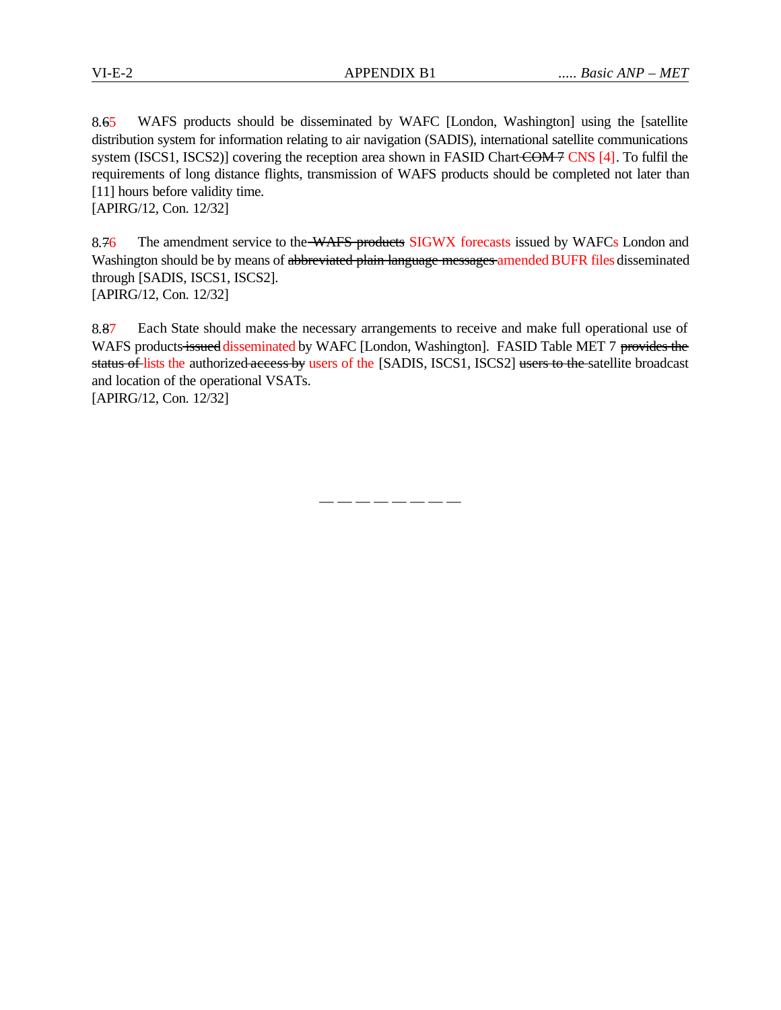8.65 WAFS products should be disseminated by WAFC [London, Washington] using the [satellite distribution system for information relating to air navigation (SADIS), international satellite communications system (ISCS1, ISCS2)] covering the reception area shown in FASID Chart COM 7 CNS [4]. To fulfil the requirements of long distance flights, transmission of WAFS products should be completed not later than [11] hours before validity time.

[APIRG/12, Con. 12/32]

8.76 The amendment service to the WAFS products SIGWX forecasts issued by WAFCs London and Washington should be by means of abbreviated plain language messages amended BUFR files disseminated through [SADIS, ISCS1, ISCS2]. [APIRG/12, Con. 12/32]

8.87 Each State should make the necessary arrangements to receive and make full operational use of WAFS products issued disseminated by WAFC [London, Washington]. FASID Table MET 7 provides the status of lists the authorized access by users of the [SADIS, ISCS1, ISCS2] users to the satellite broadcast and location of the operational VSATs.

[APIRG/12, Con. 12/32]

— — — — — — — —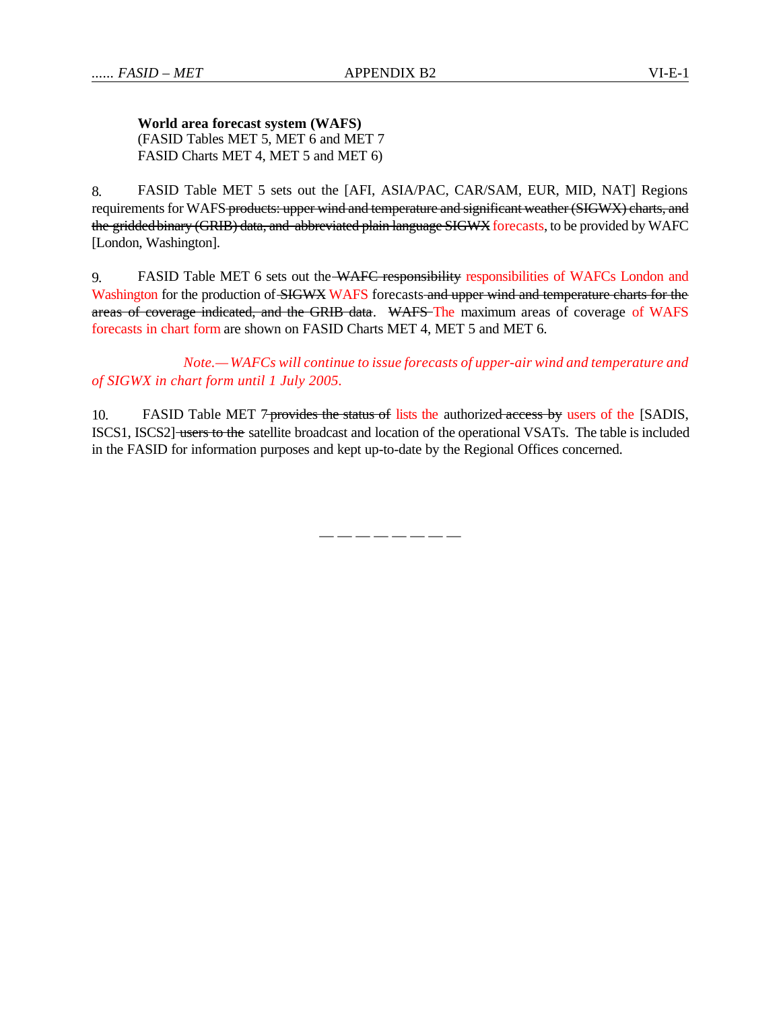**World area forecast system (WAFS)** (FASID Tables MET 5, MET 6 and MET 7 FASID Charts MET 4, MET 5 and MET 6)

8. FASID Table MET 5 sets out the [AFI, ASIA/PAC, CAR/SAM, EUR, MID, NAT] Regions requirements for WAFS-products: upper wind and temperature and significant weather (SIGWX) charts, and the gridded binary (GRIB) data, and abbreviated plain language SIGWX forecasts, to be provided by WAFC [London, Washington].

9. FASID Table MET 6 sets out the WAFC responsibility responsibilities of WAFCs London and Washington for the production of SIGWX WAFS forecasts and upper wind and temperature charts for the areas of coverage indicated, and the GRIB data. WAFS The maximum areas of coverage of WAFS forecasts in chart form are shown on FASID Charts MET 4, MET 5 and MET 6.

*Note.— WAFCs will continue to issue forecasts of upper-air wind and temperature and of SIGWX in chart form until 1 July 2005.* 

10. FASID Table MET 7-provides the status of lists the authorized-access by users of the [SADIS, ISCS1, ISCS2] users to the satellite broadcast and location of the operational VSATs. The table is included in the FASID for information purposes and kept up-to-date by the Regional Offices concerned.

— — — — — — — —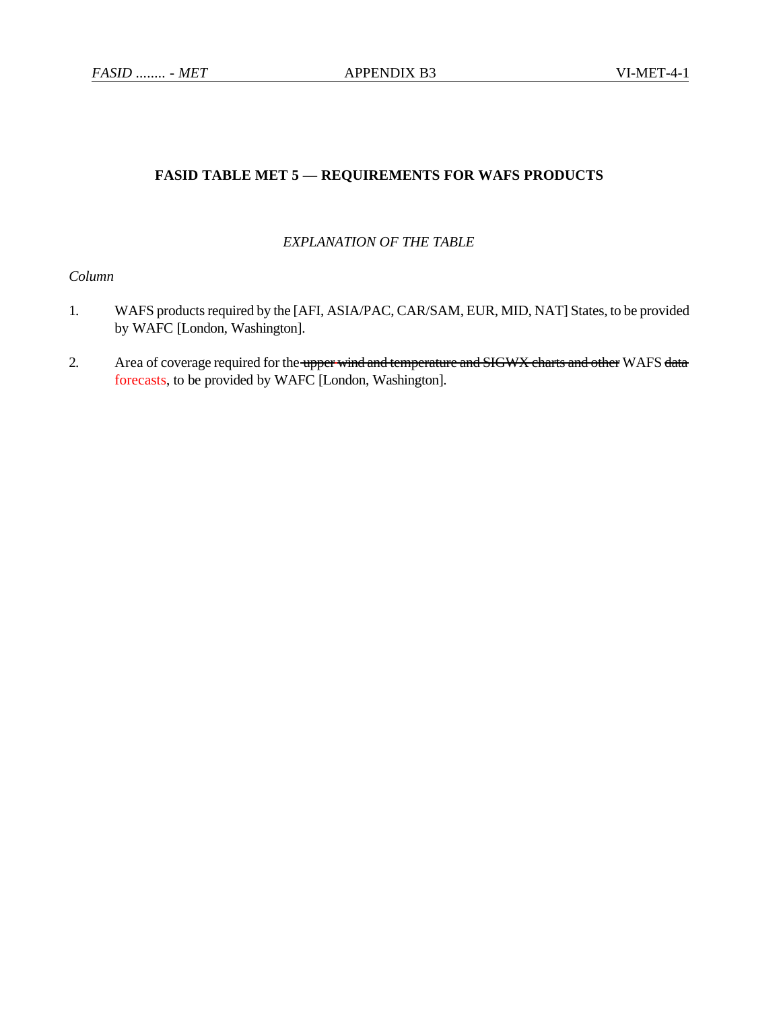# **FASID TABLE MET 5 — REQUIREMENTS FOR WAFS PRODUCTS**

## *EXPLANATION OF THE TABLE*

# *Column*

- 1. WAFS products required by the [AFI, ASIA/PAC, CAR/SAM, EUR, MID, NAT] States, to be provided by WAFC [London, Washington].
- 2. Area of coverage required for the upper wind and temperature and SIGWX charts and other WAFS data forecasts, to be provided by WAFC [London, Washington].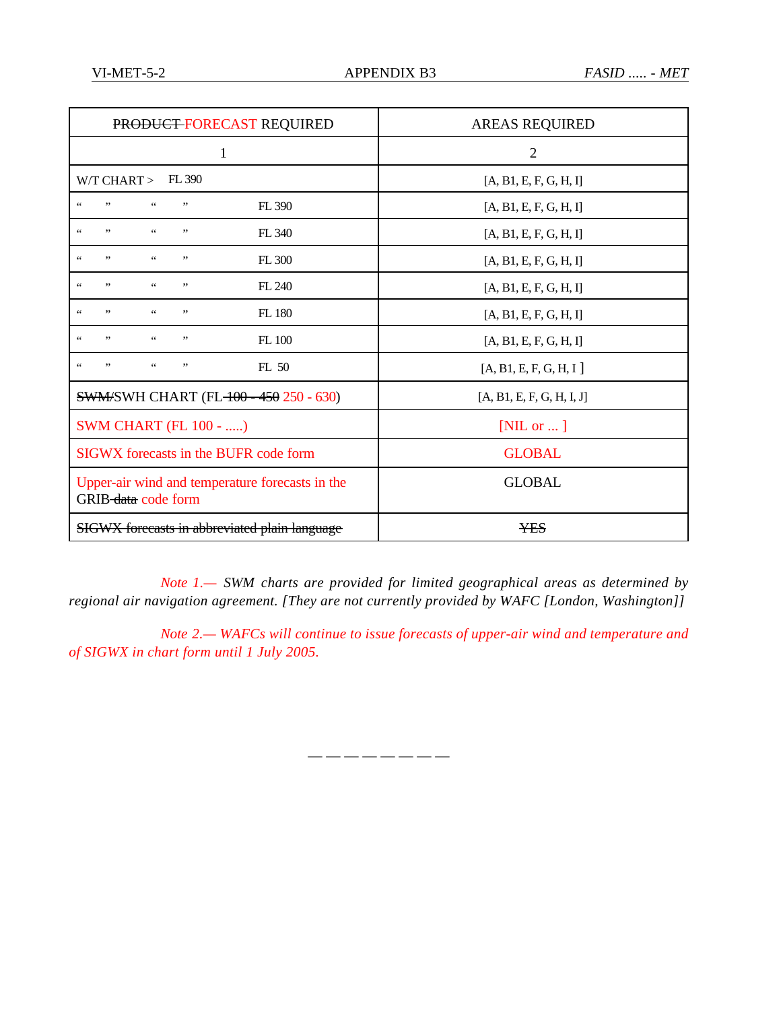| PRODUCT FORECAST REQUIRED                                                               | <b>AREAS REQUIRED</b>     |  |  |
|-----------------------------------------------------------------------------------------|---------------------------|--|--|
| 1                                                                                       | $\overline{2}$            |  |  |
| $W/T$ CHART $>$<br>FL 390                                                               | [A, B1, E, F, G, H, I]    |  |  |
| ,,<br>$\zeta$ $\zeta$<br>$\zeta$ $\zeta$<br>,,<br>FL 390                                | [A, B1, E, F, G, H, I]    |  |  |
| , ,<br>$\zeta$ $\zeta$<br>$\zeta$ $\zeta$<br>,,<br>FL 340                               | [A, B1, E, F, G, H, I]    |  |  |
| $\zeta$ $\zeta$<br>, ,<br>$\zeta$ $\zeta$<br>FL 300<br>,,                               | [A, B1, E, F, G, H, I]    |  |  |
| $\zeta$ $\zeta$<br>, ,<br>$\epsilon$ $\epsilon$<br>,,<br>FL 240                         | [A, B1, E, F, G, H, I]    |  |  |
| ,,<br>$\zeta$ $\zeta$<br>FL 180<br>$\zeta$ $\zeta$<br>,,                                | [A, B1, E, F, G, H, I]    |  |  |
| ,,<br>$\zeta\,\zeta$<br>$\zeta$ $\zeta$<br>,,<br><b>FL</b> 100                          | [A, B1, E, F, G, H, I]    |  |  |
| $\zeta$ $\zeta$<br>, ,<br>FL 50<br>$\zeta$ $\zeta$<br>,,                                | [A, B1, E, F, G, H, I]    |  |  |
| <b>SWM/SWH CHART (FL-100 - 450 250 - 630)</b>                                           | [A, B1, E, F, G, H, I, J] |  |  |
| <b>SWM CHART (FL 100 - )</b>                                                            | [NIL or $\ldots$ ]        |  |  |
| SIGWX forecasts in the BUFR code form                                                   | <b>GLOBAL</b>             |  |  |
| <b>GLOBAL</b><br>Upper-air wind and temperature forecasts in the<br>GRIB-data code form |                           |  |  |
| <b>SIGWX</b> forecasts in abbreviated plain language                                    | <b>YES</b>                |  |  |

*Note 1.— SWM charts are provided for limited geographical areas as determined by regional air navigation agreement. [They are not currently provided by WAFC [London, Washington]]*

*Note 2.— WAFCs will continue to issue forecasts of upper-air wind and temperature and of SIGWX in chart form until 1 July 2005.* 

— — — — — — — —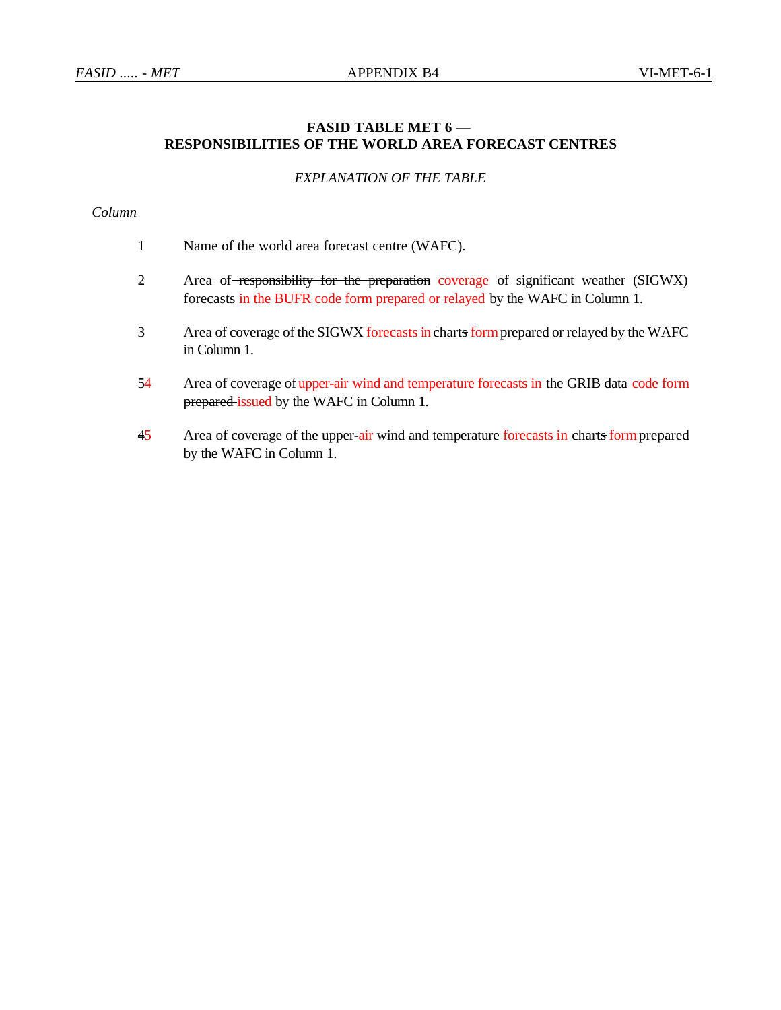# **FASID TABLE MET 6 — RESPONSIBILITIES OF THE WORLD AREA FORECAST CENTRES**

## *EXPLANATION OF THE TABLE*

# *Column*

- 1 Name of the world area forecast centre (WAFC).
- 2 Area of responsibility for the preparation coverage of significant weather (SIGWX) forecasts in the BUFR code form prepared or relayed by the WAFC in Column 1.
- 3 Area of coverage of the SIGWX forecasts in charts form prepared or relayed by the WAFC in Column 1.
- 54 Area of coverage of upper-air wind and temperature forecasts in the GRIB data code form prepared issued by the WAFC in Column 1.
- 45 Area of coverage of the upper-air wind and temperature forecasts in charts form prepared by the WAFC in Column 1.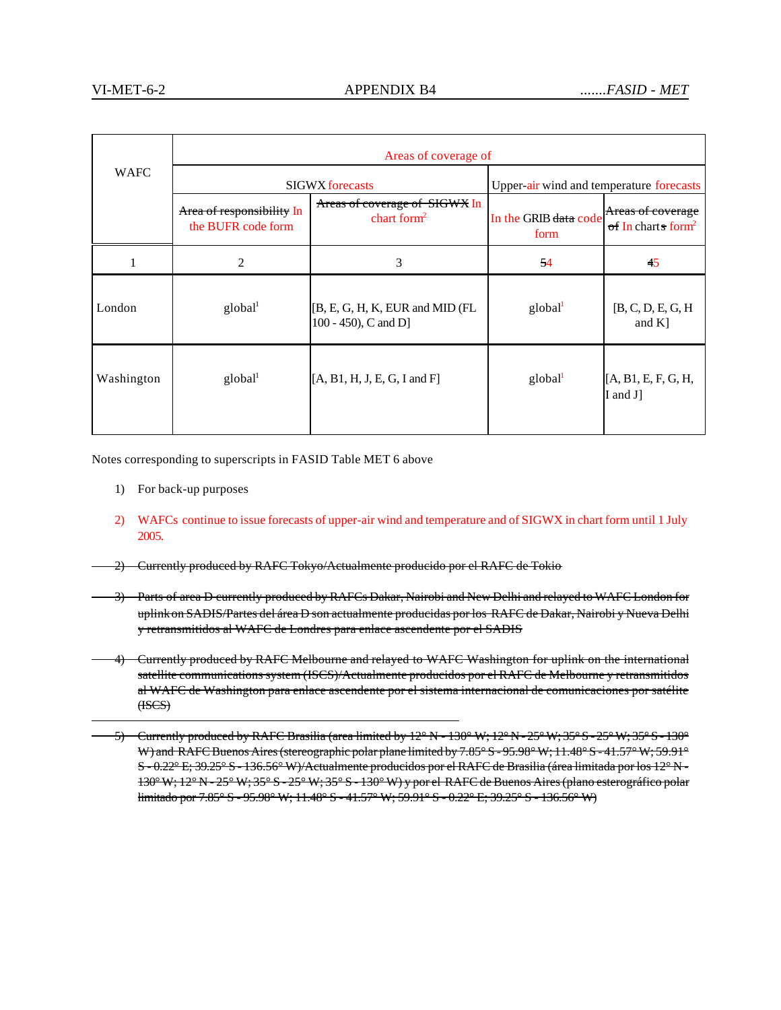|             | Areas of coverage of                            |                                                         |                                          |                                                     |  |
|-------------|-------------------------------------------------|---------------------------------------------------------|------------------------------------------|-----------------------------------------------------|--|
| <b>WAFC</b> | <b>SIGWX</b> forecasts                          |                                                         | Upper-air wind and temperature forecasts |                                                     |  |
|             | Area of responsibility In<br>the BUFR code form | Areas of coverage of SIGWX In<br>chart form $2$         | In the GRIB data code<br>form            | Areas of coverage<br>of In charts form <sup>2</sup> |  |
|             | 2                                               | 3                                                       | 54                                       | 45                                                  |  |
| London      | global <sup>1</sup>                             | [B, E, G, H, K, EUR and MID (FL<br>100 - 450), C and D] | global <sup>1</sup>                      | [B, C, D, E, G, H]<br>and $K$ ]                     |  |
| Washington  | global <sup>1</sup>                             | $[A, B1, H, J, E, G, I \text{ and } F]$                 | global <sup>1</sup>                      | [A, B1, E, F, G, H,<br>I and J]                     |  |

Notes corresponding to superscripts in FASID Table MET 6 above

- 1) For back-up purposes
- 2) WAFCs continue to issue forecasts of upper-air wind and temperature and of SIGWX in chart form until 1 July 2005.
- 2) Currently produced by RAFC Tokyo/Actualmente producido por el RAFC de Tokio
- 3) Parts of area D currently produced by RAFCs Dakar, Nairobi and New Delhi and relayed to WAFC London for uplink on SADIS/Partes del área D son actualmente producidas por los RAFC de Dakar, Nairobi y Nueva Delhi y retransmitidos al WAFC de Londres para enlace ascendente por el SADIS
- 4) Currently produced by RAFC Melbourne and relayed to WAFC Washington for uplink on the international satellite communications system (ISCS)/Actualmente producidos por el RAFC de Melbourne y retransmitidos al WAFC de Washington para enlace ascendente por el sistema internacional de comunicaciones por satélite (ISCS)
	- 5) Currently produced by RAFC Brasilia (area limited by 12° N 130° W; 12° N 25° W; 35° S 25° W; 35° S 130° W) and RAFC Buenos Aires (stereographic polar plane limited by 7.85° S - 95.98° W; 11.48° S - 41.57° W; 59.91° S - 0.22° E; 39.25° S - 136.56° W)/Actualmente producidos por el RAFC de Brasilia (área limitada por los 12° N - 130° W; 12° N - 25° W; 35° S - 25° W; 35° S - 130° W) y por el RAFC de Buenos Aires (plano esterográfico polar limitado por 7.85° S - 95.98° W; 11.48° S - 41.57° W; 59.91° S - 0.22° E; 39.25° S - 136.56° W)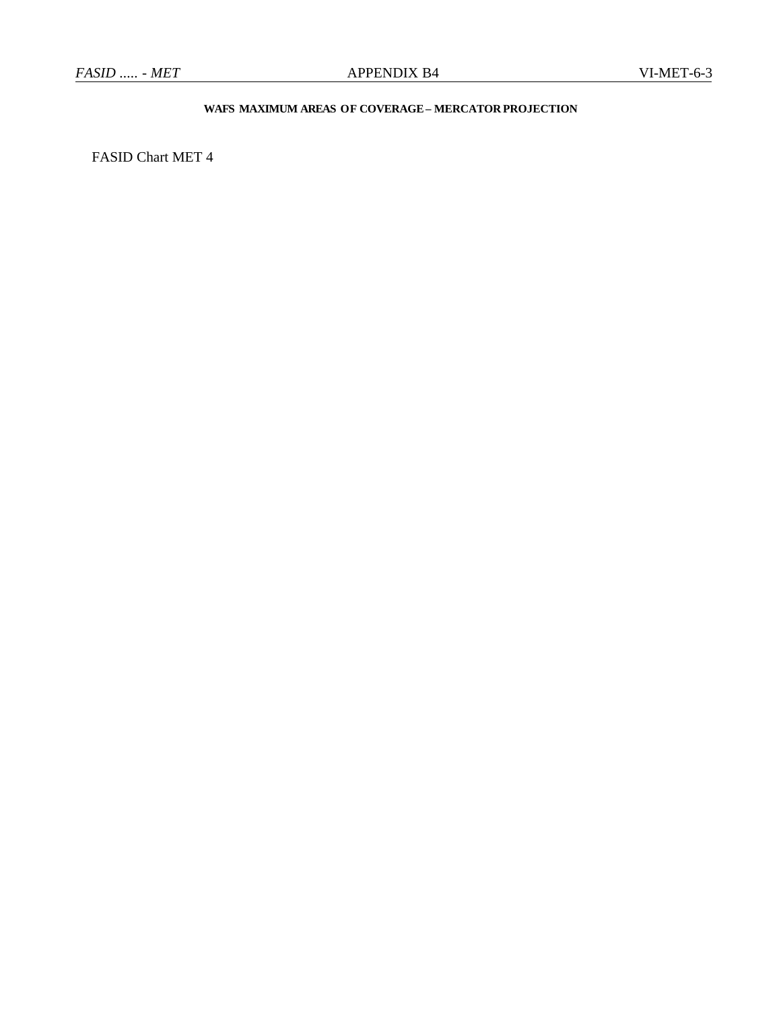# **WAFS MAXIMUM AREAS OF COVERAGE– MERCATOR PROJECTION**

FASID Chart MET 4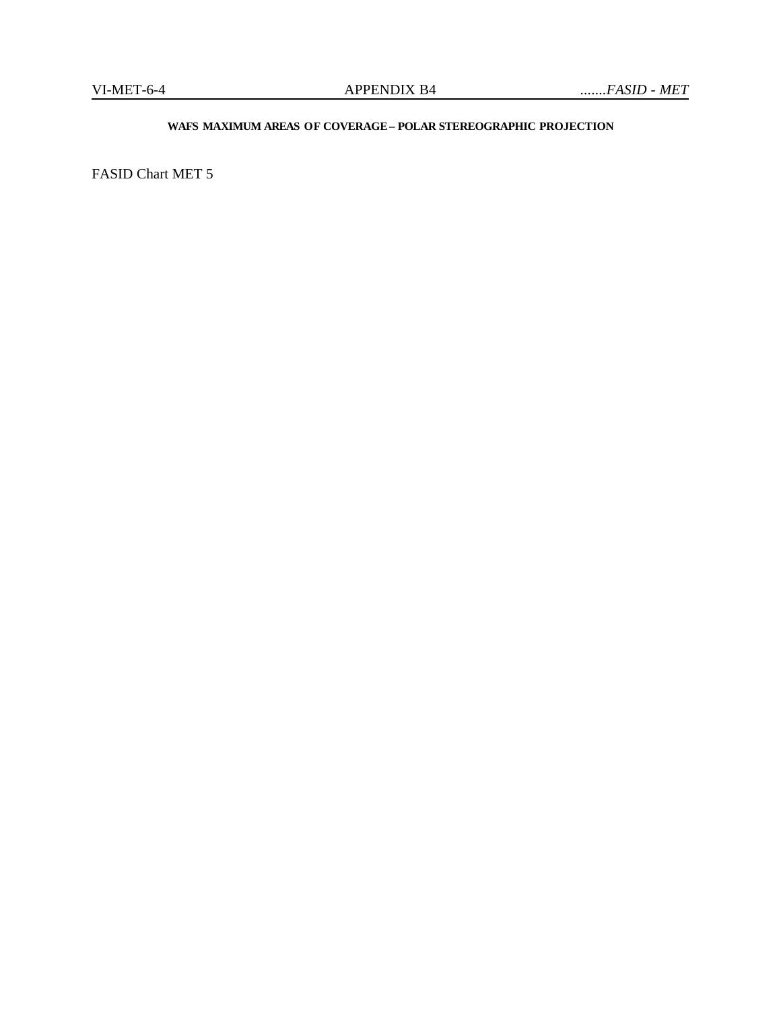## **WAFS MAXIMUM AREAS OF COVERAGE– POLAR STEREOGRAPHIC PROJECTION**

FASID Chart MET 5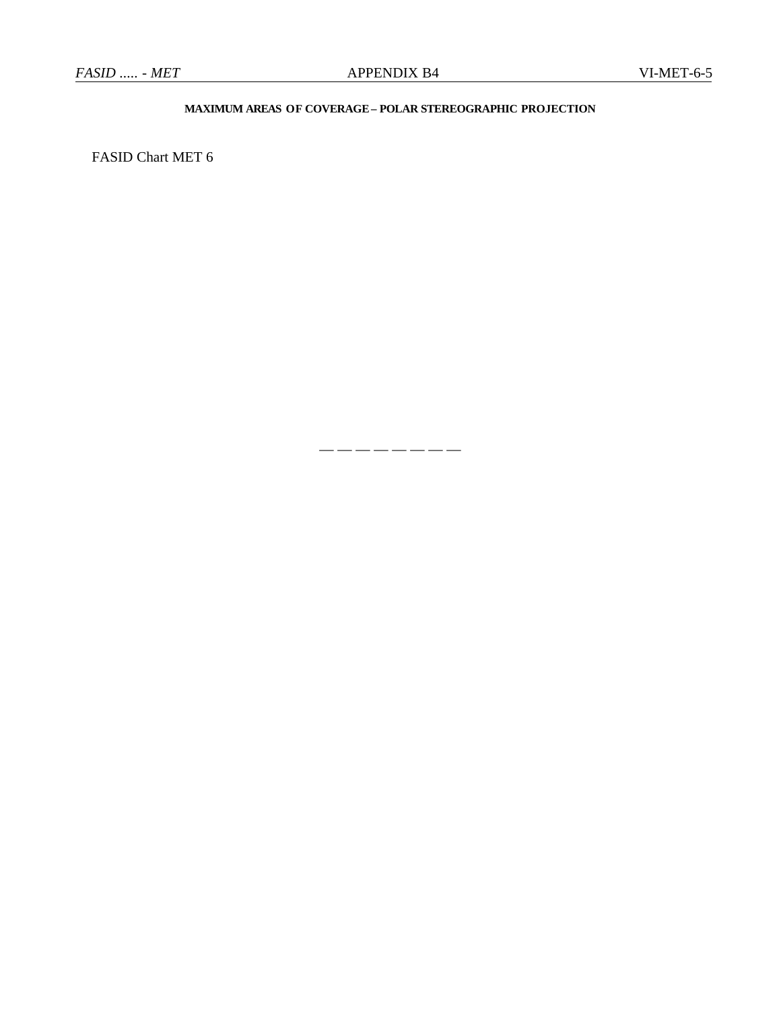## **MAXIMUM AREAS OF COVERAGE– POLAR STEREOGRAPHIC PROJECTION**

— — — — — — — —

FASID Chart MET 6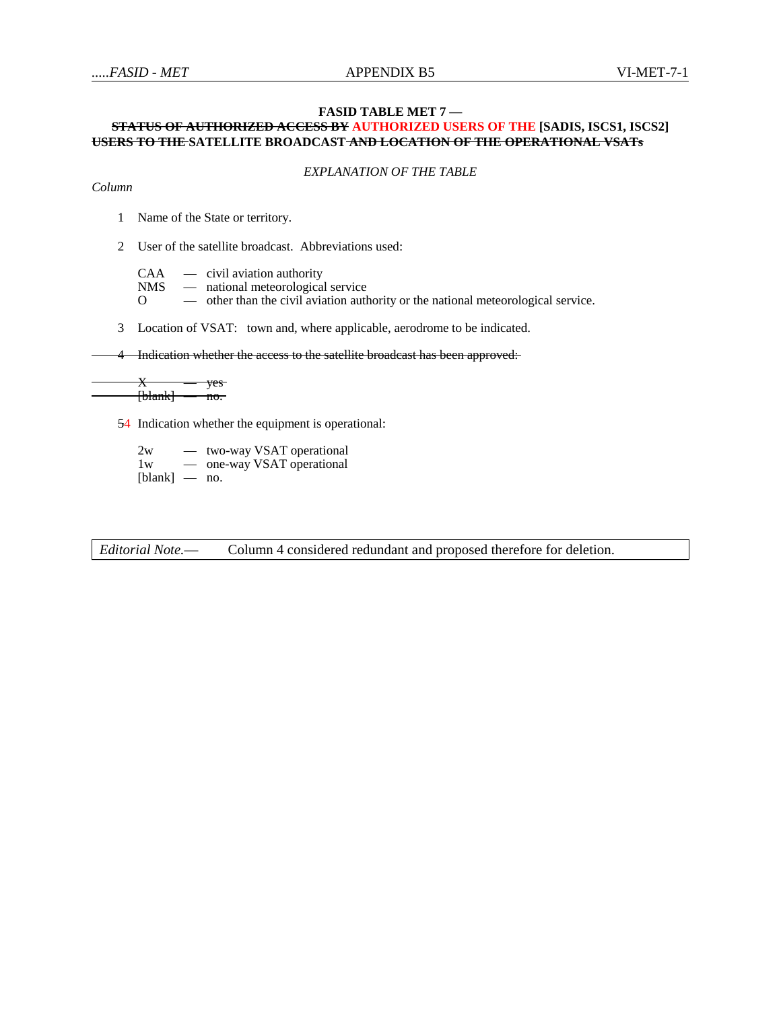#### **FASID TABLE MET 7 —**

## **STATUS OF AUTHORIZED ACCESS BY AUTHORIZED USERS OF THE [SADIS, ISCS1, ISCS2] USERS TO THE SATELLITE BROADCAST AND LOCATION OF THE OPERATIONAL VSATs**

*EXPLANATION OF THE TABLE*

#### *Column*

1 Name of the State or territory.

2 User of the satellite broadcast. Abbreviations used:

 $CAA$  — civil aviation authority<br>NMS — national meteorological

 $NMS$  — national meteorological service<br>O — other than the civil aviation author

— other than the civil aviation authority or the national meteorological service.

3 Location of VSAT: town and, where applicable, aerodrome to be indicated.

4 Indication whether the access to the satellite broadcast has been approved:

 $X - y$ es  $[-\text{blank}]$  — no.

54 Indication whether the equipment is operational:

2w — two-way VSAT operational 1w — one-way VSAT operational [blank] — no.

*Editorial Note.*— Column 4 considered redundant and proposed therefore for deletion.